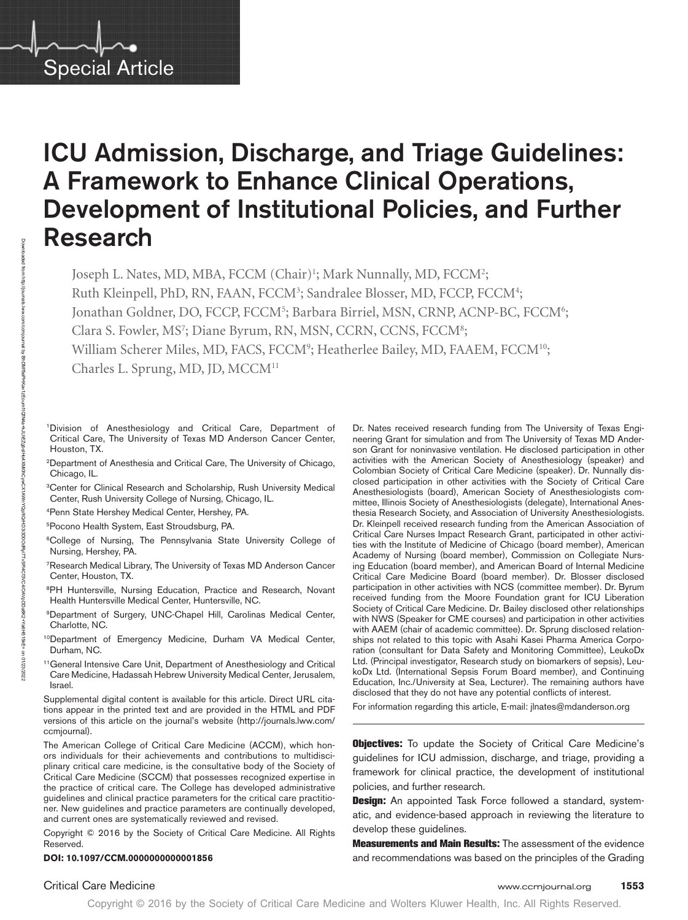# ICU Admission, Discharge, and Triage Guidelines: A Framework to Enhance Clinical Operations, Development of Institutional Policies, and Further Research

Joseph L. Nates, MD, MBA, FCCM (Chair)<sup>1</sup>; Mark Nunnally, MD, FCCM<sup>2</sup>; Ruth Kleinpell, PhD, RN, FAAN, FCCM<sup>3</sup>; Sandralee Blosser, MD, FCCP, FCCM<sup>4</sup>; Jonathan Goldner, DO, FCCP, FCCM<sup>5</sup>; Barbara Birriel, MSN, CRNP, ACNP-BC, FCCM<sup>6</sup>; Clara S. Fowler, MS<sup>7</sup>; Diane Byrum, RN, MSN, CCRN, CCNS, FCCM<sup>8</sup>; William Scherer Miles, MD, FACS, FCCM<sup>9</sup>; Heatherlee Bailey, MD, FAAEM, FCCM<sup>10</sup>; Charles L. Sprung, MD, JD, MCCM<sup>11</sup>

- 1Division of Anesthesiology and Critical Care, Department of Critical Care, The University of Texas MD Anderson Cancer Center, Houston, TX.
- 2Department of Anesthesia and Critical Care, The University of Chicago, Chicago, IL.
- <sup>3</sup>Center for Clinical Research and Scholarship, Rush University Medical Center, Rush University College of Nursing, Chicago, IL.
- 4Penn State Hershey Medical Center, Hershey, PA.
- 5Pocono Health System, East Stroudsburg, PA.
- <sup>6</sup>College of Nursing, The Pennsylvania State University College of Nursing, Hershey, PA.
- 7Research Medical Library, The University of Texas MD Anderson Cancer Center, Houston, TX.
- <sup>8</sup>PH Huntersville, Nursing Education, Practice and Research, Novant Health Huntersville Medical Center, Huntersville, NC.
- 9Department of Surgery, UNC-Chapel Hill, Carolinas Medical Center, Charlotte, NC.
- 10Department of Emergency Medicine, Durham VA Medical Center, Durham, NC.
- <sup>11</sup>General Intensive Care Unit, Department of Anesthesiology and Critical Care Medicine, Hadassah Hebrew University Medical Center, Jerusalem, Israel.

Supplemental digital content is available for this article. Direct URL citations appear in the printed text and are provided in the HTML and PDF versions of this article on the journal's website ([http://journals.lww.com/](http://journals.lww.com/ccmjournal) [ccmjournal](http://journals.lww.com/ccmjournal)).

The American College of Critical Care Medicine (ACCM), which honors individuals for their achievements and contributions to multidisciplinary critical care medicine, is the consultative body of the Society of Critical Care Medicine (SCCM) that possesses recognized expertise in the practice of critical care. The College has developed administrative guidelines and clinical practice parameters for the critical care practitioner. New guidelines and practice parameters are continually developed, and current ones are systematically reviewed and revised.

Copyright © 2016 by the Society of Critical Care Medicine. All Rights Reserved.

**DOI: 10.1097/CCM.0000000000001856**

Dr. Nates received research funding from The University of Texas Engineering Grant for simulation and from The University of Texas MD Anderson Grant for noninvasive ventilation. He disclosed participation in other activities with the American Society of Anesthesiology (speaker) and Colombian Society of Critical Care Medicine (speaker). Dr. Nunnally disclosed participation in other activities with the Society of Critical Care Anesthesiologists (board), American Society of Anesthesiologists committee, Illinois Society of Anesthesiologists (delegate), International Anesthesia Research Society, and Association of University Anesthesiologists. Dr. Kleinpell received research funding from the American Association of Critical Care Nurses Impact Research Grant, participated in other activities with the Institute of Medicine of Chicago (board member), American Academy of Nursing (board member), Commission on Collegiate Nursing Education (board member), and American Board of Internal Medicine Critical Care Medicine Board (board member). Dr. Blosser disclosed participation in other activities with NCS (committee member). Dr. Byrum received funding from the Moore Foundation grant for ICU Liberation Society of Critical Care Medicine. Dr. Bailey disclosed other relationships with NWS (Speaker for CME courses) and participation in other activities with AAEM (chair of academic committee). Dr. Sprung disclosed relationships not related to this topic with Asahi Kasei Pharma America Corporation (consultant for Data Safety and Monitoring Committee), LeukoDx Ltd. (Principal investigator, Research study on biomarkers of sepsis), LeukoDx Ltd. (International Sepsis Forum Board member), and Continuing Education, Inc./University at Sea, Lecturer). The remaining authors have disclosed that they do not have any potential conflicts of interest.

For information regarding this article, E-mail: [jlnates@mdanderson.org](mailto:jlnates@mdanderson.org)

**Objectives:** To update the Society of Critical Care Medicine's guidelines for ICU admission, discharge, and triage, providing a framework for clinical practice, the development of institutional policies, and further research.

Design: An appointed Task Force followed a standard, systematic, and evidence-based approach in reviewing the literature to develop these guidelines.

**Measurements and Main Results:** The assessment of the evidence and recommendations was based on the principles of the Grading

# BhDMf5ePHKav1zEoum1tQfN4a+kJLhEZgbsIHo4XMi0hCywCX1AWnYQp/IlQrHD3i3D0OdRyi7TvSFl4Cf3VCpAODw8K2+Ya6H515kE=

on 01/23/2022

Downloaded from Special Article

http://journals.lww.com/ccmjournal

হ

### Critical Care Medicine www.ccmjournal.org **1553**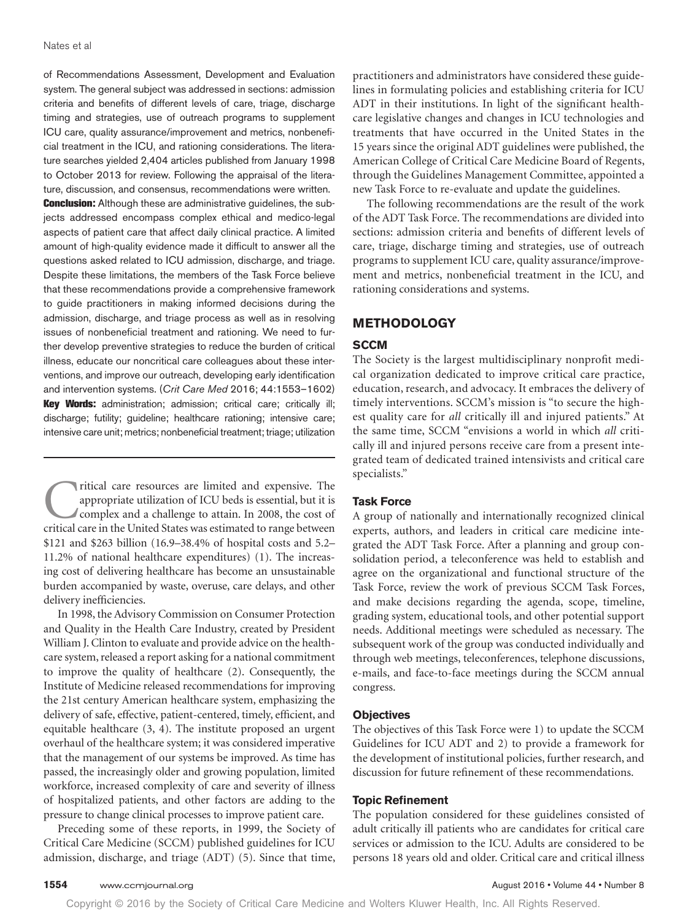of Recommendations Assessment, Development and Evaluation system. The general subject was addressed in sections: admission criteria and benefits of different levels of care, triage, discharge timing and strategies, use of outreach programs to supplement ICU care, quality assurance/improvement and metrics, nonbeneficial treatment in the ICU, and rationing considerations. The literature searches yielded 2,404 articles published from January 1998 to October 2013 for review. Following the appraisal of the literature, discussion, and consensus, recommendations were written.

**Conclusion:** Although these are administrative guidelines, the subjects addressed encompass complex ethical and medico-legal aspects of patient care that affect daily clinical practice. A limited amount of high-quality evidence made it difficult to answer all the questions asked related to ICU admission, discharge, and triage. Despite these limitations, the members of the Task Force believe that these recommendations provide a comprehensive framework to guide practitioners in making informed decisions during the admission, discharge, and triage process as well as in resolving issues of nonbeneficial treatment and rationing. We need to further develop preventive strategies to reduce the burden of critical illness, educate our noncritical care colleagues about these interventions, and improve our outreach, developing early identification and intervention systems. (*Crit Care Med* 2016; 44:1553–1602) Key Words: administration; admission; critical care; critically ill; discharge; futility; guideline; healthcare rationing; intensive care; intensive care unit; metrics; nonbeneficial treatment; triage; utilization

Tritical care resources are limited and expensive. The appropriate utilization of ICU beds is essential, but it is complex and a challenge to attain. In 2008, the cost of critical care in the United States was estimated to appropriate utilization of ICU beds is essential, but it is complex and a challenge to attain. In 2008, the cost of critical care in the United States was estimated to range between \$121 and \$263 billion (16.9–38.4% of hospital costs and 5.2– 11.2% of national healthcare expenditures) (1). The increasing cost of delivering healthcare has become an unsustainable burden accompanied by waste, overuse, care delays, and other delivery inefficiencies.

In 1998, the Advisory Commission on Consumer Protection and Quality in the Health Care Industry, created by President William J. Clinton to evaluate and provide advice on the healthcare system, released a report asking for a national commitment to improve the quality of healthcare (2). Consequently, the Institute of Medicine released recommendations for improving the 21st century American healthcare system, emphasizing the delivery of safe, effective, patient-centered, timely, efficient, and equitable healthcare (3, 4). The institute proposed an urgent overhaul of the healthcare system; it was considered imperative that the management of our systems be improved. As time has passed, the increasingly older and growing population, limited workforce, increased complexity of care and severity of illness of hospitalized patients, and other factors are adding to the pressure to change clinical processes to improve patient care.

Preceding some of these reports, in 1999, the Society of Critical Care Medicine (SCCM) published guidelines for ICU admission, discharge, and triage (ADT) (5). Since that time,

practitioners and administrators have considered these guidelines in formulating policies and establishing criteria for ICU ADT in their institutions. In light of the significant healthcare legislative changes and changes in ICU technologies and treatments that have occurred in the United States in the 15 years since the original ADT guidelines were published, the American College of Critical Care Medicine Board of Regents, through the Guidelines Management Committee, appointed a new Task Force to re-evaluate and update the guidelines.

The following recommendations are the result of the work of the ADT Task Force. The recommendations are divided into sections: admission criteria and benefits of different levels of care, triage, discharge timing and strategies, use of outreach programs to supplement ICU care, quality assurance/improvement and metrics, nonbeneficial treatment in the ICU, and rationing considerations and systems.

# **METHODOLOGY**

### **SCCM**

The Society is the largest multidisciplinary nonprofit medical organization dedicated to improve critical care practice, education, research, and advocacy. It embraces the delivery of timely interventions. SCCM's mission is "to secure the highest quality care for *all* critically ill and injured patients." At the same time, SCCM "envisions a world in which *all* critically ill and injured persons receive care from a present integrated team of dedicated trained intensivists and critical care specialists."

### **Task Force**

A group of nationally and internationally recognized clinical experts, authors, and leaders in critical care medicine integrated the ADT Task Force. After a planning and group consolidation period, a teleconference was held to establish and agree on the organizational and functional structure of the Task Force, review the work of previous SCCM Task Forces, and make decisions regarding the agenda, scope, timeline, grading system, educational tools, and other potential support needs. Additional meetings were scheduled as necessary. The subsequent work of the group was conducted individually and through web meetings, teleconferences, telephone discussions, e-mails, and face-to-face meetings during the SCCM annual congress.

### **Objectives**

The objectives of this Task Force were 1) to update the SCCM Guidelines for ICU ADT and 2) to provide a framework for the development of institutional policies, further research, and discussion for future refinement of these recommendations.

### **Topic Refinement**

The population considered for these guidelines consisted of adult critically ill patients who are candidates for critical care services or admission to the ICU. Adults are considered to be persons 18 years old and older. Critical care and critical illness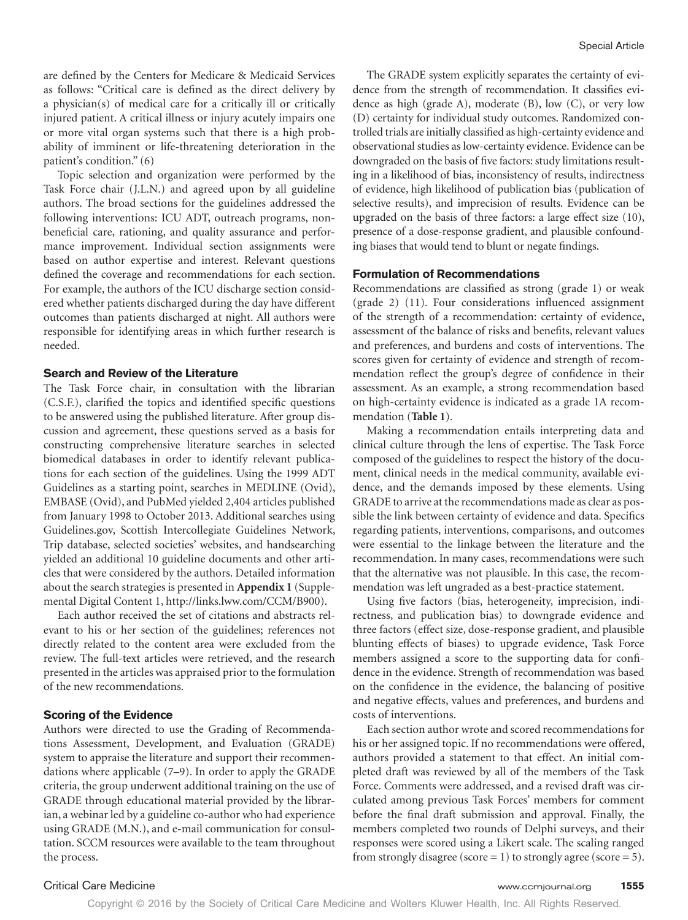are defined by the Centers for Medicare & Medicaid Services as follows: "Critical care is defined as the direct delivery by a physician(s) of medical care for a critically ill or critically injured patient. A critical illness or injury acutely impairs one or more vital organ systems such that there is a high probability of imminent or life-threatening deterioration in the patient's condition." (6)

Topic selection and organization were performed by the Task Force chair (J.L.N.) and agreed upon by all guideline authors. The broad sections for the guidelines addressed the following interventions: ICU ADT, outreach programs, nonbeneficial care, rationing, and quality assurance and performance improvement. Individual section assignments were based on author expertise and interest. Relevant questions defined the coverage and recommendations for each section. For example, the authors of the ICU discharge section considered whether patients discharged during the day have different outcomes than patients discharged at night. All authors were responsible for identifying areas in which further research is needed.

### **Search and Review of the Literature**

The Task Force chair, in consultation with the librarian (C.S.F.), clarified the topics and identified specific questions to be answered using the published literature. After group discussion and agreement, these questions served as a basis for constructing comprehensive literature searches in selected biomedical databases in order to identify relevant publications for each section of the guidelines. Using the 1999 ADT Guidelines as a starting point, searches in MEDLINE (Ovid), EMBASE (Ovid), and PubMed yielded 2,404 articles published from January 1998 to October 2013. Additional searches using Guidelines.gov, Scottish Intercollegiate Guidelines Network, Trip database, selected societies' websites, and handsearching yielded an additional 10 guideline documents and other articles that were considered by the authors. Detailed information about the search strategies is presented in **Appendix 1** (Supplemental Digital Content 1,<http://links.lww.com/CCM/B900>).

Each author received the set of citations and abstracts relevant to his or her section of the guidelines; references not directly related to the content area were excluded from the review. The full-text articles were retrieved, and the research presented in the articles was appraised prior to the formulation of the new recommendations.

### **Scoring of the Evidence**

Authors were directed to use the Grading of Recommendations Assessment, Development, and Evaluation (GRADE) system to appraise the literature and support their recommendations where applicable (7–9). In order to apply the GRADE criteria, the group underwent additional training on the use of GRADE through educational material provided by the librarian, a webinar led by a guideline co-author who had experience using GRADE (M.N.), and e-mail communication for consultation. SCCM resources were available to the team throughout the process.

The GRADE system explicitly separates the certainty of evidence from the strength of recommendation. It classifies evidence as high (grade A), moderate (B), low (C), or very low (D) certainty for individual study outcomes. Randomized controlled trials are initially classified as high-certainty evidence and observational studies as low-certainty evidence. Evidence can be downgraded on the basis of five factors: study limitations resulting in a likelihood of bias, inconsistency of results, indirectness of evidence, high likelihood of publication bias (publication of selective results), and imprecision of results. Evidence can be upgraded on the basis of three factors: a large effect size (10), presence of a dose-response gradient, and plausible confounding biases that would tend to blunt or negate findings.

### **Formulation of Recommendations**

Recommendations are classified as strong (grade 1) or weak (grade 2) (11). Four considerations influenced assignment of the strength of a recommendation: certainty of evidence, assessment of the balance of risks and benefits, relevant values and preferences, and burdens and costs of interventions. The scores given for certainty of evidence and strength of recommendation reflect the group's degree of confidence in their assessment. As an example, a strong recommendation based on high-certainty evidence is indicated as a grade 1A recommendation (**Table 1**).

Making a recommendation entails interpreting data and clinical culture through the lens of expertise. The Task Force composed of the guidelines to respect the history of the document, clinical needs in the medical community, available evidence, and the demands imposed by these elements. Using GRADE to arrive at the recommendations made as clear as possible the link between certainty of evidence and data. Specifics regarding patients, interventions, comparisons, and outcomes were essential to the linkage between the literature and the recommendation. In many cases, recommendations were such that the alternative was not plausible. In this case, the recommendation was left ungraded as a best-practice statement.

Using five factors (bias, heterogeneity, imprecision, indirectness, and publication bias) to downgrade evidence and three factors (effect size, dose-response gradient, and plausible blunting effects of biases) to upgrade evidence, Task Force members assigned a score to the supporting data for confidence in the evidence. Strength of recommendation was based on the confidence in the evidence, the balancing of positive and negative effects, values and preferences, and burdens and costs of interventions.

Each section author wrote and scored recommendations for his or her assigned topic. If no recommendations were offered, authors provided a statement to that effect. An initial completed draft was reviewed by all of the members of the Task Force. Comments were addressed, and a revised draft was circulated among previous Task Forces' members for comment before the final draft submission and approval. Finally, the members completed two rounds of Delphi surveys, and their responses were scored using a Likert scale. The scaling ranged from strongly disagree (score = 1) to strongly agree (score = 5).

### Critical Care Medicine www.ccmjournal.org **1555**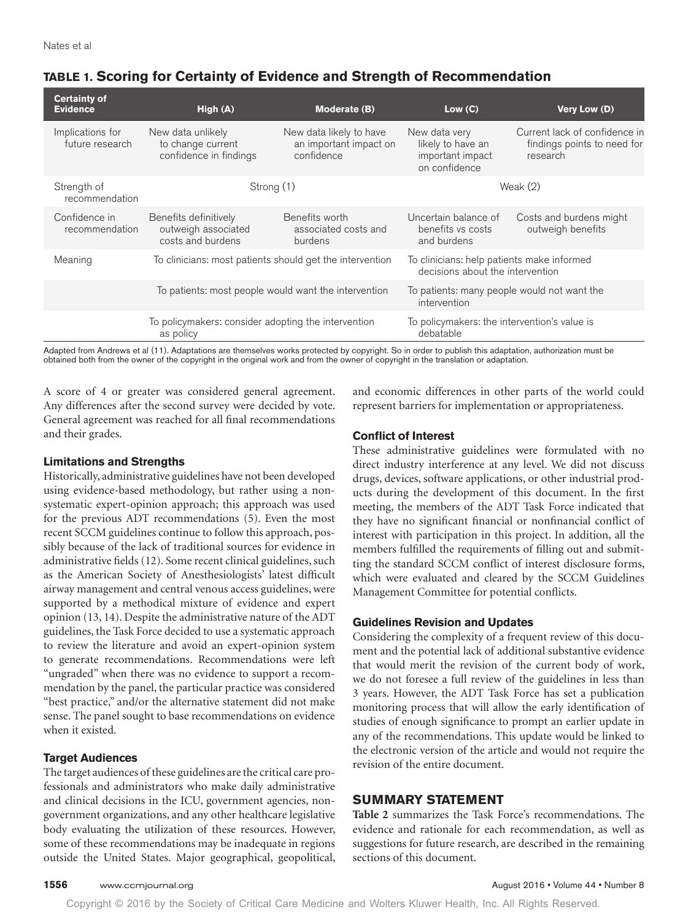# **Table 1. Scoring for Certainty of Evidence and Strength of Recommendation**

| <b>Certainty of</b><br><b>Evidence</b> | High (A)                                                          | Moderate (B)                                                    | Low (C)                                                                        | Very Low (D)                                                             |  |
|----------------------------------------|-------------------------------------------------------------------|-----------------------------------------------------------------|--------------------------------------------------------------------------------|--------------------------------------------------------------------------|--|
| Implications for<br>future research    | New data unlikely<br>to change current<br>confidence in findings  | New data likely to have<br>an important impact on<br>confidence | New data very<br>likely to have an<br>important impact<br>on confidence        | Current lack of confidence in<br>findings points to need for<br>research |  |
| Strength of<br>recommendation          | Strong (1)                                                        |                                                                 | Weak $(2)$                                                                     |                                                                          |  |
| Confidence in<br>recommendation        | Benefits definitively<br>outweigh associated<br>costs and burdens | Benefits worth<br>associated costs and<br>burdens               | Uncertain balance of<br>benefits vs costs<br>and burdens                       | Costs and burdens might<br>outweigh benefits                             |  |
| Meaning                                | To clinicians: most patients should get the intervention          |                                                                 | To clinicians: help patients make informed<br>decisions about the intervention |                                                                          |  |
|                                        | To patients: most people would want the intervention              |                                                                 | To patients: many people would not want the<br>intervention                    |                                                                          |  |
|                                        | To policymakers: consider adopting the intervention<br>as policy  |                                                                 | To policymakers: the intervention's value is<br>debatable                      |                                                                          |  |

Adapted from Andrews et al (11). Adaptations are themselves works protected by copyright. So in order to publish this adaptation, authorization must be obtained both from the owner of the copyright in the original work and from the owner of copyright in the translation or adaptation.

A score of 4 or greater was considered general agreement. Any differences after the second survey were decided by vote. General agreement was reached for all final recommendations and their grades.

## **Limitations and Strengths**

Historically, administrative guidelines have not been developed using evidence-based methodology, but rather using a nonsystematic expert-opinion approach; this approach was used for the previous ADT recommendations (5). Even the most recent SCCM guidelines continue to follow this approach, possibly because of the lack of traditional sources for evidence in administrative fields (12). Some recent clinical guidelines, such as the American Society of Anesthesiologists' latest difficult airway management and central venous access guidelines, were supported by a methodical mixture of evidence and expert opinion (13, 14). Despite the administrative nature of the ADT guidelines, the Task Force decided to use a systematic approach to review the literature and avoid an expert-opinion system to generate recommendations. Recommendations were left "ungraded" when there was no evidence to support a recommendation by the panel, the particular practice was considered "best practice," and/or the alternative statement did not make sense. The panel sought to base recommendations on evidence when it existed.

## **Target Audiences**

The target audiences of these guidelines are the critical care professionals and administrators who make daily administrative and clinical decisions in the ICU, government agencies, nongovernment organizations, and any other healthcare legislative body evaluating the utilization of these resources. However, some of these recommendations may be inadequate in regions outside the United States. Major geographical, geopolitical, and economic differences in other parts of the world could represent barriers for implementation or appropriateness.

# **Conflict of Interest**

These administrative guidelines were formulated with no direct industry interference at any level. We did not discuss drugs, devices, software applications, or other industrial products during the development of this document. In the first meeting, the members of the ADT Task Force indicated that they have no significant financial or nonfinancial conflict of interest with participation in this project. In addition, all the members fulfilled the requirements of filling out and submitting the standard SCCM conflict of interest disclosure forms, which were evaluated and cleared by the SCCM Guidelines Management Committee for potential conflicts.

## **Guidelines Revision and Updates**

Considering the complexity of a frequent review of this document and the potential lack of additional substantive evidence that would merit the revision of the current body of work, we do not foresee a full review of the guidelines in less than 3 years. However, the ADT Task Force has set a publication monitoring process that will allow the early identification of studies of enough significance to prompt an earlier update in any of the recommendations. This update would be linked to the electronic version of the article and would not require the revision of the entire document.

# **SUMMARY STATEMENT**

**Table 2** summarizes the Task Force's recommendations. The evidence and rationale for each recommendation, as well as suggestions for future research, are described in the remaining sections of this document.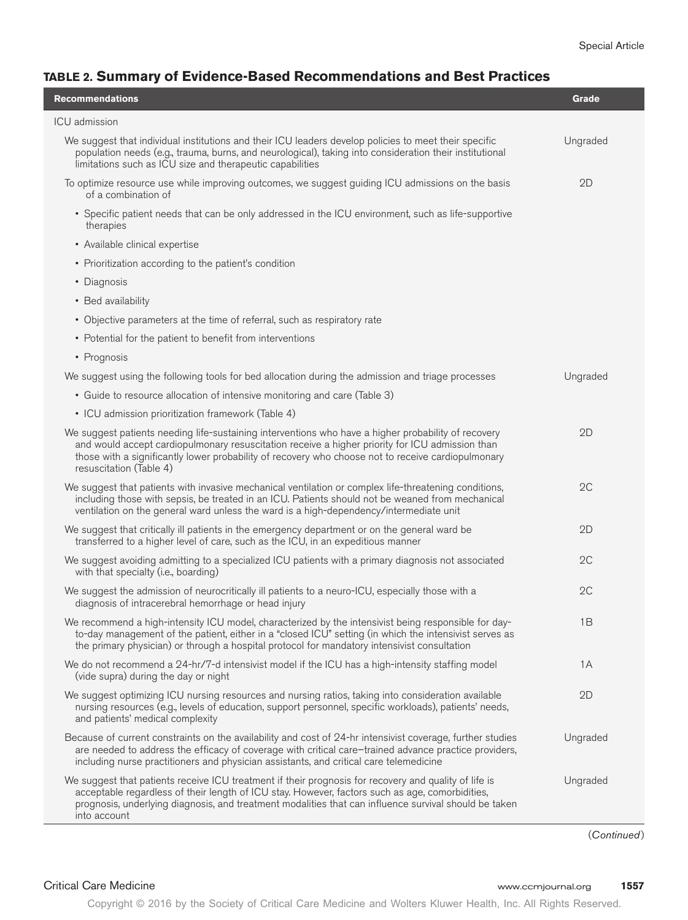# **Table 2. Summary of Evidence-Based Recommendations and Best Practices**

| <b>Recommendations</b>                                                                                                                                                                                                                                                                                                                  | Grade    |
|-----------------------------------------------------------------------------------------------------------------------------------------------------------------------------------------------------------------------------------------------------------------------------------------------------------------------------------------|----------|
| ICU admission                                                                                                                                                                                                                                                                                                                           |          |
| We suggest that individual institutions and their ICU leaders develop policies to meet their specific<br>population needs (e.g., trauma, burns, and neurological), taking into consideration their institutional<br>limitations such as ICU size and therapeutic capabilities                                                           | Ungraded |
| To optimize resource use while improving outcomes, we suggest guiding ICU admissions on the basis<br>of a combination of                                                                                                                                                                                                                | 2D       |
| • Specific patient needs that can be only addressed in the ICU environment, such as life-supportive<br>therapies                                                                                                                                                                                                                        |          |
| • Available clinical expertise                                                                                                                                                                                                                                                                                                          |          |
| • Prioritization according to the patient's condition                                                                                                                                                                                                                                                                                   |          |
| • Diagnosis                                                                                                                                                                                                                                                                                                                             |          |
| • Bed availability                                                                                                                                                                                                                                                                                                                      |          |
| • Objective parameters at the time of referral, such as respiratory rate                                                                                                                                                                                                                                                                |          |
| • Potential for the patient to benefit from interventions                                                                                                                                                                                                                                                                               |          |
| • Prognosis                                                                                                                                                                                                                                                                                                                             |          |
| We suggest using the following tools for bed allocation during the admission and triage processes                                                                                                                                                                                                                                       | Ungraded |
| • Guide to resource allocation of intensive monitoring and care (Table 3)                                                                                                                                                                                                                                                               |          |
| • ICU admission prioritization framework (Table 4)                                                                                                                                                                                                                                                                                      |          |
| We suggest patients needing life-sustaining interventions who have a higher probability of recovery<br>and would accept cardiopulmonary resuscitation receive a higher priority for ICU admission than<br>those with a significantly lower probability of recovery who choose not to receive cardiopulmonary<br>resuscitation (Table 4) | 2D       |
| We suggest that patients with invasive mechanical ventilation or complex life-threatening conditions,<br>including those with sepsis, be treated in an ICU. Patients should not be weaned from mechanical<br>ventilation on the general ward unless the ward is a high-dependency/intermediate unit                                     | 2C       |
| We suggest that critically ill patients in the emergency department or on the general ward be<br>transferred to a higher level of care, such as the ICU, in an expeditious manner                                                                                                                                                       | 2D       |
| We suggest avoiding admitting to a specialized ICU patients with a primary diagnosis not associated<br>with that specialty (i.e., boarding)                                                                                                                                                                                             | 2C       |
| We suggest the admission of neurocritically ill patients to a neuro-ICU, especially those with a<br>diagnosis of intracerebral hemorrhage or head injury                                                                                                                                                                                | 2C       |
| We recommend a high-intensity ICU model, characterized by the intensivist being responsible for day-<br>to-day management of the patient, either in a "closed ICU" setting (in which the intensivist serves as<br>the primary physician) or through a hospital protocol for mandatory intensivist consultation                          | 1B       |
| We do not recommend a 24-hr/7-d intensivist model if the ICU has a high-intensity staffing model<br>(vide supra) during the day or night                                                                                                                                                                                                | 1A       |
| We suggest optimizing ICU nursing resources and nursing ratios, taking into consideration available<br>nursing resources (e.g., levels of education, support personnel, specific workloads), patients' needs,<br>and patients' medical complexity                                                                                       | 2D       |
| Because of current constraints on the availability and cost of 24-hr intensivist coverage, further studies<br>are needed to address the efficacy of coverage with critical care-trained advance practice providers,<br>including nurse practitioners and physician assistants, and critical care telemedicine                           | Ungraded |
| We suggest that patients receive ICU treatment if their prognosis for recovery and quality of life is<br>acceptable regardless of their length of ICU stay. However, factors such as age, comorbidities,<br>prognosis, underlying diagnosis, and treatment modalities that can influence survival should be taken<br>into account       | Ungraded |

(*Continued*)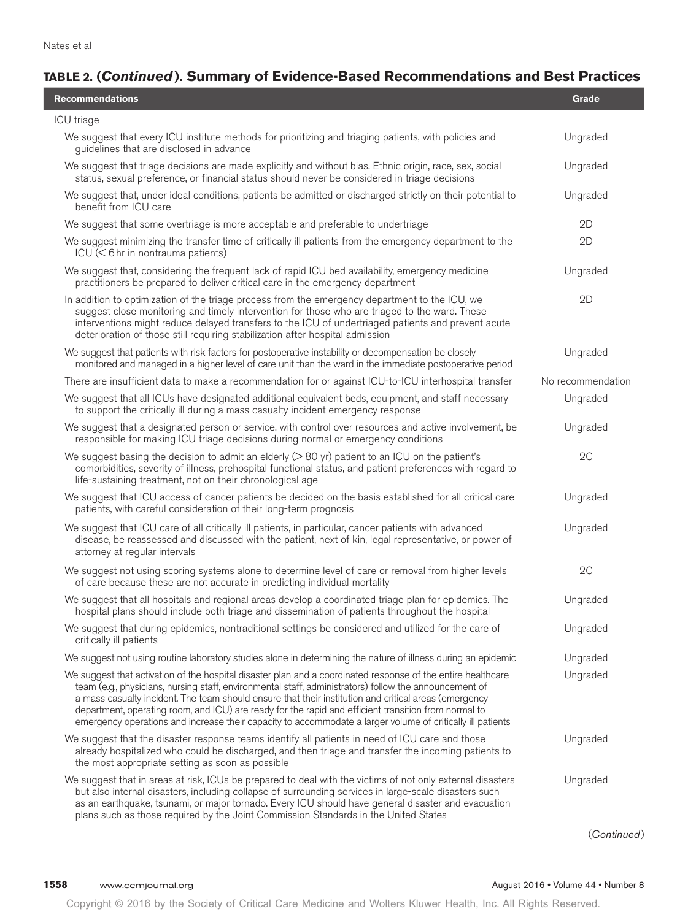# **Table 2. (***Continued***). Summary of Evidence-Based Recommendations and Best Practices**

| <b>Recommendations</b>                                                                                                                                                                                                                                                                                                                                                                                                                                                                                                                                | Grade             |
|-------------------------------------------------------------------------------------------------------------------------------------------------------------------------------------------------------------------------------------------------------------------------------------------------------------------------------------------------------------------------------------------------------------------------------------------------------------------------------------------------------------------------------------------------------|-------------------|
| ICU triage                                                                                                                                                                                                                                                                                                                                                                                                                                                                                                                                            |                   |
| We suggest that every ICU institute methods for prioritizing and triaging patients, with policies and<br>guidelines that are disclosed in advance                                                                                                                                                                                                                                                                                                                                                                                                     | Ungraded          |
| We suggest that triage decisions are made explicitly and without bias. Ethnic origin, race, sex, social<br>status, sexual preference, or financial status should never be considered in triage decisions                                                                                                                                                                                                                                                                                                                                              | Ungraded          |
| We suggest that, under ideal conditions, patients be admitted or discharged strictly on their potential to<br>benefit from ICU care                                                                                                                                                                                                                                                                                                                                                                                                                   | Ungraded          |
| We suggest that some overtriage is more acceptable and preferable to undertriage                                                                                                                                                                                                                                                                                                                                                                                                                                                                      | 2D                |
| We suggest minimizing the transfer time of critically ill patients from the emergency department to the<br>$ICU$ $(<$ 6 hr in nontrauma patients)                                                                                                                                                                                                                                                                                                                                                                                                     | 2D                |
| We suggest that, considering the frequent lack of rapid ICU bed availability, emergency medicine<br>practitioners be prepared to deliver critical care in the emergency department                                                                                                                                                                                                                                                                                                                                                                    | Ungraded          |
| In addition to optimization of the triage process from the emergency department to the ICU, we<br>suggest close monitoring and timely intervention for those who are triaged to the ward. These<br>interventions might reduce delayed transfers to the ICU of undertriaged patients and prevent acute<br>deterioration of those still requiring stabilization after hospital admission                                                                                                                                                                | 2D                |
| We suggest that patients with risk factors for postoperative instability or decompensation be closely<br>monitored and managed in a higher level of care unit than the ward in the immediate postoperative period                                                                                                                                                                                                                                                                                                                                     | Ungraded          |
| There are insufficient data to make a recommendation for or against ICU-to-ICU interhospital transfer                                                                                                                                                                                                                                                                                                                                                                                                                                                 | No recommendation |
| We suggest that all ICUs have designated additional equivalent beds, equipment, and staff necessary<br>to support the critically ill during a mass casualty incident emergency response                                                                                                                                                                                                                                                                                                                                                               | Ungraded          |
| We suggest that a designated person or service, with control over resources and active involvement, be<br>responsible for making ICU triage decisions during normal or emergency conditions                                                                                                                                                                                                                                                                                                                                                           | Ungraded          |
| We suggest basing the decision to admit an elderly $(> 80 \text{ yr})$ patient to an ICU on the patient's<br>comorbidities, severity of illness, prehospital functional status, and patient preferences with regard to<br>life-sustaining treatment, not on their chronological age                                                                                                                                                                                                                                                                   | 2C                |
| We suggest that ICU access of cancer patients be decided on the basis established for all critical care<br>patients, with careful consideration of their long-term prognosis                                                                                                                                                                                                                                                                                                                                                                          | Ungraded          |
| We suggest that ICU care of all critically ill patients, in particular, cancer patients with advanced<br>disease, be reassessed and discussed with the patient, next of kin, legal representative, or power of<br>attorney at regular intervals                                                                                                                                                                                                                                                                                                       | Ungraded          |
| We suggest not using scoring systems alone to determine level of care or removal from higher levels<br>of care because these are not accurate in predicting individual mortality                                                                                                                                                                                                                                                                                                                                                                      | 2C                |
| We suggest that all hospitals and regional areas develop a coordinated triage plan for epidemics. The<br>hospital plans should include both triage and dissemination of patients throughout the hospital                                                                                                                                                                                                                                                                                                                                              | Ungraded          |
| We suggest that during epidemics, nontraditional settings be considered and utilized for the care of<br>critically ill patients                                                                                                                                                                                                                                                                                                                                                                                                                       | Ungraded          |
| We suggest not using routine laboratory studies alone in determining the nature of illness during an epidemic                                                                                                                                                                                                                                                                                                                                                                                                                                         | Ungraded          |
| We suggest that activation of the hospital disaster plan and a coordinated response of the entire healthcare<br>team (e.g., physicians, nursing staff, environmental staff, administrators) follow the announcement of<br>a mass casualty incident. The team should ensure that their institution and critical areas (emergency<br>department, operating room, and ICU) are ready for the rapid and efficient transition from normal to<br>emergency operations and increase their capacity to accommodate a larger volume of critically ill patients | Ungraded          |
| We suggest that the disaster response teams identify all patients in need of ICU care and those<br>already hospitalized who could be discharged, and then triage and transfer the incoming patients to<br>the most appropriate setting as soon as possible                                                                                                                                                                                                                                                                                            | Ungraded          |
| We suggest that in areas at risk, ICUs be prepared to deal with the victims of not only external disasters<br>but also internal disasters, including collapse of surrounding services in large-scale disasters such<br>as an earthquake, tsunami, or major tornado. Every ICU should have general disaster and evacuation<br>plans such as those required by the Joint Commission Standards in the United States                                                                                                                                      | Ungraded          |

(*Continued*)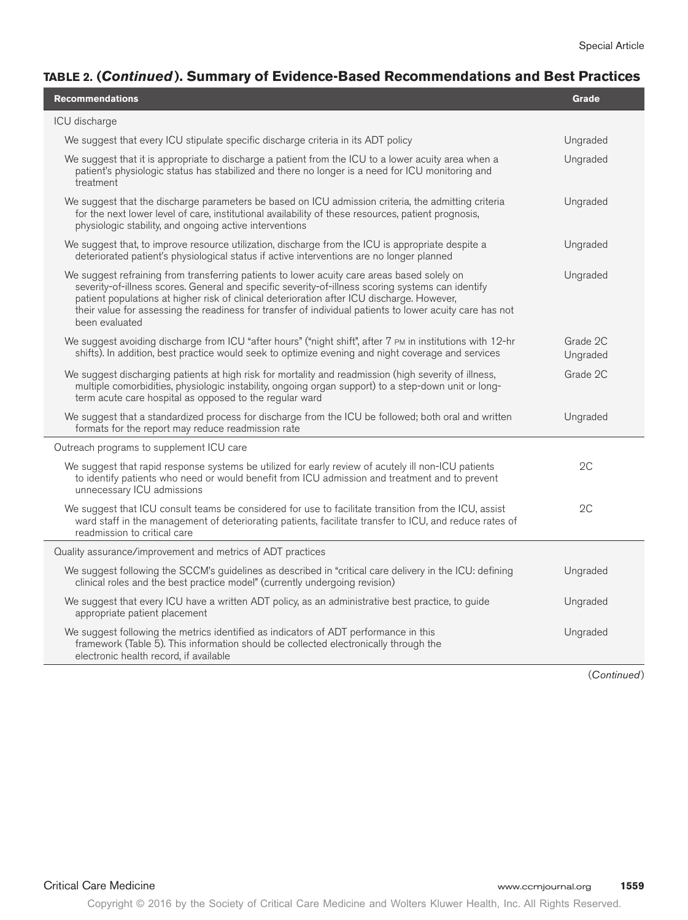# **Table 2. (***Continued***). Summary of Evidence-Based Recommendations and Best Practices**

| <b>Recommendations</b>                                                                                                                                                                                                                                                                                                                                                                                                       | Grade                |
|------------------------------------------------------------------------------------------------------------------------------------------------------------------------------------------------------------------------------------------------------------------------------------------------------------------------------------------------------------------------------------------------------------------------------|----------------------|
| ICU discharge                                                                                                                                                                                                                                                                                                                                                                                                                |                      |
| We suggest that every ICU stipulate specific discharge criteria in its ADT policy                                                                                                                                                                                                                                                                                                                                            | Ungraded             |
| We suggest that it is appropriate to discharge a patient from the ICU to a lower acuity area when a<br>patient's physiologic status has stabilized and there no longer is a need for ICU monitoring and<br>treatment                                                                                                                                                                                                         | Ungraded             |
| We suggest that the discharge parameters be based on ICU admission criteria, the admitting criteria<br>for the next lower level of care, institutional availability of these resources, patient prognosis,<br>physiologic stability, and ongoing active interventions                                                                                                                                                        | Ungraded             |
| We suggest that, to improve resource utilization, discharge from the ICU is appropriate despite a<br>deteriorated patient's physiological status if active interventions are no longer planned                                                                                                                                                                                                                               | Ungraded             |
| We suggest refraining from transferring patients to lower acuity care areas based solely on<br>severity-of-illness scores. General and specific severity-of-illness scoring systems can identify<br>patient populations at higher risk of clinical deterioration after ICU discharge. However,<br>their value for assessing the readiness for transfer of individual patients to lower acuity care has not<br>been evaluated | Ungraded             |
| We suggest avoiding discharge from ICU "after hours" ("night shift", after 7 PM in institutions with 12-hr<br>shifts). In addition, best practice would seek to optimize evening and night coverage and services                                                                                                                                                                                                             | Grade 2C<br>Ungraded |
| We suggest discharging patients at high risk for mortality and readmission (high severity of illness,<br>multiple comorbidities, physiologic instability, ongoing organ support) to a step-down unit or long-<br>term acute care hospital as opposed to the regular ward                                                                                                                                                     | Grade 2C             |
| We suggest that a standardized process for discharge from the ICU be followed; both oral and written<br>formats for the report may reduce readmission rate                                                                                                                                                                                                                                                                   | Ungraded             |
| Outreach programs to supplement ICU care                                                                                                                                                                                                                                                                                                                                                                                     |                      |
| We suggest that rapid response systems be utilized for early review of acutely ill non-ICU patients<br>to identify patients who need or would benefit from ICU admission and treatment and to prevent<br>unnecessary ICU admissions                                                                                                                                                                                          | 2C                   |
| We suggest that ICU consult teams be considered for use to facilitate transition from the ICU, assist<br>ward staff in the management of deteriorating patients, facilitate transfer to ICU, and reduce rates of<br>readmission to critical care                                                                                                                                                                             | 2C                   |
| Quality assurance/improvement and metrics of ADT practices                                                                                                                                                                                                                                                                                                                                                                   |                      |
| We suggest following the SCCM's guidelines as described in "critical care delivery in the ICU: defining<br>clinical roles and the best practice model" (currently undergoing revision)                                                                                                                                                                                                                                       | Ungraded             |
| We suggest that every ICU have a written ADT policy, as an administrative best practice, to guide<br>appropriate patient placement                                                                                                                                                                                                                                                                                           | Ungraded             |
| We suggest following the metrics identified as indicators of ADT performance in this<br>framework (Table 5). This information should be collected electronically through the<br>electronic health record, if available                                                                                                                                                                                                       | Ungraded             |

(*Continued*)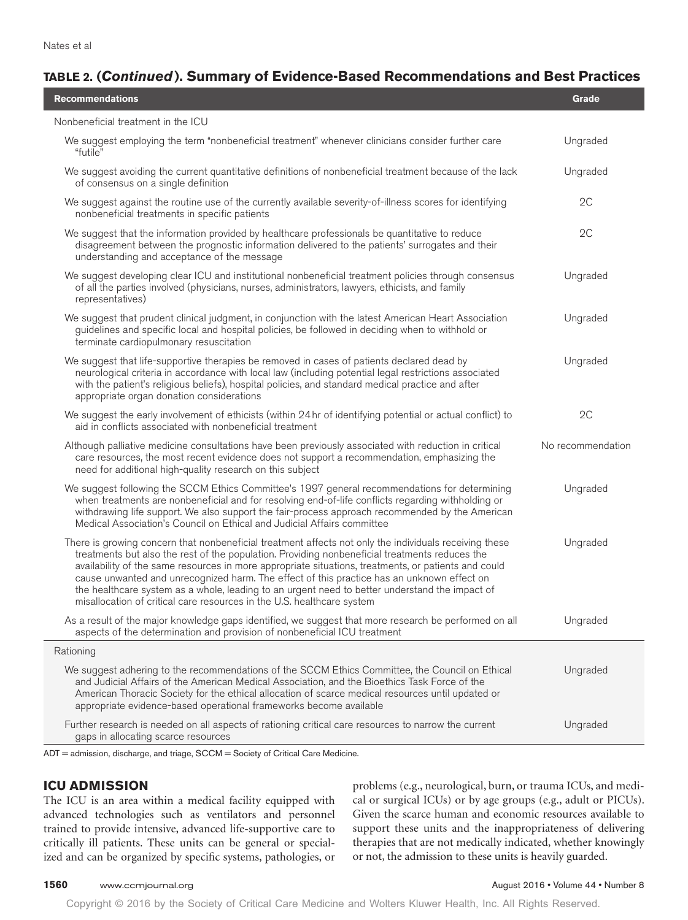# **Table 2. (***Continued***). Summary of Evidence-Based Recommendations and Best Practices**

| <b>Recommendations</b>                                                                                                                                                                                                                                                                                                                                                                                                                                                                                                                                                                     | Grade             |
|--------------------------------------------------------------------------------------------------------------------------------------------------------------------------------------------------------------------------------------------------------------------------------------------------------------------------------------------------------------------------------------------------------------------------------------------------------------------------------------------------------------------------------------------------------------------------------------------|-------------------|
| Nonbeneficial treatment in the ICU                                                                                                                                                                                                                                                                                                                                                                                                                                                                                                                                                         |                   |
| We suggest employing the term "nonbeneficial treatment" whenever clinicians consider further care<br>"futile"                                                                                                                                                                                                                                                                                                                                                                                                                                                                              | Ungraded          |
| We suggest avoiding the current quantitative definitions of nonbeneficial treatment because of the lack<br>of consensus on a single definition                                                                                                                                                                                                                                                                                                                                                                                                                                             | Ungraded          |
| We suggest against the routine use of the currently available severity-of-illness scores for identifying<br>nonbeneficial treatments in specific patients                                                                                                                                                                                                                                                                                                                                                                                                                                  | 2C                |
| We suggest that the information provided by healthcare professionals be quantitative to reduce<br>disagreement between the prognostic information delivered to the patients' surrogates and their<br>understanding and acceptance of the message                                                                                                                                                                                                                                                                                                                                           | 2C                |
| We suggest developing clear ICU and institutional nonbeneficial treatment policies through consensus<br>of all the parties involved (physicians, nurses, administrators, lawyers, ethicists, and family<br>representatives)                                                                                                                                                                                                                                                                                                                                                                | Ungraded          |
| We suggest that prudent clinical judgment, in conjunction with the latest American Heart Association<br>guidelines and specific local and hospital policies, be followed in deciding when to withhold or<br>terminate cardiopulmonary resuscitation                                                                                                                                                                                                                                                                                                                                        | Ungraded          |
| We suggest that life-supportive therapies be removed in cases of patients declared dead by<br>neurological criteria in accordance with local law (including potential legal restrictions associated<br>with the patient's religious beliefs), hospital policies, and standard medical practice and after<br>appropriate organ donation considerations                                                                                                                                                                                                                                      | Ungraded          |
| We suggest the early involvement of ethicists (within 24 hr of identifying potential or actual conflict) to<br>aid in conflicts associated with nonbeneficial treatment                                                                                                                                                                                                                                                                                                                                                                                                                    | 2C                |
| Although palliative medicine consultations have been previously associated with reduction in critical<br>care resources, the most recent evidence does not support a recommendation, emphasizing the<br>need for additional high-quality research on this subject                                                                                                                                                                                                                                                                                                                          | No recommendation |
| We suggest following the SCCM Ethics Committee's 1997 general recommendations for determining<br>when treatments are nonbeneficial and for resolving end-of-life conflicts regarding withholding or<br>withdrawing life support. We also support the fair-process approach recommended by the American<br>Medical Association's Council on Ethical and Judicial Affairs committee                                                                                                                                                                                                          | Ungraded          |
| There is growing concern that nonbeneficial treatment affects not only the individuals receiving these<br>treatments but also the rest of the population. Providing nonbeneficial treatments reduces the<br>availability of the same resources in more appropriate situations, treatments, or patients and could<br>cause unwanted and unrecognized harm. The effect of this practice has an unknown effect on<br>the healthcare system as a whole, leading to an urgent need to better understand the impact of<br>misallocation of critical care resources in the U.S. healthcare system | Ungraded          |
| As a result of the major knowledge gaps identified, we suggest that more research be performed on all<br>aspects of the determination and provision of nonbeneficial ICU treatment                                                                                                                                                                                                                                                                                                                                                                                                         | Ungraded          |
| Rationing                                                                                                                                                                                                                                                                                                                                                                                                                                                                                                                                                                                  |                   |
| We suggest adhering to the recommendations of the SCCM Ethics Committee, the Council on Ethical<br>and Judicial Affairs of the American Medical Association, and the Bioethics Task Force of the<br>American Thoracic Society for the ethical allocation of scarce medical resources until updated or<br>appropriate evidence-based operational frameworks become available                                                                                                                                                                                                                | Ungraded          |
| Further research is needed on all aspects of rationing critical care resources to narrow the current<br>gaps in allocating scarce resources                                                                                                                                                                                                                                                                                                                                                                                                                                                | Ungraded          |

ADT = admission, discharge, and triage, SCCM = Society of Critical Care Medicine.

# **ICU ADMISSION**

The ICU is an area within a medical facility equipped with advanced technologies such as ventilators and personnel trained to provide intensive, advanced life-supportive care to critically ill patients. These units can be general or specialized and can be organized by specific systems, pathologies, or

problems (e.g., neurological, burn, or trauma ICUs, and medical or surgical ICUs) or by age groups (e.g., adult or PICUs). Given the scarce human and economic resources available to support these units and the inappropriateness of delivering therapies that are not medically indicated, whether knowingly or not, the admission to these units is heavily guarded.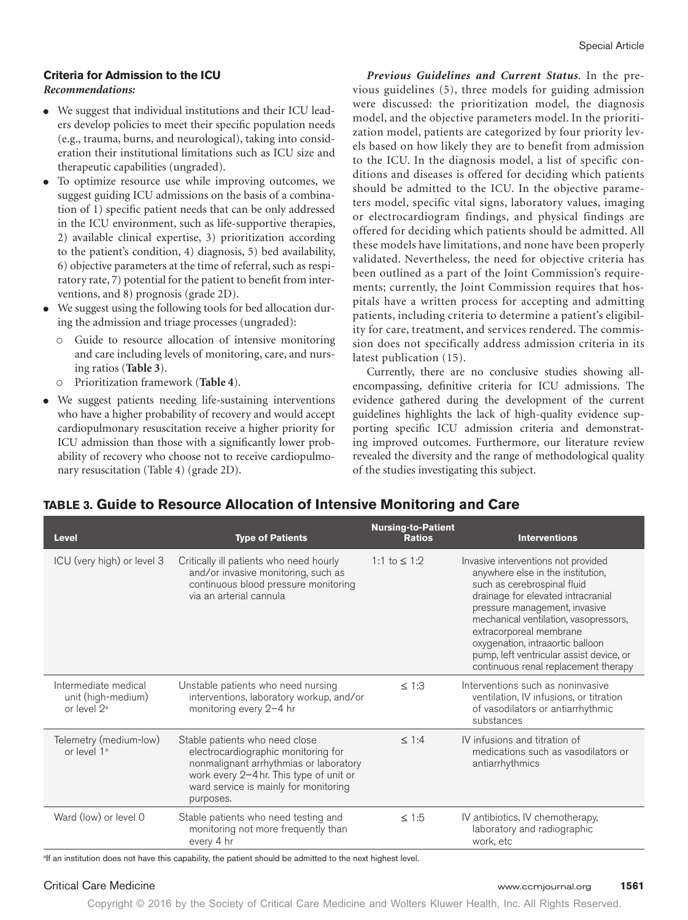# **Criteria for Admission to the ICU** *Recommendations:*

- We suggest that individual institutions and their ICU leaders develop policies to meet their specific population needs (e.g., trauma, burns, and neurological), taking into consideration their institutional limitations such as ICU size and therapeutic capabilities (ungraded).
- To optimize resource use while improving outcomes, we suggest guiding ICU admissions on the basis of a combination of 1) specific patient needs that can be only addressed in the ICU environment, such as life-supportive therapies, 2) available clinical expertise, 3) prioritization according to the patient's condition, 4) diagnosis, 5) bed availability, 6) objective parameters at the time of referral, such as respiratory rate, 7) potential for the patient to benefit from interventions, and 8) prognosis (grade 2D).
- We suggest using the following tools for bed allocation during the admission and triage processes (ungraded):
	- Guide to resource allocation of intensive monitoring and care including levels of monitoring, care, and nursing ratios (**Table 3**).
	- Prioritization framework (**Table 4**).
- We suggest patients needing life-sustaining interventions who have a higher probability of recovery and would accept cardiopulmonary resuscitation receive a higher priority for ICU admission than those with a significantly lower probability of recovery who choose not to receive cardiopulmonary resuscitation (Table 4) (grade 2D).

*Previous Guidelines and Current Status*. In the previous guidelines (5), three models for guiding admission were discussed: the prioritization model, the diagnosis model, and the objective parameters model. In the prioritization model, patients are categorized by four priority levels based on how likely they are to benefit from admission to the ICU. In the diagnosis model, a list of specific conditions and diseases is offered for deciding which patients should be admitted to the ICU. In the objective parameters model, specific vital signs, laboratory values, imaging or electrocardiogram findings, and physical findings are offered for deciding which patients should be admitted. All these models have limitations, and none have been properly validated. Nevertheless, the need for objective criteria has been outlined as a part of the Joint Commission's requirements; currently, the Joint Commission requires that hospitals have a written process for accepting and admitting patients, including criteria to determine a patient's eligibility for care, treatment, and services rendered. The commission does not specifically address admission criteria in its latest publication (15).

Currently, there are no conclusive studies showing allencompassing, definitive criteria for ICU admissions. The evidence gathered during the development of the current guidelines highlights the lack of high-quality evidence supporting specific ICU admission criteria and demonstrating improved outcomes. Furthermore, our literature review revealed the diversity and the range of methodological quality of the studies investigating this subject.

# **Table 3. Guide to Resource Allocation of Intensive Monitoring and Care**

| <b>Level</b>                                                          | <b>Type of Patients</b>                                                                                                                                                                                          | <b>Nursing-to-Patient</b><br><b>Ratios</b> | <b>Interventions</b>                                                                                                                                                                                                                                                                                                                                                       |
|-----------------------------------------------------------------------|------------------------------------------------------------------------------------------------------------------------------------------------------------------------------------------------------------------|--------------------------------------------|----------------------------------------------------------------------------------------------------------------------------------------------------------------------------------------------------------------------------------------------------------------------------------------------------------------------------------------------------------------------------|
| ICU (very high) or level 3                                            | Critically ill patients who need hourly<br>and/or invasive monitoring, such as<br>continuous blood pressure monitoring<br>via an arterial cannula                                                                | 1:1 to $\leq 1:2$                          | Invasive interventions not provided<br>anywhere else in the institution,<br>such as cerebrospinal fluid<br>drainage for elevated intracranial<br>pressure management, invasive<br>mechanical ventilation, vasopressors,<br>extracorporeal membrane<br>oxygenation, intraaortic balloon<br>pump, left ventricular assist device, or<br>continuous renal replacement therapy |
| Intermediate medical<br>unit (high-medium)<br>or level 2 <sup>a</sup> | Unstable patients who need nursing<br>interventions, laboratory workup, and/or<br>monitoring every 2-4 hr                                                                                                        | $\leq 1:3$                                 | Interventions such as noninvasive<br>ventilation, IV infusions, or titration<br>of vasodilators or antiarrhythmic<br>substances                                                                                                                                                                                                                                            |
| Telemetry (medium-low)<br>or level 1 <sup>a</sup>                     | Stable patients who need close<br>electrocardiographic monitoring for<br>nonmalignant arrhythmias or laboratory<br>work every 2-4 hr. This type of unit or<br>ward service is mainly for monitoring<br>purposes. | $\leq 1:4$                                 | IV infusions and titration of<br>medications such as vasodilators or<br>antiarrhythmics                                                                                                                                                                                                                                                                                    |
| Ward (low) or level 0                                                 | Stable patients who need testing and<br>monitoring not more frequently than<br>every 4 hr                                                                                                                        | ≤ 1:5                                      | IV antibiotics, IV chemotherapy,<br>laboratory and radiographic<br>work, etc                                                                                                                                                                                                                                                                                               |

a If an institution does not have this capability, the patient should be admitted to the next highest level.

## Critical Care Medicine www.ccmjournal.org **1561**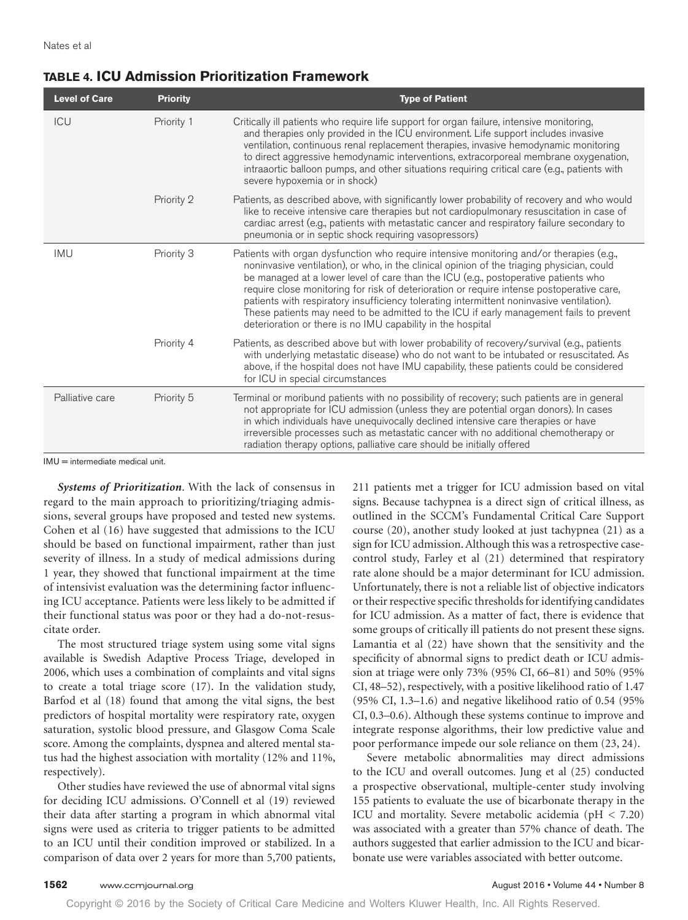| <b>Level of Care</b> | <b>Priority</b> | <b>Type of Patient</b>                                                                                                                                                                                                                                                                                                                                                                                                                                                                                                                                                                                                          |
|----------------------|-----------------|---------------------------------------------------------------------------------------------------------------------------------------------------------------------------------------------------------------------------------------------------------------------------------------------------------------------------------------------------------------------------------------------------------------------------------------------------------------------------------------------------------------------------------------------------------------------------------------------------------------------------------|
| ICU                  | Priority 1      | Critically ill patients who require life support for organ failure, intensive monitoring,<br>and therapies only provided in the ICU environment. Life support includes invasive<br>ventilation, continuous renal replacement therapies, invasive hemodynamic monitoring<br>to direct aggressive hemodynamic interventions, extracorporeal membrane oxygenation,<br>intraaortic balloon pumps, and other situations requiring critical care (e.g., patients with<br>severe hypoxemia or in shock)                                                                                                                                |
|                      | Priority 2      | Patients, as described above, with significantly lower probability of recovery and who would<br>like to receive intensive care therapies but not cardiopulmonary resuscitation in case of<br>cardiac arrest (e.g., patients with metastatic cancer and respiratory failure secondary to<br>pneumonia or in septic shock requiring vasopressors)                                                                                                                                                                                                                                                                                 |
| <b>IMU</b>           | Priority 3      | Patients with organ dysfunction who require intensive monitoring and/or therapies (e.g.,<br>noninvasive ventilation), or who, in the clinical opinion of the triaging physician, could<br>be managed at a lower level of care than the ICU (e.g., postoperative patients who<br>require close monitoring for risk of deterioration or require intense postoperative care,<br>patients with respiratory insufficiency tolerating intermittent noninvasive ventilation).<br>These patients may need to be admitted to the ICU if early management fails to prevent<br>deterioration or there is no IMU capability in the hospital |
|                      | Priority 4      | Patients, as described above but with lower probability of recovery/survival (e.g., patients<br>with underlying metastatic disease) who do not want to be intubated or resuscitated. As<br>above, if the hospital does not have IMU capability, these patients could be considered<br>for ICU in special circumstances                                                                                                                                                                                                                                                                                                          |
| Palliative care      | Priority 5      | Terminal or moribund patients with no possibility of recovery; such patients are in general<br>not appropriate for ICU admission (unless they are potential organ donors). In cases<br>in which individuals have unequivocally declined intensive care therapies or have<br>irreversible processes such as metastatic cancer with no additional chemotherapy or<br>radiation therapy options, palliative care should be initially offered                                                                                                                                                                                       |

IMU = intermediate medical unit.

*Systems of Prioritization*. With the lack of consensus in regard to the main approach to prioritizing/triaging admissions, several groups have proposed and tested new systems. Cohen et al (16) have suggested that admissions to the ICU should be based on functional impairment, rather than just severity of illness. In a study of medical admissions during 1 year, they showed that functional impairment at the time of intensivist evaluation was the determining factor influencing ICU acceptance. Patients were less likely to be admitted if their functional status was poor or they had a do-not-resuscitate order.

The most structured triage system using some vital signs available is Swedish Adaptive Process Triage, developed in 2006, which uses a combination of complaints and vital signs to create a total triage score (17). In the validation study, Barfod et al (18) found that among the vital signs, the best predictors of hospital mortality were respiratory rate, oxygen saturation, systolic blood pressure, and Glasgow Coma Scale score. Among the complaints, dyspnea and altered mental status had the highest association with mortality (12% and 11%, respectively).

Other studies have reviewed the use of abnormal vital signs for deciding ICU admissions. O'Connell et al (19) reviewed their data after starting a program in which abnormal vital signs were used as criteria to trigger patients to be admitted to an ICU until their condition improved or stabilized. In a comparison of data over 2 years for more than 5,700 patients,

211 patients met a trigger for ICU admission based on vital signs. Because tachypnea is a direct sign of critical illness, as outlined in the SCCM's Fundamental Critical Care Support course (20), another study looked at just tachypnea (21) as a sign for ICU admission. Although this was a retrospective casecontrol study, Farley et al (21) determined that respiratory rate alone should be a major determinant for ICU admission. Unfortunately, there is not a reliable list of objective indicators or their respective specific thresholds for identifying candidates for ICU admission. As a matter of fact, there is evidence that some groups of critically ill patients do not present these signs. Lamantia et al (22) have shown that the sensitivity and the specificity of abnormal signs to predict death or ICU admission at triage were only 73% (95% CI, 66–81) and 50% (95% CI, 48–52), respectively, with a positive likelihood ratio of 1.47 (95% CI, 1.3–1.6) and negative likelihood ratio of 0.54 (95% CI, 0.3–0.6). Although these systems continue to improve and integrate response algorithms, their low predictive value and poor performance impede our sole reliance on them (23, 24).

Severe metabolic abnormalities may direct admissions to the ICU and overall outcomes. Jung et al (25) conducted a prospective observational, multiple-center study involving 155 patients to evaluate the use of bicarbonate therapy in the ICU and mortality. Severe metabolic acidemia (pH < 7.20) was associated with a greater than 57% chance of death. The authors suggested that earlier admission to the ICU and bicarbonate use were variables associated with better outcome.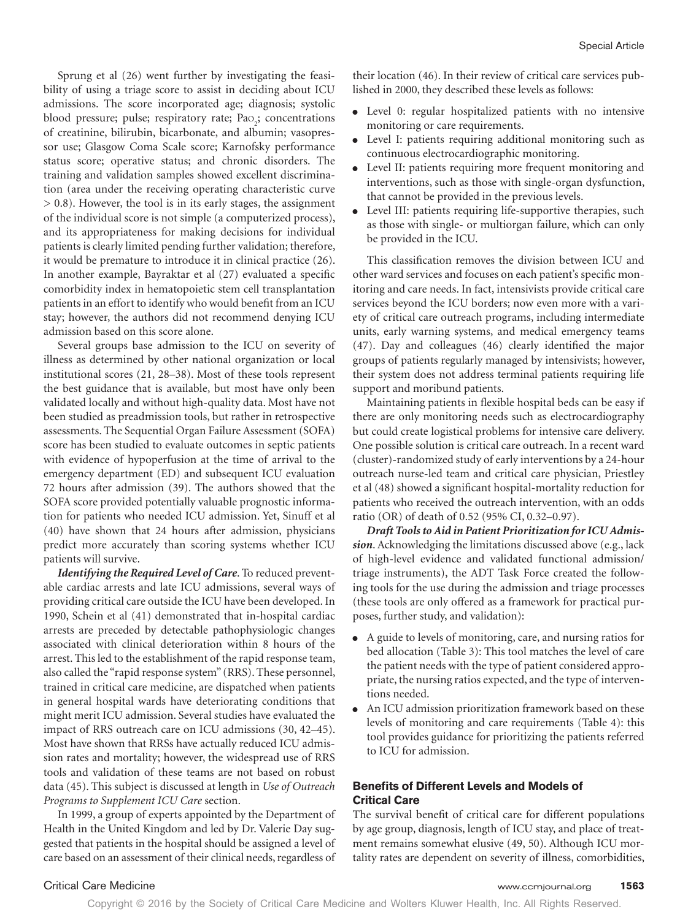Sprung et al (26) went further by investigating the feasibility of using a triage score to assist in deciding about ICU admissions. The score incorporated age; diagnosis; systolic blood pressure; pulse; respiratory rate; Pao<sub>2</sub>; concentrations of creatinine, bilirubin, bicarbonate, and albumin; vasopressor use; Glasgow Coma Scale score; Karnofsky performance status score; operative status; and chronic disorders. The training and validation samples showed excellent discrimination (area under the receiving operating characteristic curve > 0.8). However, the tool is in its early stages, the assignment of the individual score is not simple (a computerized process), and its appropriateness for making decisions for individual patients is clearly limited pending further validation; therefore, it would be premature to introduce it in clinical practice (26). In another example, Bayraktar et al (27) evaluated a specific comorbidity index in hematopoietic stem cell transplantation patients in an effort to identify who would benefit from an ICU stay; however, the authors did not recommend denying ICU admission based on this score alone.

Several groups base admission to the ICU on severity of illness as determined by other national organization or local institutional scores (21, 28–38). Most of these tools represent the best guidance that is available, but most have only been validated locally and without high-quality data. Most have not been studied as preadmission tools, but rather in retrospective assessments. The Sequential Organ Failure Assessment (SOFA) score has been studied to evaluate outcomes in septic patients with evidence of hypoperfusion at the time of arrival to the emergency department (ED) and subsequent ICU evaluation 72 hours after admission (39). The authors showed that the SOFA score provided potentially valuable prognostic information for patients who needed ICU admission. Yet, Sinuff et al (40) have shown that 24 hours after admission, physicians predict more accurately than scoring systems whether ICU patients will survive.

*Identifying the Required Level of Care*. To reduced preventable cardiac arrests and late ICU admissions, several ways of providing critical care outside the ICU have been developed. In 1990, Schein et al (41) demonstrated that in-hospital cardiac arrests are preceded by detectable pathophysiologic changes associated with clinical deterioration within 8 hours of the arrest. This led to the establishment of the rapid response team, also called the "rapid response system" (RRS). These personnel, trained in critical care medicine, are dispatched when patients in general hospital wards have deteriorating conditions that might merit ICU admission. Several studies have evaluated the impact of RRS outreach care on ICU admissions (30, 42–45). Most have shown that RRSs have actually reduced ICU admission rates and mortality; however, the widespread use of RRS tools and validation of these teams are not based on robust data (45). This subject is discussed at length in *Use of Outreach Programs to Supplement ICU Care* section.

In 1999, a group of experts appointed by the Department of Health in the United Kingdom and led by Dr. Valerie Day suggested that patients in the hospital should be assigned a level of care based on an assessment of their clinical needs, regardless of

their location (46). In their review of critical care services published in 2000, they described these levels as follows:

- Level 0: regular hospitalized patients with no intensive monitoring or care requirements.
- Level I: patients requiring additional monitoring such as continuous electrocardiographic monitoring.
- Level II: patients requiring more frequent monitoring and interventions, such as those with single-organ dysfunction, that cannot be provided in the previous levels.
- Level III: patients requiring life-supportive therapies, such as those with single- or multiorgan failure, which can only be provided in the ICU.

This classification removes the division between ICU and other ward services and focuses on each patient's specific monitoring and care needs. In fact, intensivists provide critical care services beyond the ICU borders; now even more with a variety of critical care outreach programs, including intermediate units, early warning systems, and medical emergency teams (47). Day and colleagues (46) clearly identified the major groups of patients regularly managed by intensivists; however, their system does not address terminal patients requiring life support and moribund patients.

Maintaining patients in flexible hospital beds can be easy if there are only monitoring needs such as electrocardiography but could create logistical problems for intensive care delivery. One possible solution is critical care outreach. In a recent ward (cluster)-randomized study of early interventions by a 24-hour outreach nurse-led team and critical care physician, Priestley et al (48) showed a significant hospital-mortality reduction for patients who received the outreach intervention, with an odds ratio (OR) of death of 0.52 (95% CI, 0.32–0.97).

*Draft Tools to Aid in Patient Prioritization for ICU Admission*. Acknowledging the limitations discussed above (e.g., lack of high-level evidence and validated functional admission/ triage instruments), the ADT Task Force created the following tools for the use during the admission and triage processes (these tools are only offered as a framework for practical purposes, further study, and validation):

- A guide to levels of monitoring, care, and nursing ratios for bed allocation (Table 3): This tool matches the level of care the patient needs with the type of patient considered appropriate, the nursing ratios expected, and the type of interventions needed.
- An ICU admission prioritization framework based on these levels of monitoring and care requirements (Table 4): this tool provides guidance for prioritizing the patients referred to ICU for admission.

# **Benefits of Different Levels and Models of Critical Care**

The survival benefit of critical care for different populations by age group, diagnosis, length of ICU stay, and place of treatment remains somewhat elusive (49, 50). Although ICU mortality rates are dependent on severity of illness, comorbidities,

### Critical Care Medicine www.ccmjournal.org **1563**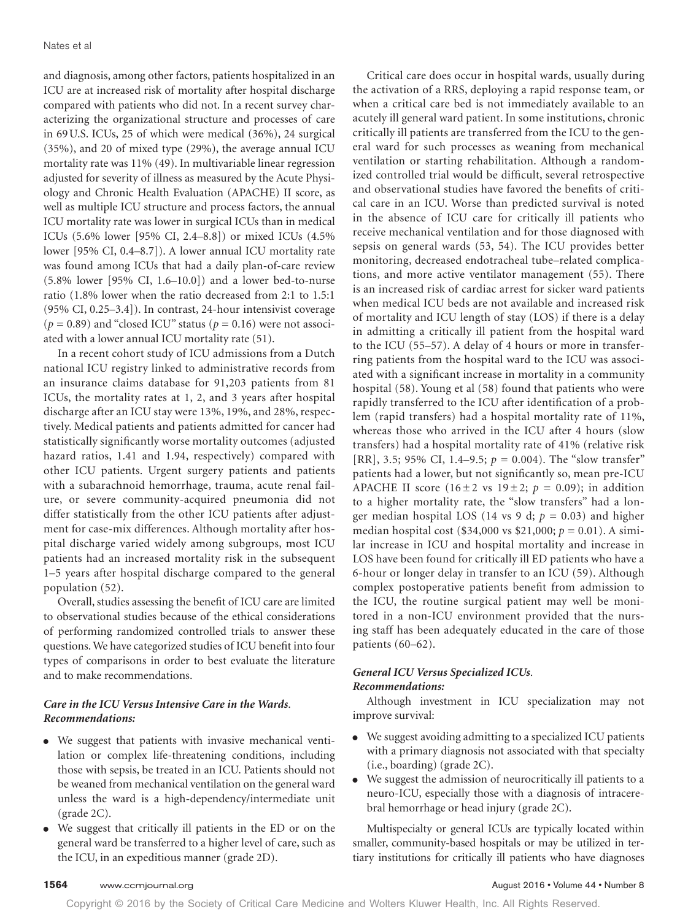and diagnosis, among other factors, patients hospitalized in an ICU are at increased risk of mortality after hospital discharge compared with patients who did not. In a recent survey characterizing the organizational structure and processes of care in 69U.S. ICUs, 25 of which were medical (36%), 24 surgical (35%), and 20 of mixed type (29%), the average annual ICU mortality rate was 11% (49). In multivariable linear regression adjusted for severity of illness as measured by the Acute Physiology and Chronic Health Evaluation (APACHE) II score, as well as multiple ICU structure and process factors, the annual ICU mortality rate was lower in surgical ICUs than in medical ICUs (5.6% lower [95% CI, 2.4–8.8]) or mixed ICUs (4.5% lower [95% CI, 0.4–8.7]). A lower annual ICU mortality rate was found among ICUs that had a daily plan-of-care review (5.8% lower [95% CI, 1.6–10.0]) and a lower bed-to-nurse ratio (1.8% lower when the ratio decreased from 2:1 to 1.5:1 (95% CI, 0.25–3.4]). In contrast, 24-hour intensivist coverage  $(p = 0.89)$  and "closed ICU" status  $(p = 0.16)$  were not associated with a lower annual ICU mortality rate (51).

In a recent cohort study of ICU admissions from a Dutch national ICU registry linked to administrative records from an insurance claims database for 91,203 patients from 81 ICUs, the mortality rates at 1, 2, and 3 years after hospital discharge after an ICU stay were 13%, 19%, and 28%, respectively. Medical patients and patients admitted for cancer had statistically significantly worse mortality outcomes (adjusted hazard ratios, 1.41 and 1.94, respectively) compared with other ICU patients. Urgent surgery patients and patients with a subarachnoid hemorrhage, trauma, acute renal failure, or severe community-acquired pneumonia did not differ statistically from the other ICU patients after adjustment for case-mix differences. Although mortality after hospital discharge varied widely among subgroups, most ICU patients had an increased mortality risk in the subsequent 1–5 years after hospital discharge compared to the general population (52).

Overall, studies assessing the benefit of ICU care are limited to observational studies because of the ethical considerations of performing randomized controlled trials to answer these questions. We have categorized studies of ICU benefit into four types of comparisons in order to best evaluate the literature and to make recommendations.

# *Care in the ICU Versus Intensive Care in the Wards*. *Recommendations:*

- We suggest that patients with invasive mechanical ventilation or complex life-threatening conditions, including those with sepsis, be treated in an ICU. Patients should not be weaned from mechanical ventilation on the general ward unless the ward is a high-dependency/intermediate unit (grade 2C).
- We suggest that critically ill patients in the ED or on the general ward be transferred to a higher level of care, such as the ICU, in an expeditious manner (grade 2D).

Critical care does occur in hospital wards, usually during the activation of a RRS, deploying a rapid response team, or when a critical care bed is not immediately available to an acutely ill general ward patient. In some institutions, chronic critically ill patients are transferred from the ICU to the general ward for such processes as weaning from mechanical ventilation or starting rehabilitation. Although a randomized controlled trial would be difficult, several retrospective and observational studies have favored the benefits of critical care in an ICU. Worse than predicted survival is noted in the absence of ICU care for critically ill patients who receive mechanical ventilation and for those diagnosed with sepsis on general wards (53, 54). The ICU provides better monitoring, decreased endotracheal tube–related complications, and more active ventilator management (55). There is an increased risk of cardiac arrest for sicker ward patients when medical ICU beds are not available and increased risk of mortality and ICU length of stay (LOS) if there is a delay in admitting a critically ill patient from the hospital ward to the ICU (55–57). A delay of 4 hours or more in transferring patients from the hospital ward to the ICU was associated with a significant increase in mortality in a community hospital (58). Young et al (58) found that patients who were rapidly transferred to the ICU after identification of a problem (rapid transfers) had a hospital mortality rate of 11%, whereas those who arrived in the ICU after 4 hours (slow transfers) had a hospital mortality rate of 41% (relative risk [RR], 3.5; 95% CI, 1.4–9.5; *p* = 0.004). The "slow transfer" patients had a lower, but not significantly so, mean pre-ICU APACHE II score ( $16 \pm 2$  vs  $19 \pm 2$ ;  $p = 0.09$ ); in addition to a higher mortality rate, the "slow transfers" had a longer median hospital LOS (14 vs 9 d;  $p = 0.03$ ) and higher median hospital cost (\$34,000 vs \$21,000; *p* = 0.01). A similar increase in ICU and hospital mortality and increase in LOS have been found for critically ill ED patients who have a 6-hour or longer delay in transfer to an ICU (59). Although complex postoperative patients benefit from admission to the ICU, the routine surgical patient may well be monitored in a non-ICU environment provided that the nursing staff has been adequately educated in the care of those patients (60–62).

# *General ICU Versus Specialized ICUs*.

### *Recommendations:*

Although investment in ICU specialization may not improve survival:

- We suggest avoiding admitting to a specialized ICU patients with a primary diagnosis not associated with that specialty (i.e., boarding) (grade 2C).
- We suggest the admission of neurocritically ill patients to a neuro-ICU, especially those with a diagnosis of intracerebral hemorrhage or head injury (grade 2C).

Multispecialty or general ICUs are typically located within smaller, community-based hospitals or may be utilized in tertiary institutions for critically ill patients who have diagnoses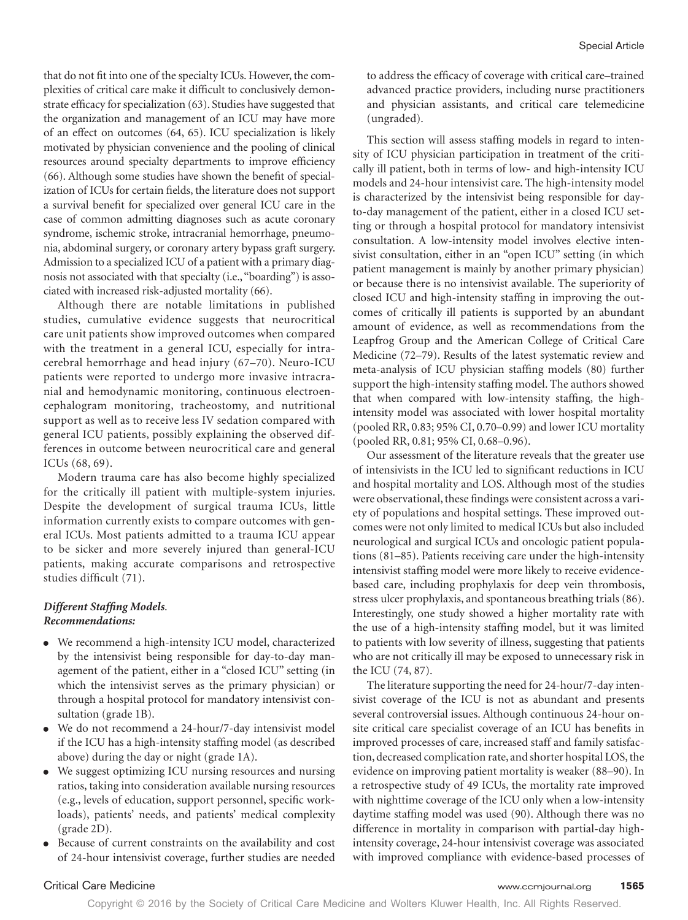that do not fit into one of the specialty ICUs. However, the complexities of critical care make it difficult to conclusively demonstrate efficacy for specialization (63). Studies have suggested that the organization and management of an ICU may have more of an effect on outcomes (64, 65). ICU specialization is likely motivated by physician convenience and the pooling of clinical resources around specialty departments to improve efficiency (66). Although some studies have shown the benefit of specialization of ICUs for certain fields, the literature does not support a survival benefit for specialized over general ICU care in the case of common admitting diagnoses such as acute coronary syndrome, ischemic stroke, intracranial hemorrhage, pneumonia, abdominal surgery, or coronary artery bypass graft surgery. Admission to a specialized ICU of a patient with a primary diagnosis not associated with that specialty (i.e., "boarding") is associated with increased risk-adjusted mortality (66).

Although there are notable limitations in published studies, cumulative evidence suggests that neurocritical care unit patients show improved outcomes when compared with the treatment in a general ICU, especially for intracerebral hemorrhage and head injury (67–70). Neuro-ICU patients were reported to undergo more invasive intracranial and hemodynamic monitoring, continuous electroencephalogram monitoring, tracheostomy, and nutritional support as well as to receive less IV sedation compared with general ICU patients, possibly explaining the observed differences in outcome between neurocritical care and general ICUs (68, 69).

Modern trauma care has also become highly specialized for the critically ill patient with multiple-system injuries. Despite the development of surgical trauma ICUs, little information currently exists to compare outcomes with general ICUs. Most patients admitted to a trauma ICU appear to be sicker and more severely injured than general-ICU patients, making accurate comparisons and retrospective studies difficult (71).

### *Different Staffing Models*. *Recommendations:*

- We recommend a high-intensity ICU model, characterized by the intensivist being responsible for day-to-day management of the patient, either in a "closed ICU" setting (in which the intensivist serves as the primary physician) or through a hospital protocol for mandatory intensivist consultation (grade 1B).
- We do not recommend a 24-hour/7-day intensivist model if the ICU has a high-intensity staffing model (as described above) during the day or night (grade 1A).
- We suggest optimizing ICU nursing resources and nursing ratios, taking into consideration available nursing resources (e.g., levels of education, support personnel, specific workloads), patients' needs, and patients' medical complexity (grade 2D).
- Because of current constraints on the availability and cost of 24-hour intensivist coverage, further studies are needed

to address the efficacy of coverage with critical care–trained advanced practice providers, including nurse practitioners and physician assistants, and critical care telemedicine (ungraded).

This section will assess staffing models in regard to intensity of ICU physician participation in treatment of the critically ill patient, both in terms of low- and high-intensity ICU models and 24-hour intensivist care. The high-intensity model is characterized by the intensivist being responsible for dayto-day management of the patient, either in a closed ICU setting or through a hospital protocol for mandatory intensivist consultation. A low-intensity model involves elective intensivist consultation, either in an "open ICU" setting (in which patient management is mainly by another primary physician) or because there is no intensivist available. The superiority of closed ICU and high-intensity staffing in improving the outcomes of critically ill patients is supported by an abundant amount of evidence, as well as recommendations from the Leapfrog Group and the American College of Critical Care Medicine (72–79). Results of the latest systematic review and meta-analysis of ICU physician staffing models (80) further support the high-intensity staffing model. The authors showed that when compared with low-intensity staffing, the highintensity model was associated with lower hospital mortality (pooled RR, 0.83; 95% CI, 0.70–0.99) and lower ICU mortality (pooled RR, 0.81; 95% CI, 0.68–0.96).

Our assessment of the literature reveals that the greater use of intensivists in the ICU led to significant reductions in ICU and hospital mortality and LOS. Although most of the studies were observational, these findings were consistent across a variety of populations and hospital settings. These improved outcomes were not only limited to medical ICUs but also included neurological and surgical ICUs and oncologic patient populations (81–85). Patients receiving care under the high-intensity intensivist staffing model were more likely to receive evidencebased care, including prophylaxis for deep vein thrombosis, stress ulcer prophylaxis, and spontaneous breathing trials (86). Interestingly, one study showed a higher mortality rate with the use of a high-intensity staffing model, but it was limited to patients with low severity of illness, suggesting that patients who are not critically ill may be exposed to unnecessary risk in the ICU (74, 87).

The literature supporting the need for 24-hour/7-day intensivist coverage of the ICU is not as abundant and presents several controversial issues. Although continuous 24-hour onsite critical care specialist coverage of an ICU has benefits in improved processes of care, increased staff and family satisfaction, decreased complication rate, and shorter hospital LOS, the evidence on improving patient mortality is weaker (88–90). In a retrospective study of 49 ICUs, the mortality rate improved with nighttime coverage of the ICU only when a low-intensity daytime staffing model was used (90). Although there was no difference in mortality in comparison with partial-day highintensity coverage, 24-hour intensivist coverage was associated with improved compliance with evidence-based processes of

### Critical Care Medicine www.ccmjournal.org **1565**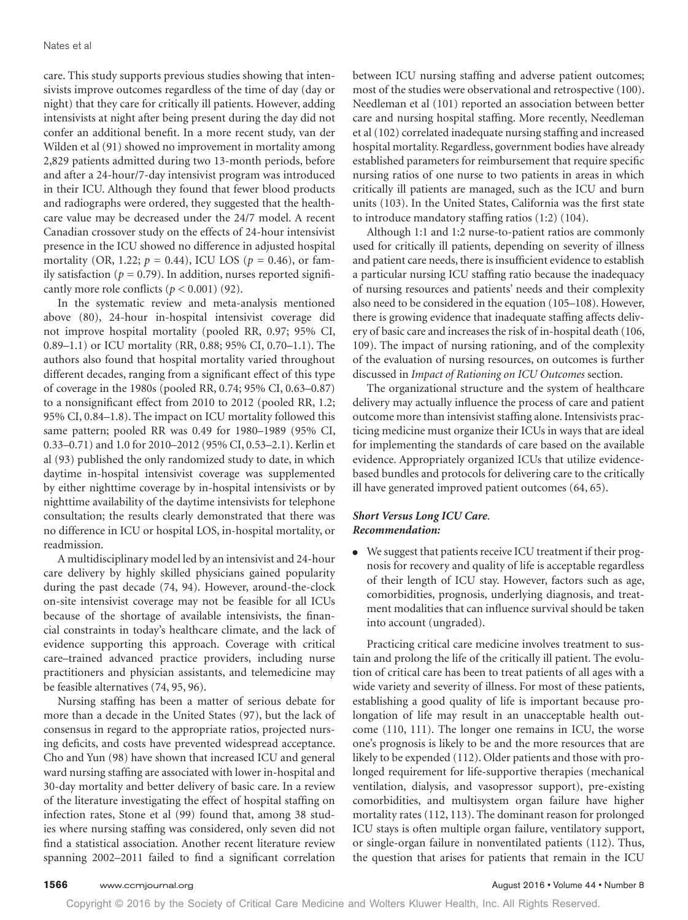care. This study supports previous studies showing that intensivists improve outcomes regardless of the time of day (day or night) that they care for critically ill patients. However, adding intensivists at night after being present during the day did not confer an additional benefit. In a more recent study, van der Wilden et al (91) showed no improvement in mortality among 2,829 patients admitted during two 13-month periods, before and after a 24-hour/7-day intensivist program was introduced in their ICU. Although they found that fewer blood products and radiographs were ordered, they suggested that the healthcare value may be decreased under the 24/7 model. A recent Canadian crossover study on the effects of 24-hour intensivist presence in the ICU showed no difference in adjusted hospital mortality (OR, 1.22;  $p = 0.44$ ), ICU LOS ( $p = 0.46$ ), or family satisfaction ( $p = 0.79$ ). In addition, nurses reported significantly more role conflicts  $(p < 0.001)$  (92).

In the systematic review and meta-analysis mentioned above (80), 24-hour in-hospital intensivist coverage did not improve hospital mortality (pooled RR, 0.97; 95% CI, 0.89–1.1) or ICU mortality (RR, 0.88; 95% CI, 0.70–1.1). The authors also found that hospital mortality varied throughout different decades, ranging from a significant effect of this type of coverage in the 1980s (pooled RR, 0.74; 95% CI, 0.63–0.87) to a nonsignificant effect from 2010 to 2012 (pooled RR, 1.2; 95% CI, 0.84–1.8). The impact on ICU mortality followed this same pattern; pooled RR was 0.49 for 1980–1989 (95% CI, 0.33–0.71) and 1.0 for 2010–2012 (95% CI, 0.53–2.1). Kerlin et al (93) published the only randomized study to date, in which daytime in-hospital intensivist coverage was supplemented by either nighttime coverage by in-hospital intensivists or by nighttime availability of the daytime intensivists for telephone consultation; the results clearly demonstrated that there was no difference in ICU or hospital LOS, in-hospital mortality, or readmission.

A multidisciplinary model led by an intensivist and 24-hour care delivery by highly skilled physicians gained popularity during the past decade (74, 94). However, around-the-clock on-site intensivist coverage may not be feasible for all ICUs because of the shortage of available intensivists, the financial constraints in today's healthcare climate, and the lack of evidence supporting this approach. Coverage with critical care–trained advanced practice providers, including nurse practitioners and physician assistants, and telemedicine may be feasible alternatives (74, 95, 96).

Nursing staffing has been a matter of serious debate for more than a decade in the United States (97), but the lack of consensus in regard to the appropriate ratios, projected nursing deficits, and costs have prevented widespread acceptance. Cho and Yun (98) have shown that increased ICU and general ward nursing staffing are associated with lower in-hospital and 30-day mortality and better delivery of basic care. In a review of the literature investigating the effect of hospital staffing on infection rates, Stone et al (99) found that, among 38 studies where nursing staffing was considered, only seven did not find a statistical association. Another recent literature review spanning 2002–2011 failed to find a significant correlation

between ICU nursing staffing and adverse patient outcomes; most of the studies were observational and retrospective (100). Needleman et al (101) reported an association between better care and nursing hospital staffing. More recently, Needleman et al (102) correlated inadequate nursing staffing and increased hospital mortality. Regardless, government bodies have already established parameters for reimbursement that require specific nursing ratios of one nurse to two patients in areas in which critically ill patients are managed, such as the ICU and burn units (103). In the United States, California was the first state to introduce mandatory staffing ratios (1:2) (104).

Although 1:1 and 1:2 nurse-to-patient ratios are commonly used for critically ill patients, depending on severity of illness and patient care needs, there is insufficient evidence to establish a particular nursing ICU staffing ratio because the inadequacy of nursing resources and patients' needs and their complexity also need to be considered in the equation (105–108). However, there is growing evidence that inadequate staffing affects delivery of basic care and increases the risk of in-hospital death (106, 109). The impact of nursing rationing, and of the complexity of the evaluation of nursing resources, on outcomes is further discussed in *Impact of Rationing on ICU Outcomes* section.

The organizational structure and the system of healthcare delivery may actually influence the process of care and patient outcome more than intensivist staffing alone. Intensivists practicing medicine must organize their ICUs in ways that are ideal for implementing the standards of care based on the available evidence. Appropriately organized ICUs that utilize evidencebased bundles and protocols for delivering care to the critically ill have generated improved patient outcomes (64, 65).

## *Short Versus Long ICU Care*. *Recommendation:*

● We suggest that patients receive ICU treatment if their prognosis for recovery and quality of life is acceptable regardless of their length of ICU stay. However, factors such as age, comorbidities, prognosis, underlying diagnosis, and treatment modalities that can influence survival should be taken into account (ungraded).

Practicing critical care medicine involves treatment to sustain and prolong the life of the critically ill patient. The evolution of critical care has been to treat patients of all ages with a wide variety and severity of illness. For most of these patients, establishing a good quality of life is important because prolongation of life may result in an unacceptable health outcome (110, 111). The longer one remains in ICU, the worse one's prognosis is likely to be and the more resources that are likely to be expended (112). Older patients and those with prolonged requirement for life-supportive therapies (mechanical ventilation, dialysis, and vasopressor support), pre-existing comorbidities, and multisystem organ failure have higher mortality rates (112, 113). The dominant reason for prolonged ICU stays is often multiple organ failure, ventilatory support, or single-organ failure in nonventilated patients (112). Thus, the question that arises for patients that remain in the ICU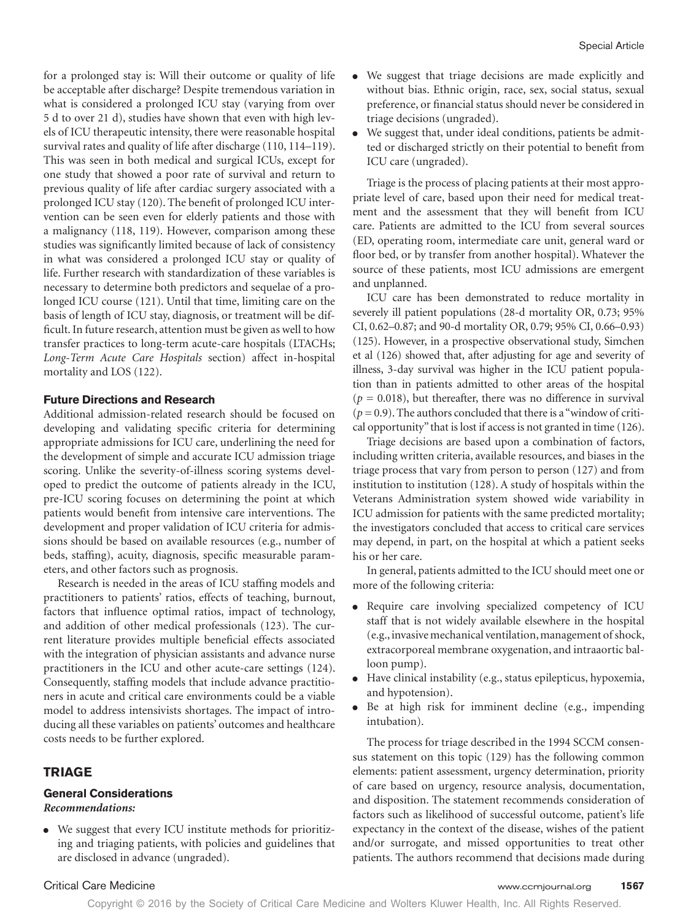for a prolonged stay is: Will their outcome or quality of life be acceptable after discharge? Despite tremendous variation in what is considered a prolonged ICU stay (varying from over 5 d to over 21 d), studies have shown that even with high levels of ICU therapeutic intensity, there were reasonable hospital survival rates and quality of life after discharge (110, 114–119). This was seen in both medical and surgical ICUs, except for one study that showed a poor rate of survival and return to previous quality of life after cardiac surgery associated with a prolonged ICU stay (120). The benefit of prolonged ICU intervention can be seen even for elderly patients and those with a malignancy (118, 119). However, comparison among these studies was significantly limited because of lack of consistency in what was considered a prolonged ICU stay or quality of life. Further research with standardization of these variables is necessary to determine both predictors and sequelae of a prolonged ICU course (121). Until that time, limiting care on the basis of length of ICU stay, diagnosis, or treatment will be difficult. In future research, attention must be given as well to how transfer practices to long-term acute-care hospitals (LTACHs; *Long-Term Acute Care Hospitals* section) affect in-hospital mortality and LOS (122).

### **Future Directions and Research**

Additional admission-related research should be focused on developing and validating specific criteria for determining appropriate admissions for ICU care, underlining the need for the development of simple and accurate ICU admission triage scoring. Unlike the severity-of-illness scoring systems developed to predict the outcome of patients already in the ICU, pre-ICU scoring focuses on determining the point at which patients would benefit from intensive care interventions. The development and proper validation of ICU criteria for admissions should be based on available resources (e.g., number of beds, staffing), acuity, diagnosis, specific measurable parameters, and other factors such as prognosis.

Research is needed in the areas of ICU staffing models and practitioners to patients' ratios, effects of teaching, burnout, factors that influence optimal ratios, impact of technology, and addition of other medical professionals (123). The current literature provides multiple beneficial effects associated with the integration of physician assistants and advance nurse practitioners in the ICU and other acute-care settings (124). Consequently, staffing models that include advance practitioners in acute and critical care environments could be a viable model to address intensivists shortages. The impact of introducing all these variables on patients' outcomes and healthcare costs needs to be further explored.

# **Triage**

### **General Considerations** *Recommendations:*

● We suggest that every ICU institute methods for prioritizing and triaging patients, with policies and guidelines that are disclosed in advance (ungraded).

- We suggest that triage decisions are made explicitly and without bias. Ethnic origin, race, sex, social status, sexual preference, or financial status should never be considered in triage decisions (ungraded).
- We suggest that, under ideal conditions, patients be admitted or discharged strictly on their potential to benefit from ICU care (ungraded).

Triage is the process of placing patients at their most appropriate level of care, based upon their need for medical treatment and the assessment that they will benefit from ICU care. Patients are admitted to the ICU from several sources (ED, operating room, intermediate care unit, general ward or floor bed, or by transfer from another hospital). Whatever the source of these patients, most ICU admissions are emergent and unplanned.

ICU care has been demonstrated to reduce mortality in severely ill patient populations (28-d mortality OR, 0.73; 95% CI, 0.62–0.87; and 90-d mortality OR, 0.79; 95% CI, 0.66–0.93) (125). However, in a prospective observational study, Simchen et al (126) showed that, after adjusting for age and severity of illness, 3-day survival was higher in the ICU patient population than in patients admitted to other areas of the hospital  $(p = 0.018)$ , but thereafter, there was no difference in survival  $(p = 0.9)$ . The authors concluded that there is a "window of critical opportunity" that is lost if access is not granted in time (126).

Triage decisions are based upon a combination of factors, including written criteria, available resources, and biases in the triage process that vary from person to person (127) and from institution to institution (128). A study of hospitals within the Veterans Administration system showed wide variability in ICU admission for patients with the same predicted mortality; the investigators concluded that access to critical care services may depend, in part, on the hospital at which a patient seeks his or her care.

In general, patients admitted to the ICU should meet one or more of the following criteria:

- Require care involving specialized competency of ICU staff that is not widely available elsewhere in the hospital (e.g., invasive mechanical ventilation, management of shock, extracorporeal membrane oxygenation, and intraaortic balloon pump).
- Have clinical instability (e.g., status epilepticus, hypoxemia, and hypotension).
- Be at high risk for imminent decline (e.g., impending intubation).

The process for triage described in the 1994 SCCM consensus statement on this topic (129) has the following common elements: patient assessment, urgency determination, priority of care based on urgency, resource analysis, documentation, and disposition. The statement recommends consideration of factors such as likelihood of successful outcome, patient's life expectancy in the context of the disease, wishes of the patient and/or surrogate, and missed opportunities to treat other patients. The authors recommend that decisions made during

### Critical Care Medicine www.ccmjournal.org **1567**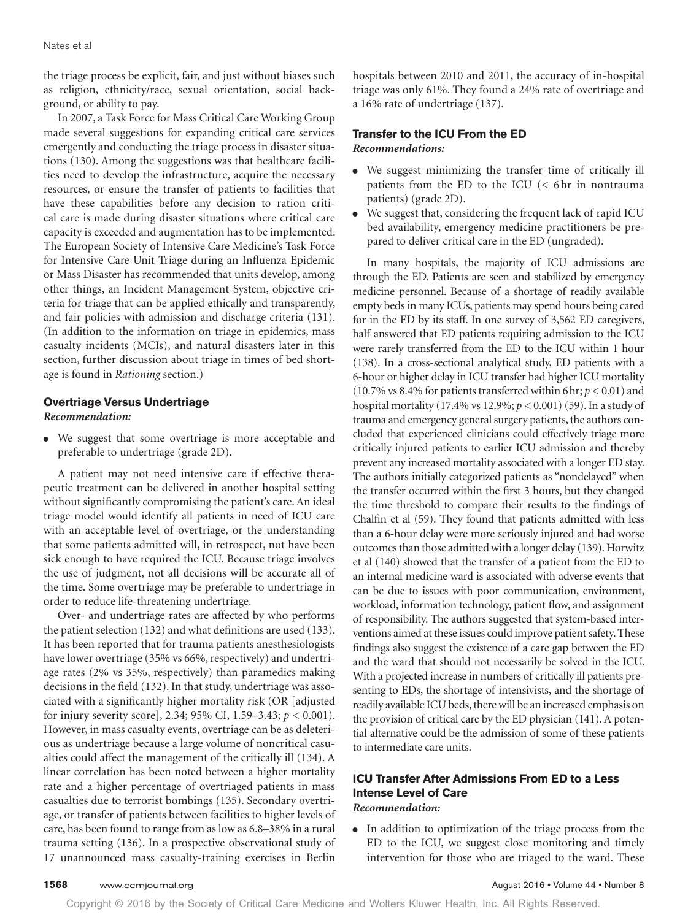the triage process be explicit, fair, and just without biases such as religion, ethnicity/race, sexual orientation, social background, or ability to pay.

In 2007, a Task Force for Mass Critical Care Working Group made several suggestions for expanding critical care services emergently and conducting the triage process in disaster situations (130). Among the suggestions was that healthcare facilities need to develop the infrastructure, acquire the necessary resources, or ensure the transfer of patients to facilities that have these capabilities before any decision to ration critical care is made during disaster situations where critical care capacity is exceeded and augmentation has to be implemented. The European Society of Intensive Care Medicine's Task Force for Intensive Care Unit Triage during an Influenza Epidemic or Mass Disaster has recommended that units develop, among other things, an Incident Management System, objective criteria for triage that can be applied ethically and transparently, and fair policies with admission and discharge criteria (131). (In addition to the information on triage in epidemics, mass casualty incidents (MCIs), and natural disasters later in this section, further discussion about triage in times of bed shortage is found in *Rationing* section.)

# **Overtriage Versus Undertriage**

- *Recommendation:*
- We suggest that some overtriage is more acceptable and preferable to undertriage (grade 2D).

A patient may not need intensive care if effective therapeutic treatment can be delivered in another hospital setting without significantly compromising the patient's care. An ideal triage model would identify all patients in need of ICU care with an acceptable level of overtriage, or the understanding that some patients admitted will, in retrospect, not have been sick enough to have required the ICU. Because triage involves the use of judgment, not all decisions will be accurate all of the time. Some overtriage may be preferable to undertriage in order to reduce life-threatening undertriage.

Over- and undertriage rates are affected by who performs the patient selection (132) and what definitions are used (133). It has been reported that for trauma patients anesthesiologists have lower overtriage (35% vs 66%, respectively) and undertriage rates (2% vs 35%, respectively) than paramedics making decisions in the field (132). In that study, undertriage was associated with a significantly higher mortality risk (OR [adjusted for injury severity score], 2.34; 95% CI, 1.59–3.43; *p* < 0.001). However, in mass casualty events, overtriage can be as deleterious as undertriage because a large volume of noncritical casualties could affect the management of the critically ill (134). A linear correlation has been noted between a higher mortality rate and a higher percentage of overtriaged patients in mass casualties due to terrorist bombings (135). Secondary overtriage, or transfer of patients between facilities to higher levels of care, has been found to range from as low as 6.8–38% in a rural trauma setting (136). In a prospective observational study of 17 unannounced mass casualty-training exercises in Berlin

hospitals between 2010 and 2011, the accuracy of in-hospital triage was only 61%. They found a 24% rate of overtriage and a 16% rate of undertriage (137).

### **Transfer to the ICU From the ED** *Recommendations:*

- We suggest minimizing the transfer time of critically ill patients from the ED to the ICU (< 6hr in nontrauma patients) (grade 2D).
- We suggest that, considering the frequent lack of rapid ICU bed availability, emergency medicine practitioners be prepared to deliver critical care in the ED (ungraded).

In many hospitals, the majority of ICU admissions are through the ED. Patients are seen and stabilized by emergency medicine personnel. Because of a shortage of readily available empty beds in many ICUs, patients may spend hours being cared for in the ED by its staff. In one survey of 3,562 ED caregivers, half answered that ED patients requiring admission to the ICU were rarely transferred from the ED to the ICU within 1 hour (138). In a cross-sectional analytical study, ED patients with a 6-hour or higher delay in ICU transfer had higher ICU mortality (10.7% vs 8.4% for patients transferred within 6hr; *p* < 0.01) and hospital mortality (17.4% vs 12.9%; *p* < 0.001) (59). In a study of trauma and emergency general surgery patients, the authors concluded that experienced clinicians could effectively triage more critically injured patients to earlier ICU admission and thereby prevent any increased mortality associated with a longer ED stay. The authors initially categorized patients as "nondelayed" when the transfer occurred within the first 3 hours, but they changed the time threshold to compare their results to the findings of Chalfin et al (59). They found that patients admitted with less than a 6-hour delay were more seriously injured and had worse outcomes than those admitted with a longer delay (139). Horwitz et al (140) showed that the transfer of a patient from the ED to an internal medicine ward is associated with adverse events that can be due to issues with poor communication, environment, workload, information technology, patient flow, and assignment of responsibility. The authors suggested that system-based interventions aimed at these issues could improve patient safety. These findings also suggest the existence of a care gap between the ED and the ward that should not necessarily be solved in the ICU. With a projected increase in numbers of critically ill patients presenting to EDs, the shortage of intensivists, and the shortage of readily available ICU beds, there will be an increased emphasis on the provision of critical care by the ED physician (141). A potential alternative could be the admission of some of these patients to intermediate care units.

### **ICU Transfer After Admissions From ED to a Less Intense Level of Care** *Recommendation:*

● In addition to optimization of the triage process from the ED to the ICU, we suggest close monitoring and timely intervention for those who are triaged to the ward. These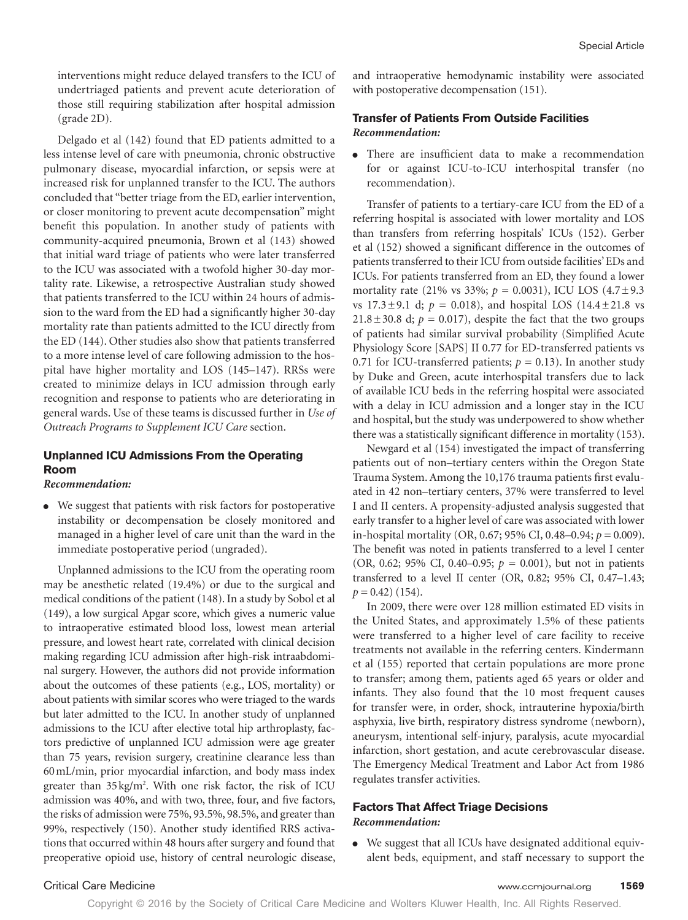interventions might reduce delayed transfers to the ICU of undertriaged patients and prevent acute deterioration of those still requiring stabilization after hospital admission (grade 2D).

Delgado et al (142) found that ED patients admitted to a less intense level of care with pneumonia, chronic obstructive pulmonary disease, myocardial infarction, or sepsis were at increased risk for unplanned transfer to the ICU. The authors concluded that "better triage from the ED, earlier intervention, or closer monitoring to prevent acute decompensation" might benefit this population. In another study of patients with community-acquired pneumonia, Brown et al (143) showed that initial ward triage of patients who were later transferred to the ICU was associated with a twofold higher 30-day mortality rate. Likewise, a retrospective Australian study showed that patients transferred to the ICU within 24 hours of admission to the ward from the ED had a significantly higher 30-day mortality rate than patients admitted to the ICU directly from the ED (144). Other studies also show that patients transferred to a more intense level of care following admission to the hospital have higher mortality and LOS (145–147). RRSs were created to minimize delays in ICU admission through early recognition and response to patients who are deteriorating in general wards. Use of these teams is discussed further in *Use of Outreach Programs to Supplement ICU Care* section.

# **Unplanned ICU Admissions From the Operating Room**

### *Recommendation:*

● We suggest that patients with risk factors for postoperative instability or decompensation be closely monitored and managed in a higher level of care unit than the ward in the immediate postoperative period (ungraded).

Unplanned admissions to the ICU from the operating room may be anesthetic related (19.4%) or due to the surgical and medical conditions of the patient (148). In a study by Sobol et al (149), a low surgical Apgar score, which gives a numeric value to intraoperative estimated blood loss, lowest mean arterial pressure, and lowest heart rate, correlated with clinical decision making regarding ICU admission after high-risk intraabdominal surgery. However, the authors did not provide information about the outcomes of these patients (e.g., LOS, mortality) or about patients with similar scores who were triaged to the wards but later admitted to the ICU. In another study of unplanned admissions to the ICU after elective total hip arthroplasty, factors predictive of unplanned ICU admission were age greater than 75 years, revision surgery, creatinine clearance less than 60mL/min, prior myocardial infarction, and body mass index greater than 35kg/m2 . With one risk factor, the risk of ICU admission was 40%, and with two, three, four, and five factors, the risks of admission were 75%, 93.5%, 98.5%, and greater than 99%, respectively (150). Another study identified RRS activations that occurred within 48 hours after surgery and found that preoperative opioid use, history of central neurologic disease,

and intraoperative hemodynamic instability were associated with postoperative decompensation (151).

### **Transfer of Patients From Outside Facilities** *Recommendation:*

● There are insufficient data to make a recommendation for or against ICU-to-ICU interhospital transfer (no recommendation).

Transfer of patients to a tertiary-care ICU from the ED of a referring hospital is associated with lower mortality and LOS than transfers from referring hospitals' ICUs (152). Gerber et al (152) showed a significant difference in the outcomes of patients transferred to their ICU from outside facilities' EDs and ICUs. For patients transferred from an ED, they found a lower mortality rate (21% vs 33%; *p* = 0.0031), ICU LOS (4.7±9.3 vs  $17.3 \pm 9.1$  d;  $p = 0.018$ ), and hospital LOS (14.4 $\pm 21.8$  vs  $21.8 \pm 30.8$  d;  $p = 0.017$ ), despite the fact that the two groups of patients had similar survival probability (Simplified Acute Physiology Score [SAPS] II 0.77 for ED-transferred patients vs 0.71 for ICU-transferred patients;  $p = 0.13$ ). In another study by Duke and Green, acute interhospital transfers due to lack of available ICU beds in the referring hospital were associated with a delay in ICU admission and a longer stay in the ICU and hospital, but the study was underpowered to show whether there was a statistically significant difference in mortality (153).

Newgard et al (154) investigated the impact of transferring patients out of non–tertiary centers within the Oregon State Trauma System. Among the 10,176 trauma patients first evaluated in 42 non–tertiary centers, 37% were transferred to level I and II centers. A propensity-adjusted analysis suggested that early transfer to a higher level of care was associated with lower in-hospital mortality (OR, 0.67; 95% CI, 0.48–0.94; *p* = 0.009). The benefit was noted in patients transferred to a level I center (OR, 0.62; 95% CI, 0.40–0.95; *p* = 0.001), but not in patients transferred to a level II center (OR, 0.82; 95% CI, 0.47–1.43;  $p = 0.42$ ) (154).

In 2009, there were over 128 million estimated ED visits in the United States, and approximately 1.5% of these patients were transferred to a higher level of care facility to receive treatments not available in the referring centers. Kindermann et al (155) reported that certain populations are more prone to transfer; among them, patients aged 65 years or older and infants. They also found that the 10 most frequent causes for transfer were, in order, shock, intrauterine hypoxia/birth asphyxia, live birth, respiratory distress syndrome (newborn), aneurysm, intentional self-injury, paralysis, acute myocardial infarction, short gestation, and acute cerebrovascular disease. The Emergency Medical Treatment and Labor Act from 1986 regulates transfer activities.

### **Factors That Affect Triage Decisions** *Recommendation:*

● We suggest that all ICUs have designated additional equivalent beds, equipment, and staff necessary to support the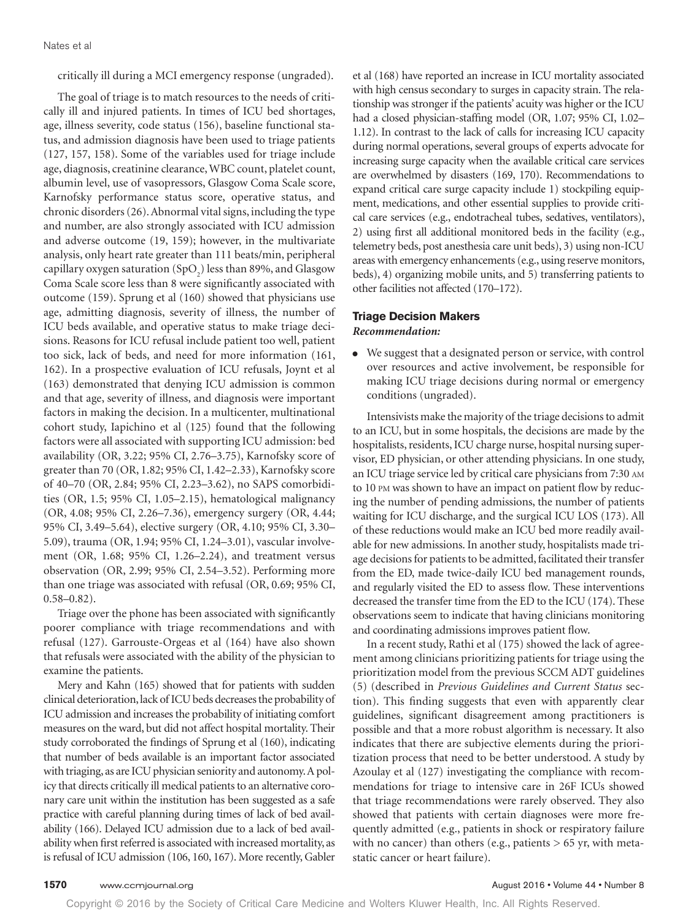critically ill during a MCI emergency response (ungraded).

The goal of triage is to match resources to the needs of critically ill and injured patients. In times of ICU bed shortages, age, illness severity, code status (156), baseline functional status, and admission diagnosis have been used to triage patients (127, 157, 158). Some of the variables used for triage include age, diagnosis, creatinine clearance, WBC count, platelet count, albumin level, use of vasopressors, Glasgow Coma Scale score, Karnofsky performance status score, operative status, and chronic disorders (26). Abnormal vital signs, including the type and number, are also strongly associated with ICU admission and adverse outcome (19, 159); however, in the multivariate analysis, only heart rate greater than 111 beats/min, peripheral capillary oxygen saturation  $(SpO<sub>2</sub>)$  less than 89%, and Glasgow Coma Scale score less than 8 were significantly associated with outcome (159). Sprung et al (160) showed that physicians use age, admitting diagnosis, severity of illness, the number of ICU beds available, and operative status to make triage decisions. Reasons for ICU refusal include patient too well, patient too sick, lack of beds, and need for more information (161, 162). In a prospective evaluation of ICU refusals, Joynt et al (163) demonstrated that denying ICU admission is common and that age, severity of illness, and diagnosis were important factors in making the decision. In a multicenter, multinational cohort study, Iapichino et al (125) found that the following factors were all associated with supporting ICU admission: bed availability (OR, 3.22; 95% CI, 2.76–3.75), Karnofsky score of greater than 70 (OR, 1.82; 95% CI, 1.42–2.33), Karnofsky score of 40–70 (OR, 2.84; 95% CI, 2.23–3.62), no SAPS comorbidities (OR, 1.5; 95% CI, 1.05–2.15), hematological malignancy (OR, 4.08; 95% CI, 2.26–7.36), emergency surgery (OR, 4.44; 95% CI, 3.49–5.64), elective surgery (OR, 4.10; 95% CI, 3.30– 5.09), trauma (OR, 1.94; 95% CI, 1.24–3.01), vascular involvement (OR, 1.68; 95% CI, 1.26–2.24), and treatment versus observation (OR, 2.99; 95% CI, 2.54–3.52). Performing more than one triage was associated with refusal (OR, 0.69; 95% CI,  $0.58 - 0.82$ ).

Triage over the phone has been associated with significantly poorer compliance with triage recommendations and with refusal (127). Garrouste-Orgeas et al (164) have also shown that refusals were associated with the ability of the physician to examine the patients.

Mery and Kahn (165) showed that for patients with sudden clinical deterioration, lack of ICU beds decreases the probability of ICU admission and increases the probability of initiating comfort measures on the ward, but did not affect hospital mortality. Their study corroborated the findings of Sprung et al (160), indicating that number of beds available is an important factor associated with triaging, as are ICU physician seniority and autonomy. A policy that directs critically ill medical patients to an alternative coronary care unit within the institution has been suggested as a safe practice with careful planning during times of lack of bed availability (166). Delayed ICU admission due to a lack of bed availability when first referred is associated with increased mortality, as is refusal of ICU admission (106, 160, 167). More recently, Gabler

et al (168) have reported an increase in ICU mortality associated with high census secondary to surges in capacity strain. The relationship was stronger if the patients' acuity was higher or the ICU had a closed physician-staffing model (OR, 1.07; 95% CI, 1.02– 1.12). In contrast to the lack of calls for increasing ICU capacity during normal operations, several groups of experts advocate for increasing surge capacity when the available critical care services are overwhelmed by disasters (169, 170). Recommendations to expand critical care surge capacity include 1) stockpiling equipment, medications, and other essential supplies to provide critical care services (e.g., endotracheal tubes, sedatives, ventilators), 2) using first all additional monitored beds in the facility (e.g., telemetry beds, post anesthesia care unit beds), 3) using non-ICU areas with emergency enhancements (e.g., using reserve monitors, beds), 4) organizing mobile units, and 5) transferring patients to other facilities not affected (170–172).

# **Triage Decision Makers** *Recommendation:*

● We suggest that a designated person or service, with control over resources and active involvement, be responsible for making ICU triage decisions during normal or emergency conditions (ungraded).

Intensivists make the majority of the triage decisions to admit to an ICU, but in some hospitals, the decisions are made by the hospitalists, residents, ICU charge nurse, hospital nursing supervisor, ED physician, or other attending physicians. In one study, an ICU triage service led by critical care physicians from 7:30 am to 10 pm was shown to have an impact on patient flow by reducing the number of pending admissions, the number of patients waiting for ICU discharge, and the surgical ICU LOS (173). All of these reductions would make an ICU bed more readily available for new admissions. In another study, hospitalists made triage decisions for patients to be admitted, facilitated their transfer from the ED, made twice-daily ICU bed management rounds, and regularly visited the ED to assess flow. These interventions decreased the transfer time from the ED to the ICU (174). These observations seem to indicate that having clinicians monitoring and coordinating admissions improves patient flow.

In a recent study, Rathi et al (175) showed the lack of agreement among clinicians prioritizing patients for triage using the prioritization model from the previous SCCM ADT guidelines (5) (described in *Previous Guidelines and Current Status* section). This finding suggests that even with apparently clear guidelines, significant disagreement among practitioners is possible and that a more robust algorithm is necessary. It also indicates that there are subjective elements during the prioritization process that need to be better understood. A study by Azoulay et al (127) investigating the compliance with recommendations for triage to intensive care in 26F ICUs showed that triage recommendations were rarely observed. They also showed that patients with certain diagnoses were more frequently admitted (e.g., patients in shock or respiratory failure with no cancer) than others (e.g., patients  $> 65$  yr, with metastatic cancer or heart failure).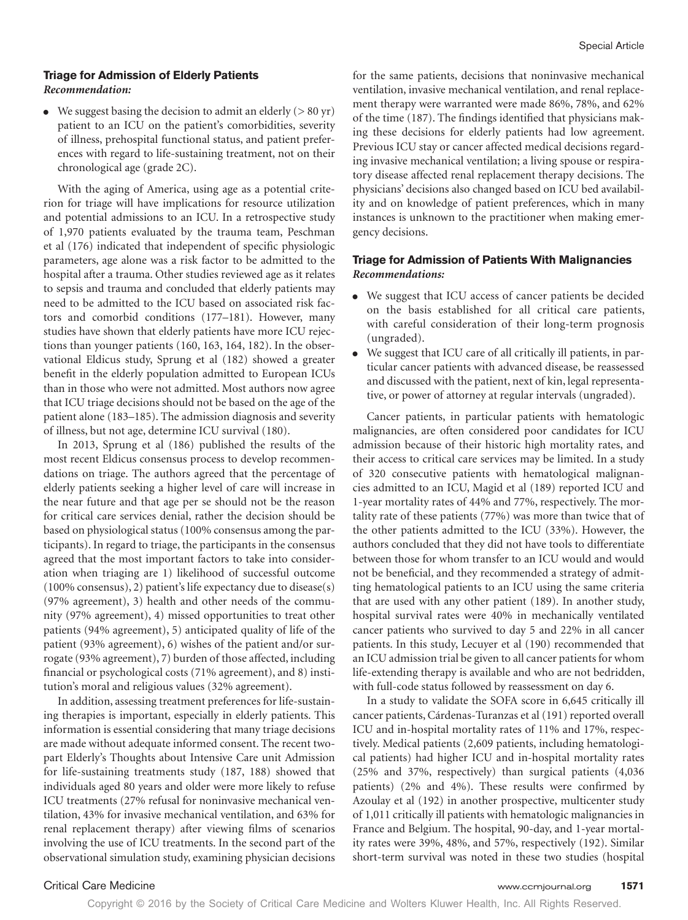### **Triage for Admission of Elderly Patients** *Recommendation:*

• We suggest basing the decision to admit an elderly  $(> 80 \text{ yr})$ patient to an ICU on the patient's comorbidities, severity of illness, prehospital functional status, and patient preferences with regard to life-sustaining treatment, not on their chronological age (grade 2C).

With the aging of America, using age as a potential criterion for triage will have implications for resource utilization and potential admissions to an ICU. In a retrospective study of 1,970 patients evaluated by the trauma team, Peschman et al (176) indicated that independent of specific physiologic parameters, age alone was a risk factor to be admitted to the hospital after a trauma. Other studies reviewed age as it relates to sepsis and trauma and concluded that elderly patients may need to be admitted to the ICU based on associated risk factors and comorbid conditions (177–181). However, many studies have shown that elderly patients have more ICU rejections than younger patients (160, 163, 164, 182). In the observational Eldicus study, Sprung et al (182) showed a greater benefit in the elderly population admitted to European ICUs than in those who were not admitted. Most authors now agree that ICU triage decisions should not be based on the age of the patient alone (183–185). The admission diagnosis and severity of illness, but not age, determine ICU survival (180).

In 2013, Sprung et al (186) published the results of the most recent Eldicus consensus process to develop recommendations on triage. The authors agreed that the percentage of elderly patients seeking a higher level of care will increase in the near future and that age per se should not be the reason for critical care services denial, rather the decision should be based on physiological status (100% consensus among the participants). In regard to triage, the participants in the consensus agreed that the most important factors to take into consideration when triaging are 1) likelihood of successful outcome (100% consensus), 2) patient's life expectancy due to disease(s) (97% agreement), 3) health and other needs of the community (97% agreement), 4) missed opportunities to treat other patients (94% agreement), 5) anticipated quality of life of the patient (93% agreement), 6) wishes of the patient and/or surrogate (93% agreement), 7) burden of those affected, including financial or psychological costs (71% agreement), and 8) institution's moral and religious values (32% agreement).

In addition, assessing treatment preferences for life-sustaining therapies is important, especially in elderly patients. This information is essential considering that many triage decisions are made without adequate informed consent. The recent twopart Elderly's Thoughts about Intensive Care unit Admission for life-sustaining treatments study (187, 188) showed that individuals aged 80 years and older were more likely to refuse ICU treatments (27% refusal for noninvasive mechanical ventilation, 43% for invasive mechanical ventilation, and 63% for renal replacement therapy) after viewing films of scenarios involving the use of ICU treatments. In the second part of the observational simulation study, examining physician decisions

for the same patients, decisions that noninvasive mechanical ventilation, invasive mechanical ventilation, and renal replacement therapy were warranted were made 86%, 78%, and 62% of the time (187). The findings identified that physicians making these decisions for elderly patients had low agreement. Previous ICU stay or cancer affected medical decisions regarding invasive mechanical ventilation; a living spouse or respiratory disease affected renal replacement therapy decisions. The physicians' decisions also changed based on ICU bed availability and on knowledge of patient preferences, which in many instances is unknown to the practitioner when making emergency decisions.

# **Triage for Admission of Patients With Malignancies** *Recommendations:*

- We suggest that ICU access of cancer patients be decided on the basis established for all critical care patients, with careful consideration of their long-term prognosis (ungraded).
- We suggest that ICU care of all critically ill patients, in particular cancer patients with advanced disease, be reassessed and discussed with the patient, next of kin, legal representative, or power of attorney at regular intervals (ungraded).

Cancer patients, in particular patients with hematologic malignancies, are often considered poor candidates for ICU admission because of their historic high mortality rates, and their access to critical care services may be limited. In a study of 320 consecutive patients with hematological malignancies admitted to an ICU, Magid et al (189) reported ICU and 1-year mortality rates of 44% and 77%, respectively. The mortality rate of these patients (77%) was more than twice that of the other patients admitted to the ICU (33%). However, the authors concluded that they did not have tools to differentiate between those for whom transfer to an ICU would and would not be beneficial, and they recommended a strategy of admitting hematological patients to an ICU using the same criteria that are used with any other patient (189). In another study, hospital survival rates were 40% in mechanically ventilated cancer patients who survived to day 5 and 22% in all cancer patients. In this study, Lecuyer et al (190) recommended that an ICU admission trial be given to all cancer patients for whom life-extending therapy is available and who are not bedridden, with full-code status followed by reassessment on day 6.

In a study to validate the SOFA score in 6,645 critically ill cancer patients, Cárdenas-Turanzas et al (191) reported overall ICU and in-hospital mortality rates of 11% and 17%, respectively. Medical patients (2,609 patients, including hematological patients) had higher ICU and in-hospital mortality rates (25% and 37%, respectively) than surgical patients (4,036 patients) (2% and 4%). These results were confirmed by Azoulay et al (192) in another prospective, multicenter study of 1,011 critically ill patients with hematologic malignancies in France and Belgium. The hospital, 90-day, and 1-year mortality rates were 39%, 48%, and 57%, respectively (192). Similar short-term survival was noted in these two studies (hospital

### Critical Care Medicine www.ccmjournal.org **1571**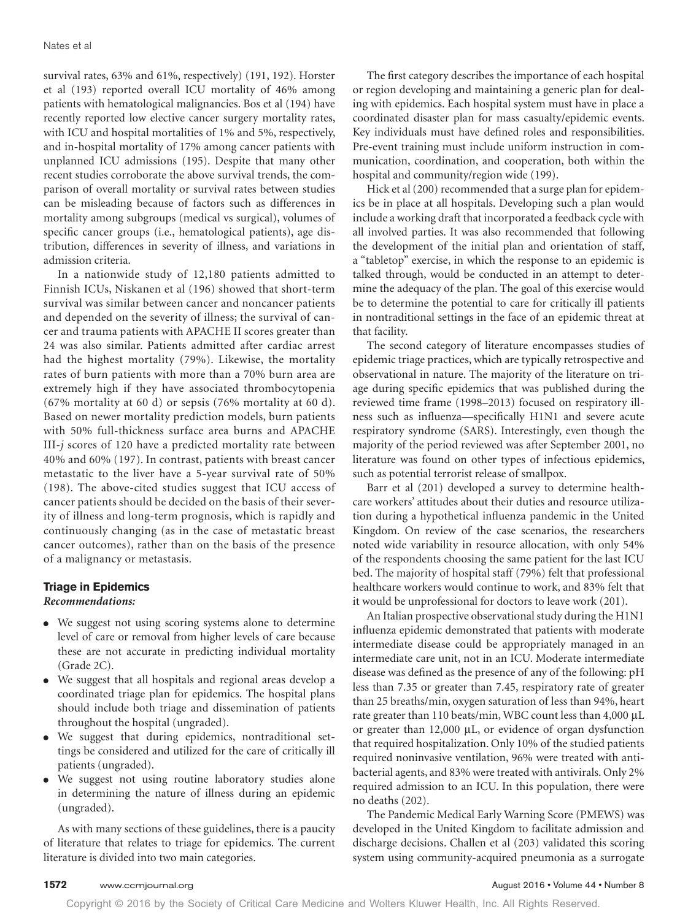survival rates, 63% and 61%, respectively) (191, 192). Horster et al (193) reported overall ICU mortality of 46% among patients with hematological malignancies. Bos et al (194) have recently reported low elective cancer surgery mortality rates, with ICU and hospital mortalities of 1% and 5%, respectively, and in-hospital mortality of 17% among cancer patients with unplanned ICU admissions (195). Despite that many other recent studies corroborate the above survival trends, the comparison of overall mortality or survival rates between studies can be misleading because of factors such as differences in mortality among subgroups (medical vs surgical), volumes of specific cancer groups (i.e., hematological patients), age distribution, differences in severity of illness, and variations in admission criteria.

In a nationwide study of 12,180 patients admitted to Finnish ICUs, Niskanen et al (196) showed that short-term survival was similar between cancer and noncancer patients and depended on the severity of illness; the survival of cancer and trauma patients with APACHE II scores greater than 24 was also similar. Patients admitted after cardiac arrest had the highest mortality (79%). Likewise, the mortality rates of burn patients with more than a 70% burn area are extremely high if they have associated thrombocytopenia (67% mortality at 60 d) or sepsis (76% mortality at 60 d). Based on newer mortality prediction models, burn patients with 50% full-thickness surface area burns and APACHE III-*j* scores of 120 have a predicted mortality rate between 40% and 60% (197). In contrast, patients with breast cancer metastatic to the liver have a 5-year survival rate of 50% (198). The above-cited studies suggest that ICU access of cancer patients should be decided on the basis of their severity of illness and long-term prognosis, which is rapidly and continuously changing (as in the case of metastatic breast cancer outcomes), rather than on the basis of the presence of a malignancy or metastasis.

## **Triage in Epidemics**

### *Recommendations:*

- We suggest not using scoring systems alone to determine level of care or removal from higher levels of care because these are not accurate in predicting individual mortality (Grade 2C).
- We suggest that all hospitals and regional areas develop a coordinated triage plan for epidemics. The hospital plans should include both triage and dissemination of patients throughout the hospital (ungraded).
- We suggest that during epidemics, nontraditional settings be considered and utilized for the care of critically ill patients (ungraded).
- We suggest not using routine laboratory studies alone in determining the nature of illness during an epidemic (ungraded).

As with many sections of these guidelines, there is a paucity of literature that relates to triage for epidemics. The current literature is divided into two main categories.

The first category describes the importance of each hospital or region developing and maintaining a generic plan for dealing with epidemics. Each hospital system must have in place a coordinated disaster plan for mass casualty/epidemic events. Key individuals must have defined roles and responsibilities. Pre-event training must include uniform instruction in communication, coordination, and cooperation, both within the hospital and community/region wide (199).

Hick et al (200) recommended that a surge plan for epidemics be in place at all hospitals. Developing such a plan would include a working draft that incorporated a feedback cycle with all involved parties. It was also recommended that following the development of the initial plan and orientation of staff, a "tabletop" exercise, in which the response to an epidemic is talked through, would be conducted in an attempt to determine the adequacy of the plan. The goal of this exercise would be to determine the potential to care for critically ill patients in nontraditional settings in the face of an epidemic threat at that facility.

The second category of literature encompasses studies of epidemic triage practices, which are typically retrospective and observational in nature. The majority of the literature on triage during specific epidemics that was published during the reviewed time frame (1998–2013) focused on respiratory illness such as influenza—specifically H1N1 and severe acute respiratory syndrome (SARS). Interestingly, even though the majority of the period reviewed was after September 2001, no literature was found on other types of infectious epidemics, such as potential terrorist release of smallpox.

Barr et al (201) developed a survey to determine healthcare workers' attitudes about their duties and resource utilization during a hypothetical influenza pandemic in the United Kingdom. On review of the case scenarios, the researchers noted wide variability in resource allocation, with only 54% of the respondents choosing the same patient for the last ICU bed. The majority of hospital staff (79%) felt that professional healthcare workers would continue to work, and 83% felt that it would be unprofessional for doctors to leave work (201).

An Italian prospective observational study during the H1N1 influenza epidemic demonstrated that patients with moderate intermediate disease could be appropriately managed in an intermediate care unit, not in an ICU. Moderate intermediate disease was defined as the presence of any of the following: pH less than 7.35 or greater than 7.45, respiratory rate of greater than 25 breaths/min, oxygen saturation of less than 94%, heart rate greater than 110 beats/min, WBC count less than 4,000 μL or greater than 12,000 μL, or evidence of organ dysfunction that required hospitalization. Only 10% of the studied patients required noninvasive ventilation, 96% were treated with antibacterial agents, and 83% were treated with antivirals. Only 2% required admission to an ICU. In this population, there were no deaths (202).

The Pandemic Medical Early Warning Score (PMEWS) was developed in the United Kingdom to facilitate admission and discharge decisions. Challen et al (203) validated this scoring system using community-acquired pneumonia as a surrogate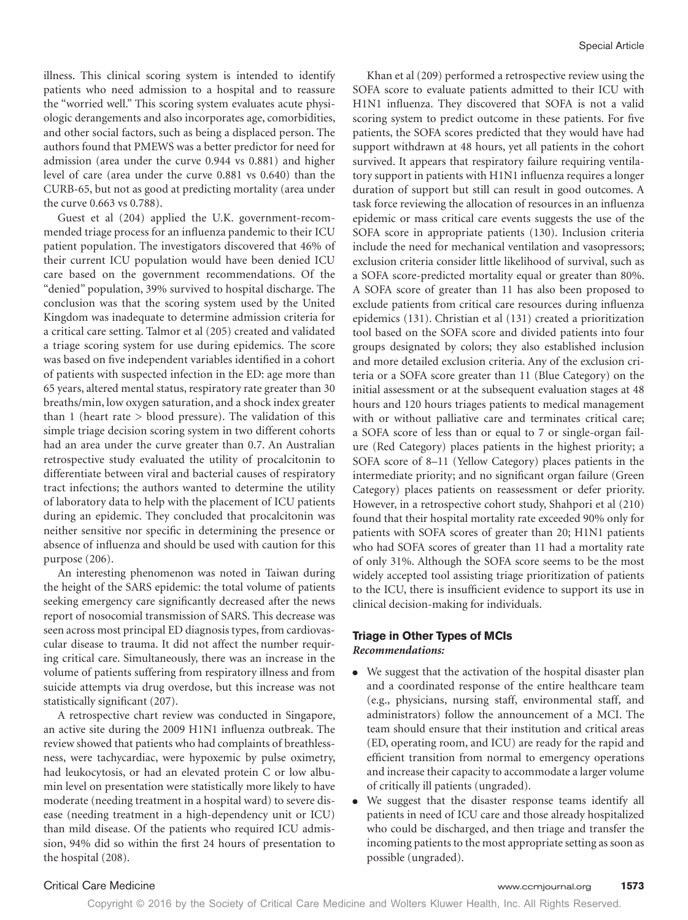illness. This clinical scoring system is intended to identify patients who need admission to a hospital and to reassure the "worried well." This scoring system evaluates acute physiologic derangements and also incorporates age, comorbidities, and other social factors, such as being a displaced person. The authors found that PMEWS was a better predictor for need for admission (area under the curve 0.944 vs 0.881) and higher level of care (area under the curve 0.881 vs 0.640) than the CURB-65, but not as good at predicting mortality (area under the curve 0.663 vs 0.788).

Guest et al (204) applied the U.K. government-recommended triage process for an influenza pandemic to their ICU patient population. The investigators discovered that 46% of their current ICU population would have been denied ICU care based on the government recommendations. Of the "denied" population, 39% survived to hospital discharge. The conclusion was that the scoring system used by the United Kingdom was inadequate to determine admission criteria for a critical care setting. Talmor et al (205) created and validated a triage scoring system for use during epidemics. The score was based on five independent variables identified in a cohort of patients with suspected infection in the ED: age more than 65 years, altered mental status, respiratory rate greater than 30 breaths/min, low oxygen saturation, and a shock index greater than 1 (heart rate > blood pressure). The validation of this simple triage decision scoring system in two different cohorts had an area under the curve greater than 0.7. An Australian retrospective study evaluated the utility of procalcitonin to differentiate between viral and bacterial causes of respiratory tract infections; the authors wanted to determine the utility of laboratory data to help with the placement of ICU patients during an epidemic. They concluded that procalcitonin was neither sensitive nor specific in determining the presence or absence of influenza and should be used with caution for this purpose (206).

An interesting phenomenon was noted in Taiwan during the height of the SARS epidemic: the total volume of patients seeking emergency care significantly decreased after the news report of nosocomial transmission of SARS. This decrease was seen across most principal ED diagnosis types, from cardiovascular disease to trauma. It did not affect the number requiring critical care. Simultaneously, there was an increase in the volume of patients suffering from respiratory illness and from suicide attempts via drug overdose, but this increase was not statistically significant (207).

A retrospective chart review was conducted in Singapore, an active site during the 2009 H1N1 influenza outbreak. The review showed that patients who had complaints of breathlessness, were tachycardiac, were hypoxemic by pulse oximetry, had leukocytosis, or had an elevated protein C or low albumin level on presentation were statistically more likely to have moderate (needing treatment in a hospital ward) to severe disease (needing treatment in a high-dependency unit or ICU) than mild disease. Of the patients who required ICU admission, 94% did so within the first 24 hours of presentation to the hospital (208).

Khan et al (209) performed a retrospective review using the SOFA score to evaluate patients admitted to their ICU with H1N1 influenza. They discovered that SOFA is not a valid scoring system to predict outcome in these patients. For five patients, the SOFA scores predicted that they would have had support withdrawn at 48 hours, yet all patients in the cohort survived. It appears that respiratory failure requiring ventilatory support in patients with H1N1 influenza requires a longer duration of support but still can result in good outcomes. A task force reviewing the allocation of resources in an influenza epidemic or mass critical care events suggests the use of the SOFA score in appropriate patients (130). Inclusion criteria include the need for mechanical ventilation and vasopressors; exclusion criteria consider little likelihood of survival, such as a SOFA score-predicted mortality equal or greater than 80%. A SOFA score of greater than 11 has also been proposed to exclude patients from critical care resources during influenza epidemics (131). Christian et al (131) created a prioritization tool based on the SOFA score and divided patients into four groups designated by colors; they also established inclusion and more detailed exclusion criteria. Any of the exclusion criteria or a SOFA score greater than 11 (Blue Category) on the initial assessment or at the subsequent evaluation stages at 48 hours and 120 hours triages patients to medical management with or without palliative care and terminates critical care; a SOFA score of less than or equal to 7 or single-organ failure (Red Category) places patients in the highest priority; a SOFA score of 8–11 (Yellow Category) places patients in the intermediate priority; and no significant organ failure (Green Category) places patients on reassessment or defer priority. However, in a retrospective cohort study, Shahpori et al (210) found that their hospital mortality rate exceeded 90% only for patients with SOFA scores of greater than 20; H1N1 patients who had SOFA scores of greater than 11 had a mortality rate of only 31%. Although the SOFA score seems to be the most widely accepted tool assisting triage prioritization of patients to the ICU, there is insufficient evidence to support its use in clinical decision-making for individuals.

### **Triage in Other Types of MCIs** *Recommendations:*

- We suggest that the activation of the hospital disaster plan and a coordinated response of the entire healthcare team (e.g., physicians, nursing staff, environmental staff, and administrators) follow the announcement of a MCI. The team should ensure that their institution and critical areas (ED, operating room, and ICU) are ready for the rapid and efficient transition from normal to emergency operations and increase their capacity to accommodate a larger volume of critically ill patients (ungraded).
- We suggest that the disaster response teams identify all patients in need of ICU care and those already hospitalized who could be discharged, and then triage and transfer the incoming patients to the most appropriate setting as soon as possible (ungraded).

### Critical Care Medicine www.ccmjournal.org **1573**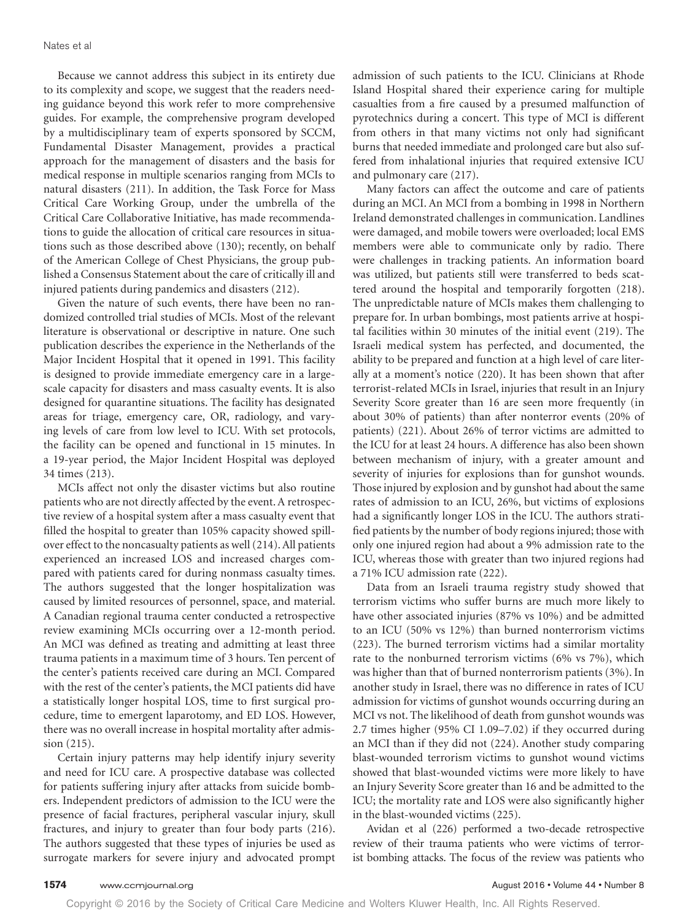Because we cannot address this subject in its entirety due to its complexity and scope, we suggest that the readers needing guidance beyond this work refer to more comprehensive guides. For example, the comprehensive program developed by a multidisciplinary team of experts sponsored by SCCM, Fundamental Disaster Management, provides a practical approach for the management of disasters and the basis for medical response in multiple scenarios ranging from MCIs to natural disasters (211). In addition, the Task Force for Mass Critical Care Working Group, under the umbrella of the Critical Care Collaborative Initiative, has made recommendations to guide the allocation of critical care resources in situations such as those described above (130); recently, on behalf of the American College of Chest Physicians, the group published a Consensus Statement about the care of critically ill and injured patients during pandemics and disasters (212).

Given the nature of such events, there have been no randomized controlled trial studies of MCIs. Most of the relevant literature is observational or descriptive in nature. One such publication describes the experience in the Netherlands of the Major Incident Hospital that it opened in 1991. This facility is designed to provide immediate emergency care in a largescale capacity for disasters and mass casualty events. It is also designed for quarantine situations. The facility has designated areas for triage, emergency care, OR, radiology, and varying levels of care from low level to ICU. With set protocols, the facility can be opened and functional in 15 minutes. In a 19-year period, the Major Incident Hospital was deployed 34 times (213).

MCIs affect not only the disaster victims but also routine patients who are not directly affected by the event. A retrospective review of a hospital system after a mass casualty event that filled the hospital to greater than 105% capacity showed spillover effect to the noncasualty patients as well (214). All patients experienced an increased LOS and increased charges compared with patients cared for during nonmass casualty times. The authors suggested that the longer hospitalization was caused by limited resources of personnel, space, and material. A Canadian regional trauma center conducted a retrospective review examining MCIs occurring over a 12-month period. An MCI was defined as treating and admitting at least three trauma patients in a maximum time of 3 hours. Ten percent of the center's patients received care during an MCI. Compared with the rest of the center's patients, the MCI patients did have a statistically longer hospital LOS, time to first surgical procedure, time to emergent laparotomy, and ED LOS. However, there was no overall increase in hospital mortality after admission (215).

Certain injury patterns may help identify injury severity and need for ICU care. A prospective database was collected for patients suffering injury after attacks from suicide bombers. Independent predictors of admission to the ICU were the presence of facial fractures, peripheral vascular injury, skull fractures, and injury to greater than four body parts (216). The authors suggested that these types of injuries be used as surrogate markers for severe injury and advocated prompt

admission of such patients to the ICU. Clinicians at Rhode Island Hospital shared their experience caring for multiple casualties from a fire caused by a presumed malfunction of pyrotechnics during a concert. This type of MCI is different from others in that many victims not only had significant burns that needed immediate and prolonged care but also suffered from inhalational injuries that required extensive ICU and pulmonary care (217).

Many factors can affect the outcome and care of patients during an MCI. An MCI from a bombing in 1998 in Northern Ireland demonstrated challenges in communication. Landlines were damaged, and mobile towers were overloaded; local EMS members were able to communicate only by radio. There were challenges in tracking patients. An information board was utilized, but patients still were transferred to beds scattered around the hospital and temporarily forgotten (218). The unpredictable nature of MCIs makes them challenging to prepare for. In urban bombings, most patients arrive at hospital facilities within 30 minutes of the initial event (219). The Israeli medical system has perfected, and documented, the ability to be prepared and function at a high level of care literally at a moment's notice (220). It has been shown that after terrorist-related MCIs in Israel, injuries that result in an Injury Severity Score greater than 16 are seen more frequently (in about 30% of patients) than after nonterror events (20% of patients) (221). About 26% of terror victims are admitted to the ICU for at least 24 hours. A difference has also been shown between mechanism of injury, with a greater amount and severity of injuries for explosions than for gunshot wounds. Those injured by explosion and by gunshot had about the same rates of admission to an ICU, 26%, but victims of explosions had a significantly longer LOS in the ICU. The authors stratified patients by the number of body regions injured; those with only one injured region had about a 9% admission rate to the ICU, whereas those with greater than two injured regions had a 71% ICU admission rate (222).

Data from an Israeli trauma registry study showed that terrorism victims who suffer burns are much more likely to have other associated injuries (87% vs 10%) and be admitted to an ICU (50% vs 12%) than burned nonterrorism victims (223). The burned terrorism victims had a similar mortality rate to the nonburned terrorism victims (6% vs 7%), which was higher than that of burned nonterrorism patients (3%). In another study in Israel, there was no difference in rates of ICU admission for victims of gunshot wounds occurring during an MCI vs not. The likelihood of death from gunshot wounds was 2.7 times higher (95% CI 1.09–7.02) if they occurred during an MCI than if they did not (224). Another study comparing blast-wounded terrorism victims to gunshot wound victims showed that blast-wounded victims were more likely to have an Injury Severity Score greater than 16 and be admitted to the ICU; the mortality rate and LOS were also significantly higher in the blast-wounded victims (225).

Avidan et al (226) performed a two-decade retrospective review of their trauma patients who were victims of terrorist bombing attacks. The focus of the review was patients who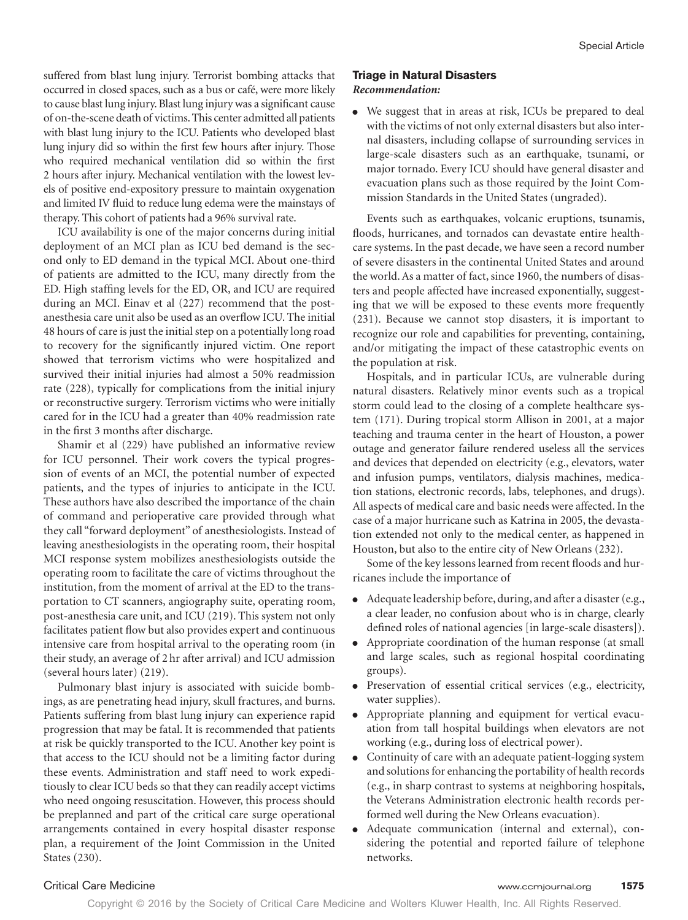suffered from blast lung injury. Terrorist bombing attacks that occurred in closed spaces, such as a bus or café, were more likely to cause blast lung injury. Blast lung injury was a significant cause of on-the-scene death of victims. This center admitted all patients with blast lung injury to the ICU. Patients who developed blast lung injury did so within the first few hours after injury. Those who required mechanical ventilation did so within the first 2 hours after injury. Mechanical ventilation with the lowest levels of positive end-expository pressure to maintain oxygenation and limited IV fluid to reduce lung edema were the mainstays of therapy. This cohort of patients had a 96% survival rate.

ICU availability is one of the major concerns during initial deployment of an MCI plan as ICU bed demand is the second only to ED demand in the typical MCI. About one-third of patients are admitted to the ICU, many directly from the ED. High staffing levels for the ED, OR, and ICU are required during an MCI. Einav et al (227) recommend that the postanesthesia care unit also be used as an overflow ICU. The initial 48 hours of care is just the initial step on a potentially long road to recovery for the significantly injured victim. One report showed that terrorism victims who were hospitalized and survived their initial injuries had almost a 50% readmission rate (228), typically for complications from the initial injury or reconstructive surgery. Terrorism victims who were initially cared for in the ICU had a greater than 40% readmission rate in the first 3 months after discharge.

Shamir et al (229) have published an informative review for ICU personnel. Their work covers the typical progression of events of an MCI, the potential number of expected patients, and the types of injuries to anticipate in the ICU. These authors have also described the importance of the chain of command and perioperative care provided through what they call "forward deployment" of anesthesiologists. Instead of leaving anesthesiologists in the operating room, their hospital MCI response system mobilizes anesthesiologists outside the operating room to facilitate the care of victims throughout the institution, from the moment of arrival at the ED to the transportation to CT scanners, angiography suite, operating room, post-anesthesia care unit, and ICU (219). This system not only facilitates patient flow but also provides expert and continuous intensive care from hospital arrival to the operating room (in their study, an average of 2hr after arrival) and ICU admission (several hours later) (219).

Pulmonary blast injury is associated with suicide bombings, as are penetrating head injury, skull fractures, and burns. Patients suffering from blast lung injury can experience rapid progression that may be fatal. It is recommended that patients at risk be quickly transported to the ICU. Another key point is that access to the ICU should not be a limiting factor during these events. Administration and staff need to work expeditiously to clear ICU beds so that they can readily accept victims who need ongoing resuscitation. However, this process should be preplanned and part of the critical care surge operational arrangements contained in every hospital disaster response plan, a requirement of the Joint Commission in the United States (230).

### **Triage in Natural Disasters** *Recommendation:*

● We suggest that in areas at risk, ICUs be prepared to deal with the victims of not only external disasters but also internal disasters, including collapse of surrounding services in large-scale disasters such as an earthquake, tsunami, or major tornado. Every ICU should have general disaster and evacuation plans such as those required by the Joint Commission Standards in the United States (ungraded).

Events such as earthquakes, volcanic eruptions, tsunamis, floods, hurricanes, and tornados can devastate entire healthcare systems. In the past decade, we have seen a record number of severe disasters in the continental United States and around the world. As a matter of fact, since 1960, the numbers of disasters and people affected have increased exponentially, suggesting that we will be exposed to these events more frequently (231). Because we cannot stop disasters, it is important to recognize our role and capabilities for preventing, containing, and/or mitigating the impact of these catastrophic events on the population at risk.

Hospitals, and in particular ICUs, are vulnerable during natural disasters. Relatively minor events such as a tropical storm could lead to the closing of a complete healthcare system (171). During tropical storm Allison in 2001, at a major teaching and trauma center in the heart of Houston, a power outage and generator failure rendered useless all the services and devices that depended on electricity (e.g., elevators, water and infusion pumps, ventilators, dialysis machines, medication stations, electronic records, labs, telephones, and drugs). All aspects of medical care and basic needs were affected. In the case of a major hurricane such as Katrina in 2005, the devastation extended not only to the medical center, as happened in Houston, but also to the entire city of New Orleans (232).

Some of the key lessons learned from recent floods and hurricanes include the importance of

- Adequate leadership before, during, and after a disaster (e.g., a clear leader, no confusion about who is in charge, clearly defined roles of national agencies [in large-scale disasters]).
- Appropriate coordination of the human response (at small and large scales, such as regional hospital coordinating groups).
- Preservation of essential critical services (e.g., electricity, water supplies).
- Appropriate planning and equipment for vertical evacuation from tall hospital buildings when elevators are not working (e.g., during loss of electrical power).
- Continuity of care with an adequate patient-logging system and solutions for enhancing the portability of health records (e.g., in sharp contrast to systems at neighboring hospitals, the Veterans Administration electronic health records performed well during the New Orleans evacuation).
- Adequate communication (internal and external), considering the potential and reported failure of telephone networks.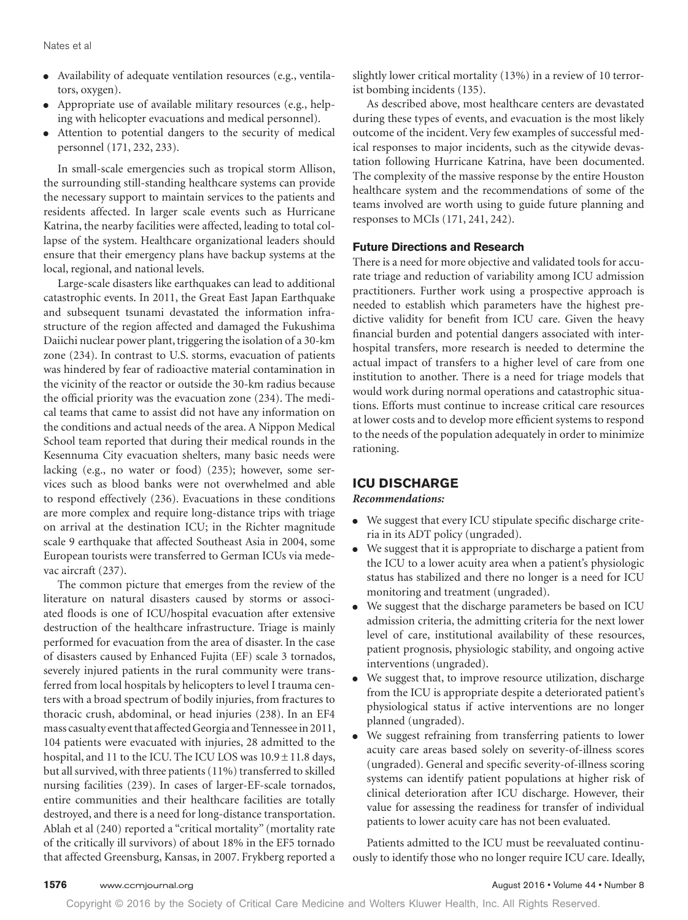- Availability of adequate ventilation resources (e.g., ventilators, oxygen).
- Appropriate use of available military resources (e.g., helping with helicopter evacuations and medical personnel).
- Attention to potential dangers to the security of medical personnel (171, 232, 233).

In small-scale emergencies such as tropical storm Allison, the surrounding still-standing healthcare systems can provide the necessary support to maintain services to the patients and residents affected. In larger scale events such as Hurricane Katrina, the nearby facilities were affected, leading to total collapse of the system. Healthcare organizational leaders should ensure that their emergency plans have backup systems at the local, regional, and national levels.

Large-scale disasters like earthquakes can lead to additional catastrophic events. In 2011, the Great East Japan Earthquake and subsequent tsunami devastated the information infrastructure of the region affected and damaged the Fukushima Daiichi nuclear power plant, triggering the isolation of a 30-km zone (234). In contrast to U.S. storms, evacuation of patients was hindered by fear of radioactive material contamination in the vicinity of the reactor or outside the 30-km radius because the official priority was the evacuation zone (234). The medical teams that came to assist did not have any information on the conditions and actual needs of the area. A Nippon Medical School team reported that during their medical rounds in the Kesennuma City evacuation shelters, many basic needs were lacking (e.g., no water or food) (235); however, some services such as blood banks were not overwhelmed and able to respond effectively (236). Evacuations in these conditions are more complex and require long-distance trips with triage on arrival at the destination ICU; in the Richter magnitude scale 9 earthquake that affected Southeast Asia in 2004, some European tourists were transferred to German ICUs via medevac aircraft (237).

The common picture that emerges from the review of the literature on natural disasters caused by storms or associated floods is one of ICU/hospital evacuation after extensive destruction of the healthcare infrastructure. Triage is mainly performed for evacuation from the area of disaster. In the case of disasters caused by Enhanced Fujita (EF) scale 3 tornados, severely injured patients in the rural community were transferred from local hospitals by helicopters to level I trauma centers with a broad spectrum of bodily injuries, from fractures to thoracic crush, abdominal, or head injuries (238). In an EF4 mass casualty event that affected Georgia and Tennessee in 2011, 104 patients were evacuated with injuries, 28 admitted to the hospital, and 11 to the ICU. The ICU LOS was  $10.9 \pm 11.8$  days, but all survived, with three patients (11%) transferred to skilled nursing facilities (239). In cases of larger-EF-scale tornados, entire communities and their healthcare facilities are totally destroyed, and there is a need for long-distance transportation. Ablah et al (240) reported a "critical mortality" (mortality rate of the critically ill survivors) of about 18% in the EF5 tornado that affected Greensburg, Kansas, in 2007. Frykberg reported a

slightly lower critical mortality (13%) in a review of 10 terrorist bombing incidents (135).

As described above, most healthcare centers are devastated during these types of events, and evacuation is the most likely outcome of the incident. Very few examples of successful medical responses to major incidents, such as the citywide devastation following Hurricane Katrina, have been documented. The complexity of the massive response by the entire Houston healthcare system and the recommendations of some of the teams involved are worth using to guide future planning and responses to MCIs (171, 241, 242).

### **Future Directions and Research**

There is a need for more objective and validated tools for accurate triage and reduction of variability among ICU admission practitioners. Further work using a prospective approach is needed to establish which parameters have the highest predictive validity for benefit from ICU care. Given the heavy financial burden and potential dangers associated with interhospital transfers, more research is needed to determine the actual impact of transfers to a higher level of care from one institution to another. There is a need for triage models that would work during normal operations and catastrophic situations. Efforts must continue to increase critical care resources at lower costs and to develop more efficient systems to respond to the needs of the population adequately in order to minimize rationing.

## **ICU DISCHARGE**

### *Recommendations:*

- We suggest that every ICU stipulate specific discharge criteria in its ADT policy (ungraded).
- We suggest that it is appropriate to discharge a patient from the ICU to a lower acuity area when a patient's physiologic status has stabilized and there no longer is a need for ICU monitoring and treatment (ungraded).
- We suggest that the discharge parameters be based on ICU admission criteria, the admitting criteria for the next lower level of care, institutional availability of these resources, patient prognosis, physiologic stability, and ongoing active interventions (ungraded).
- We suggest that, to improve resource utilization, discharge from the ICU is appropriate despite a deteriorated patient's physiological status if active interventions are no longer planned (ungraded).
- We suggest refraining from transferring patients to lower acuity care areas based solely on severity-of-illness scores (ungraded). General and specific severity-of-illness scoring systems can identify patient populations at higher risk of clinical deterioration after ICU discharge. However, their value for assessing the readiness for transfer of individual patients to lower acuity care has not been evaluated.

Patients admitted to the ICU must be reevaluated continuously to identify those who no longer require ICU care. Ideally,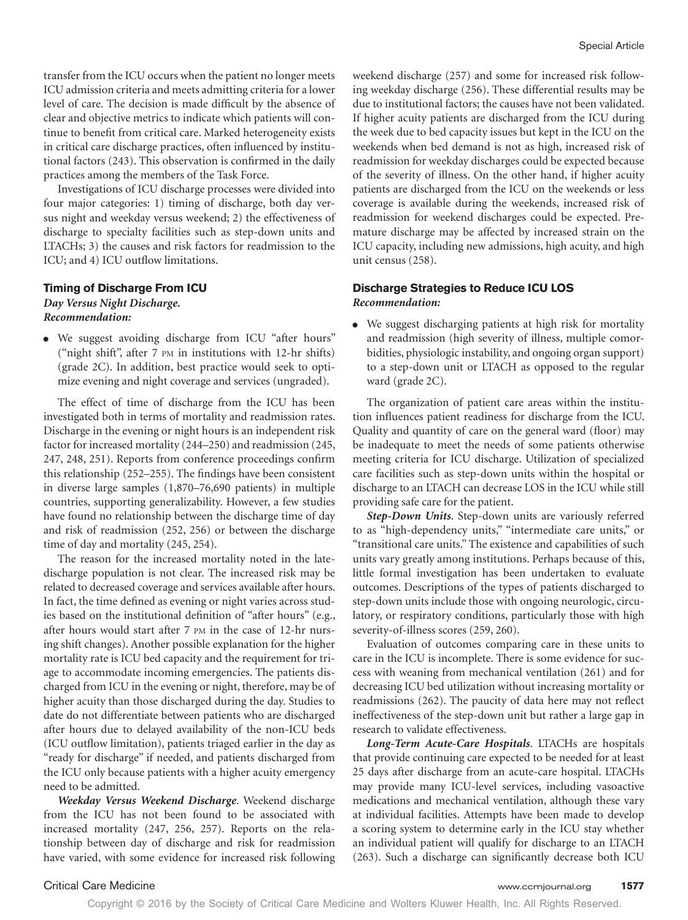transfer from the ICU occurs when the patient no longer meets ICU admission criteria and meets admitting criteria for a lower level of care. The decision is made difficult by the absence of clear and objective metrics to indicate which patients will continue to benefit from critical care. Marked heterogeneity exists in critical care discharge practices, often influenced by institutional factors (243). This observation is confirmed in the daily practices among the members of the Task Force.

Investigations of ICU discharge processes were divided into four major categories: 1) timing of discharge, both day versus night and weekday versus weekend; 2) the effectiveness of discharge to specialty facilities such as step-down units and LTACHs; 3) the causes and risk factors for readmission to the ICU; and 4) ICU outflow limitations.

# **Timing of Discharge From ICU** *Day Versus Night Discharge. Recommendation:*

● We suggest avoiding discharge from ICU "after hours" ("night shift", after 7 pm in institutions with 12-hr shifts) (grade 2C). In addition, best practice would seek to optimize evening and night coverage and services (ungraded).

The effect of time of discharge from the ICU has been investigated both in terms of mortality and readmission rates. Discharge in the evening or night hours is an independent risk factor for increased mortality (244–250) and readmission (245, 247, 248, 251). Reports from conference proceedings confirm this relationship (252–255). The findings have been consistent in diverse large samples (1,870–76,690 patients) in multiple countries, supporting generalizability. However, a few studies have found no relationship between the discharge time of day and risk of readmission (252, 256) or between the discharge time of day and mortality (245, 254).

The reason for the increased mortality noted in the latedischarge population is not clear. The increased risk may be related to decreased coverage and services available after hours. In fact, the time defined as evening or night varies across studies based on the institutional definition of "after hours" (e.g., after hours would start after 7 pm in the case of 12-hr nursing shift changes). Another possible explanation for the higher mortality rate is ICU bed capacity and the requirement for triage to accommodate incoming emergencies. The patients discharged from ICU in the evening or night, therefore, may be of higher acuity than those discharged during the day. Studies to date do not differentiate between patients who are discharged after hours due to delayed availability of the non-ICU beds (ICU outflow limitation), patients triaged earlier in the day as "ready for discharge" if needed, and patients discharged from the ICU only because patients with a higher acuity emergency need to be admitted.

*Weekday Versus Weekend Discharge*. Weekend discharge from the ICU has not been found to be associated with increased mortality (247, 256, 257). Reports on the relationship between day of discharge and risk for readmission have varied, with some evidence for increased risk following weekend discharge (257) and some for increased risk following weekday discharge (256). These differential results may be due to institutional factors; the causes have not been validated. If higher acuity patients are discharged from the ICU during the week due to bed capacity issues but kept in the ICU on the weekends when bed demand is not as high, increased risk of readmission for weekday discharges could be expected because of the severity of illness. On the other hand, if higher acuity patients are discharged from the ICU on the weekends or less coverage is available during the weekends, increased risk of readmission for weekend discharges could be expected. Premature discharge may be affected by increased strain on the ICU capacity, including new admissions, high acuity, and high unit census (258).

## **Discharge Strategies to Reduce ICU LOS** *Recommendation:*

● We suggest discharging patients at high risk for mortality and readmission (high severity of illness, multiple comorbidities, physiologic instability, and ongoing organ support) to a step-down unit or LTACH as opposed to the regular ward (grade 2C).

The organization of patient care areas within the institution influences patient readiness for discharge from the ICU. Quality and quantity of care on the general ward (floor) may be inadequate to meet the needs of some patients otherwise meeting criteria for ICU discharge. Utilization of specialized care facilities such as step-down units within the hospital or discharge to an LTACH can decrease LOS in the ICU while still providing safe care for the patient.

*Step-Down Units*. Step-down units are variously referred to as "high-dependency units," "intermediate care units," or "transitional care units." The existence and capabilities of such units vary greatly among institutions. Perhaps because of this, little formal investigation has been undertaken to evaluate outcomes. Descriptions of the types of patients discharged to step-down units include those with ongoing neurologic, circulatory, or respiratory conditions, particularly those with high severity-of-illness scores (259, 260).

Evaluation of outcomes comparing care in these units to care in the ICU is incomplete. There is some evidence for success with weaning from mechanical ventilation (261) and for decreasing ICU bed utilization without increasing mortality or readmissions (262). The paucity of data here may not reflect ineffectiveness of the step-down unit but rather a large gap in research to validate effectiveness.

*Long-Term Acute-Care Hospitals*. LTACHs are hospitals that provide continuing care expected to be needed for at least 25 days after discharge from an acute-care hospital. LTACHs may provide many ICU-level services, including vasoactive medications and mechanical ventilation, although these vary at individual facilities. Attempts have been made to develop a scoring system to determine early in the ICU stay whether an individual patient will qualify for discharge to an LTACH (263). Such a discharge can significantly decrease both ICU

# Critical Care Medicine www.ccmjournal.org **1577**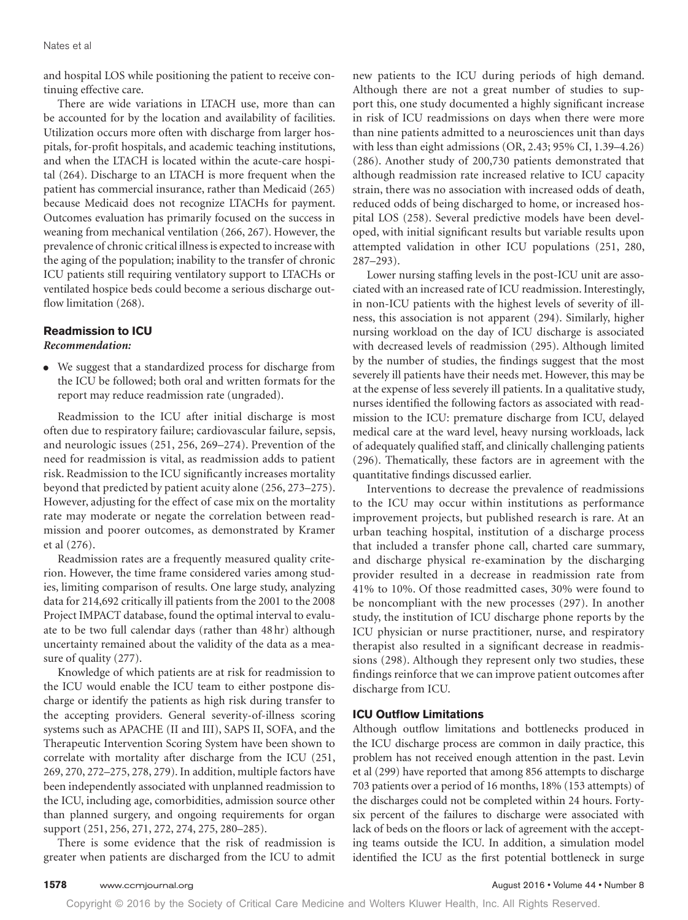and hospital LOS while positioning the patient to receive continuing effective care.

There are wide variations in LTACH use, more than can be accounted for by the location and availability of facilities. Utilization occurs more often with discharge from larger hospitals, for-profit hospitals, and academic teaching institutions, and when the LTACH is located within the acute-care hospital (264). Discharge to an LTACH is more frequent when the patient has commercial insurance, rather than Medicaid (265) because Medicaid does not recognize LTACHs for payment. Outcomes evaluation has primarily focused on the success in weaning from mechanical ventilation (266, 267). However, the prevalence of chronic critical illness is expected to increase with the aging of the population; inability to the transfer of chronic ICU patients still requiring ventilatory support to LTACHs or ventilated hospice beds could become a serious discharge outflow limitation (268).

### **Readmission to ICU** *Recommendation:*

● We suggest that a standardized process for discharge from the ICU be followed; both oral and written formats for the report may reduce readmission rate (ungraded).

Readmission to the ICU after initial discharge is most often due to respiratory failure; cardiovascular failure, sepsis, and neurologic issues (251, 256, 269–274). Prevention of the need for readmission is vital, as readmission adds to patient risk. Readmission to the ICU significantly increases mortality beyond that predicted by patient acuity alone (256, 273–275). However, adjusting for the effect of case mix on the mortality rate may moderate or negate the correlation between readmission and poorer outcomes, as demonstrated by Kramer et al (276).

Readmission rates are a frequently measured quality criterion. However, the time frame considered varies among studies, limiting comparison of results. One large study, analyzing data for 214,692 critically ill patients from the 2001 to the 2008 Project IMPACT database, found the optimal interval to evaluate to be two full calendar days (rather than 48hr) although uncertainty remained about the validity of the data as a measure of quality (277).

Knowledge of which patients are at risk for readmission to the ICU would enable the ICU team to either postpone discharge or identify the patients as high risk during transfer to the accepting providers. General severity-of-illness scoring systems such as APACHE (II and III), SAPS II, SOFA, and the Therapeutic Intervention Scoring System have been shown to correlate with mortality after discharge from the ICU (251, 269, 270, 272–275, 278, 279). In addition, multiple factors have been independently associated with unplanned readmission to the ICU, including age, comorbidities, admission source other than planned surgery, and ongoing requirements for organ support (251, 256, 271, 272, 274, 275, 280–285).

There is some evidence that the risk of readmission is greater when patients are discharged from the ICU to admit new patients to the ICU during periods of high demand. Although there are not a great number of studies to support this, one study documented a highly significant increase in risk of ICU readmissions on days when there were more than nine patients admitted to a neurosciences unit than days with less than eight admissions (OR, 2.43; 95% CI, 1.39–4.26) (286). Another study of 200,730 patients demonstrated that although readmission rate increased relative to ICU capacity strain, there was no association with increased odds of death, reduced odds of being discharged to home, or increased hospital LOS (258). Several predictive models have been developed, with initial significant results but variable results upon attempted validation in other ICU populations (251, 280, 287–293).

Lower nursing staffing levels in the post-ICU unit are associated with an increased rate of ICU readmission. Interestingly, in non-ICU patients with the highest levels of severity of illness, this association is not apparent (294). Similarly, higher nursing workload on the day of ICU discharge is associated with decreased levels of readmission (295). Although limited by the number of studies, the findings suggest that the most severely ill patients have their needs met. However, this may be at the expense of less severely ill patients. In a qualitative study, nurses identified the following factors as associated with readmission to the ICU: premature discharge from ICU, delayed medical care at the ward level, heavy nursing workloads, lack of adequately qualified staff, and clinically challenging patients (296). Thematically, these factors are in agreement with the quantitative findings discussed earlier.

Interventions to decrease the prevalence of readmissions to the ICU may occur within institutions as performance improvement projects, but published research is rare. At an urban teaching hospital, institution of a discharge process that included a transfer phone call, charted care summary, and discharge physical re-examination by the discharging provider resulted in a decrease in readmission rate from 41% to 10%. Of those readmitted cases, 30% were found to be noncompliant with the new processes (297). In another study, the institution of ICU discharge phone reports by the ICU physician or nurse practitioner, nurse, and respiratory therapist also resulted in a significant decrease in readmissions (298). Although they represent only two studies, these findings reinforce that we can improve patient outcomes after discharge from ICU.

## **ICU Outflow Limitations**

Although outflow limitations and bottlenecks produced in the ICU discharge process are common in daily practice, this problem has not received enough attention in the past. Levin et al (299) have reported that among 856 attempts to discharge 703 patients over a period of 16 months, 18% (153 attempts) of the discharges could not be completed within 24 hours. Fortysix percent of the failures to discharge were associated with lack of beds on the floors or lack of agreement with the accepting teams outside the ICU. In addition, a simulation model identified the ICU as the first potential bottleneck in surge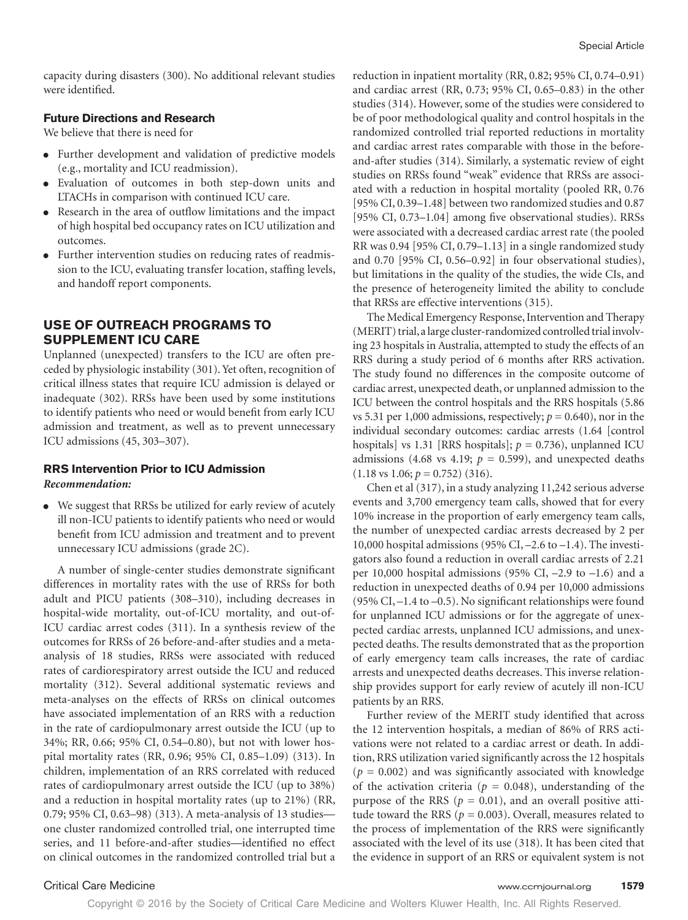capacity during disasters (300). No additional relevant studies were identified.

## **Future Directions and Research**

We believe that there is need for

- Further development and validation of predictive models (e.g., mortality and ICU readmission).
- Evaluation of outcomes in both step-down units and LTACHs in comparison with continued ICU care.
- Research in the area of outflow limitations and the impact of high hospital bed occupancy rates on ICU utilization and outcomes.
- Further intervention studies on reducing rates of readmission to the ICU, evaluating transfer location, staffing levels, and handoff report components.

# **USE OF OUTREACH PROGRAMS TO SUPPLEMENT ICU CARE**

Unplanned (unexpected) transfers to the ICU are often preceded by physiologic instability (301). Yet often, recognition of critical illness states that require ICU admission is delayed or inadequate (302). RRSs have been used by some institutions to identify patients who need or would benefit from early ICU admission and treatment, as well as to prevent unnecessary ICU admissions (45, 303–307).

### **RRS Intervention Prior to ICU Admission** *Recommendation:*

● We suggest that RRSs be utilized for early review of acutely ill non-ICU patients to identify patients who need or would benefit from ICU admission and treatment and to prevent unnecessary ICU admissions (grade 2C).

A number of single-center studies demonstrate significant differences in mortality rates with the use of RRSs for both adult and PICU patients (308–310), including decreases in hospital-wide mortality, out-of-ICU mortality, and out-of-ICU cardiac arrest codes (311). In a synthesis review of the outcomes for RRSs of 26 before-and-after studies and a metaanalysis of 18 studies, RRSs were associated with reduced rates of cardiorespiratory arrest outside the ICU and reduced mortality (312). Several additional systematic reviews and meta-analyses on the effects of RRSs on clinical outcomes have associated implementation of an RRS with a reduction in the rate of cardiopulmonary arrest outside the ICU (up to 34%; RR, 0.66; 95% CI, 0.54–0.80), but not with lower hospital mortality rates (RR, 0.96; 95% CI, 0.85–1.09) (313). In children, implementation of an RRS correlated with reduced rates of cardiopulmonary arrest outside the ICU (up to 38%) and a reduction in hospital mortality rates (up to 21%) (RR, 0.79; 95% CI, 0.63–98) (313). A meta-analysis of 13 studies one cluster randomized controlled trial, one interrupted time series, and 11 before-and-after studies—identified no effect on clinical outcomes in the randomized controlled trial but a

reduction in inpatient mortality (RR, 0.82; 95% CI, 0.74–0.91) and cardiac arrest (RR, 0.73; 95% CI, 0.65–0.83) in the other studies (314). However, some of the studies were considered to be of poor methodological quality and control hospitals in the randomized controlled trial reported reductions in mortality and cardiac arrest rates comparable with those in the beforeand-after studies (314). Similarly, a systematic review of eight studies on RRSs found "weak" evidence that RRSs are associated with a reduction in hospital mortality (pooled RR, 0.76 [95% CI, 0.39–1.48] between two randomized studies and 0.87 [95% CI, 0.73–1.04] among five observational studies). RRSs were associated with a decreased cardiac arrest rate (the pooled RR was 0.94 [95% CI, 0.79–1.13] in a single randomized study and 0.70 [95% CI, 0.56–0.92] in four observational studies), but limitations in the quality of the studies, the wide CIs, and the presence of heterogeneity limited the ability to conclude that RRSs are effective interventions (315).

The Medical Emergency Response, Intervention and Therapy (MERIT) trial, a large cluster-randomized controlled trial involving 23 hospitals in Australia, attempted to study the effects of an RRS during a study period of 6 months after RRS activation. The study found no differences in the composite outcome of cardiac arrest, unexpected death, or unplanned admission to the ICU between the control hospitals and the RRS hospitals (5.86 vs 5.31 per 1,000 admissions, respectively;  $p = 0.640$ ), nor in the individual secondary outcomes: cardiac arrests (1.64 [control hospitals] vs 1.31 [RRS hospitals];  $p = 0.736$ ), unplanned ICU admissions (4.68 vs 4.19;  $p = 0.599$ ), and unexpected deaths  $(1.18 \text{ vs } 1.06; p = 0.752)$  (316).

Chen et al (317), in a study analyzing 11,242 serious adverse events and 3,700 emergency team calls, showed that for every 10% increase in the proportion of early emergency team calls, the number of unexpected cardiac arrests decreased by 2 per 10,000 hospital admissions (95% CI, –2.6 to –1.4). The investigators also found a reduction in overall cardiac arrests of 2.21 per 10,000 hospital admissions (95% CI,  $-2.9$  to  $-1.6$ ) and a reduction in unexpected deaths of 0.94 per 10,000 admissions (95% CI, –1.4 to –0.5). No significant relationships were found for unplanned ICU admissions or for the aggregate of unexpected cardiac arrests, unplanned ICU admissions, and unexpected deaths. The results demonstrated that as the proportion of early emergency team calls increases, the rate of cardiac arrests and unexpected deaths decreases. This inverse relationship provides support for early review of acutely ill non-ICU patients by an RRS.

Further review of the MERIT study identified that across the 12 intervention hospitals, a median of 86% of RRS activations were not related to a cardiac arrest or death. In addition, RRS utilization varied significantly across the 12 hospitals  $(p = 0.002)$  and was significantly associated with knowledge of the activation criteria ( $p = 0.048$ ), understanding of the purpose of the RRS ( $p = 0.01$ ), and an overall positive attitude toward the RRS ( $p = 0.003$ ). Overall, measures related to the process of implementation of the RRS were significantly associated with the level of its use (318). It has been cited that the evidence in support of an RRS or equivalent system is not

### Critical Care Medicine www.ccmjournal.org **1579**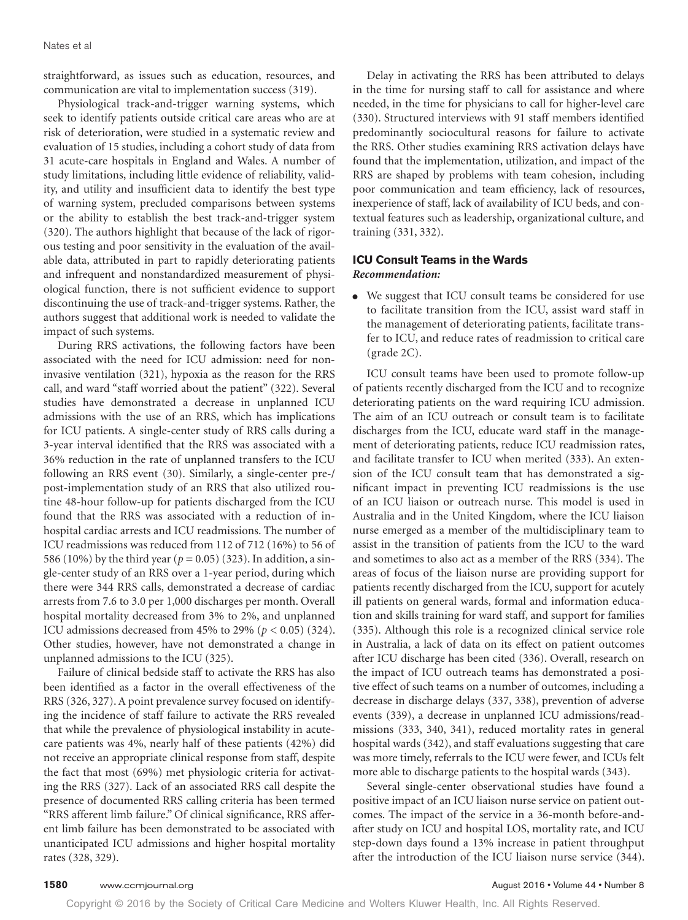straightforward, as issues such as education, resources, and communication are vital to implementation success (319).

Physiological track-and-trigger warning systems, which seek to identify patients outside critical care areas who are at risk of deterioration, were studied in a systematic review and evaluation of 15 studies, including a cohort study of data from 31 acute-care hospitals in England and Wales. A number of study limitations, including little evidence of reliability, validity, and utility and insufficient data to identify the best type of warning system, precluded comparisons between systems or the ability to establish the best track-and-trigger system (320). The authors highlight that because of the lack of rigorous testing and poor sensitivity in the evaluation of the available data, attributed in part to rapidly deteriorating patients and infrequent and nonstandardized measurement of physiological function, there is not sufficient evidence to support discontinuing the use of track-and-trigger systems. Rather, the authors suggest that additional work is needed to validate the impact of such systems.

During RRS activations, the following factors have been associated with the need for ICU admission: need for noninvasive ventilation (321), hypoxia as the reason for the RRS call, and ward "staff worried about the patient" (322). Several studies have demonstrated a decrease in unplanned ICU admissions with the use of an RRS, which has implications for ICU patients. A single-center study of RRS calls during a 3-year interval identified that the RRS was associated with a 36% reduction in the rate of unplanned transfers to the ICU following an RRS event (30). Similarly, a single-center pre-/ post-implementation study of an RRS that also utilized routine 48-hour follow-up for patients discharged from the ICU found that the RRS was associated with a reduction of inhospital cardiac arrests and ICU readmissions. The number of ICU readmissions was reduced from 112 of 712 (16%) to 56 of 586 (10%) by the third year (*p* = 0.05) (323). In addition, a single-center study of an RRS over a 1-year period, during which there were 344 RRS calls, demonstrated a decrease of cardiac arrests from 7.6 to 3.0 per 1,000 discharges per month. Overall hospital mortality decreased from 3% to 2%, and unplanned ICU admissions decreased from 45% to 29% (*p* < 0.05) (324). Other studies, however, have not demonstrated a change in unplanned admissions to the ICU (325).

Failure of clinical bedside staff to activate the RRS has also been identified as a factor in the overall effectiveness of the RRS (326, 327). A point prevalence survey focused on identifying the incidence of staff failure to activate the RRS revealed that while the prevalence of physiological instability in acutecare patients was 4%, nearly half of these patients (42%) did not receive an appropriate clinical response from staff, despite the fact that most (69%) met physiologic criteria for activating the RRS (327). Lack of an associated RRS call despite the presence of documented RRS calling criteria has been termed "RRS afferent limb failure." Of clinical significance, RRS afferent limb failure has been demonstrated to be associated with unanticipated ICU admissions and higher hospital mortality rates (328, 329).

Delay in activating the RRS has been attributed to delays in the time for nursing staff to call for assistance and where needed, in the time for physicians to call for higher-level care (330). Structured interviews with 91 staff members identified predominantly sociocultural reasons for failure to activate the RRS. Other studies examining RRS activation delays have found that the implementation, utilization, and impact of the RRS are shaped by problems with team cohesion, including poor communication and team efficiency, lack of resources, inexperience of staff, lack of availability of ICU beds, and contextual features such as leadership, organizational culture, and training (331, 332).

## **ICU Consult Teams in the Wards** *Recommendation:*

● We suggest that ICU consult teams be considered for use to facilitate transition from the ICU, assist ward staff in the management of deteriorating patients, facilitate transfer to ICU, and reduce rates of readmission to critical care (grade 2C).

ICU consult teams have been used to promote follow-up of patients recently discharged from the ICU and to recognize deteriorating patients on the ward requiring ICU admission. The aim of an ICU outreach or consult team is to facilitate discharges from the ICU, educate ward staff in the management of deteriorating patients, reduce ICU readmission rates, and facilitate transfer to ICU when merited (333). An extension of the ICU consult team that has demonstrated a significant impact in preventing ICU readmissions is the use of an ICU liaison or outreach nurse. This model is used in Australia and in the United Kingdom, where the ICU liaison nurse emerged as a member of the multidisciplinary team to assist in the transition of patients from the ICU to the ward and sometimes to also act as a member of the RRS (334). The areas of focus of the liaison nurse are providing support for patients recently discharged from the ICU, support for acutely ill patients on general wards, formal and information education and skills training for ward staff, and support for families (335). Although this role is a recognized clinical service role in Australia, a lack of data on its effect on patient outcomes after ICU discharge has been cited (336). Overall, research on the impact of ICU outreach teams has demonstrated a positive effect of such teams on a number of outcomes, including a decrease in discharge delays (337, 338), prevention of adverse events (339), a decrease in unplanned ICU admissions/readmissions (333, 340, 341), reduced mortality rates in general hospital wards (342), and staff evaluations suggesting that care was more timely, referrals to the ICU were fewer, and ICUs felt more able to discharge patients to the hospital wards (343).

Several single-center observational studies have found a positive impact of an ICU liaison nurse service on patient outcomes. The impact of the service in a 36-month before-andafter study on ICU and hospital LOS, mortality rate, and ICU step-down days found a 13% increase in patient throughput after the introduction of the ICU liaison nurse service (344).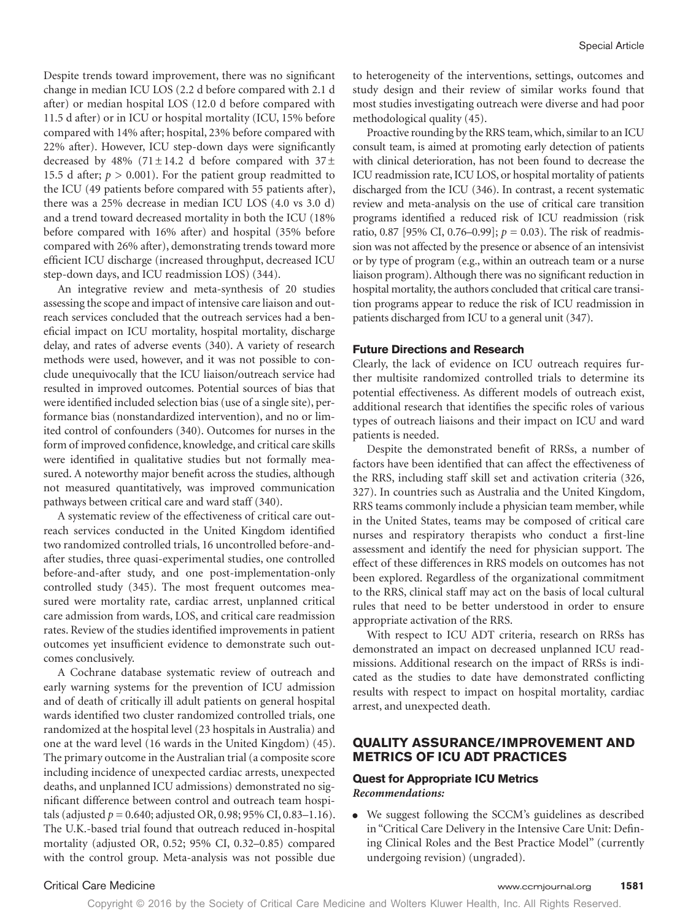Despite trends toward improvement, there was no significant change in median ICU LOS (2.2 d before compared with 2.1 d after) or median hospital LOS (12.0 d before compared with 11.5 d after) or in ICU or hospital mortality (ICU, 15% before compared with 14% after; hospital, 23% before compared with 22% after). However, ICU step-down days were significantly decreased by 48% (71 $\pm$ 14.2 d before compared with 37 $\pm$ 15.5 d after;  $p > 0.001$ ). For the patient group readmitted to the ICU (49 patients before compared with 55 patients after), there was a 25% decrease in median ICU LOS (4.0 vs 3.0 d) and a trend toward decreased mortality in both the ICU (18% before compared with 16% after) and hospital (35% before compared with 26% after), demonstrating trends toward more efficient ICU discharge (increased throughput, decreased ICU step-down days, and ICU readmission LOS) (344).

An integrative review and meta-synthesis of 20 studies assessing the scope and impact of intensive care liaison and outreach services concluded that the outreach services had a beneficial impact on ICU mortality, hospital mortality, discharge delay, and rates of adverse events (340). A variety of research methods were used, however, and it was not possible to conclude unequivocally that the ICU liaison/outreach service had resulted in improved outcomes. Potential sources of bias that were identified included selection bias (use of a single site), performance bias (nonstandardized intervention), and no or limited control of confounders (340). Outcomes for nurses in the form of improved confidence, knowledge, and critical care skills were identified in qualitative studies but not formally measured. A noteworthy major benefit across the studies, although not measured quantitatively, was improved communication pathways between critical care and ward staff (340).

A systematic review of the effectiveness of critical care outreach services conducted in the United Kingdom identified two randomized controlled trials, 16 uncontrolled before-andafter studies, three quasi-experimental studies, one controlled before-and-after study, and one post-implementation-only controlled study (345). The most frequent outcomes measured were mortality rate, cardiac arrest, unplanned critical care admission from wards, LOS, and critical care readmission rates. Review of the studies identified improvements in patient outcomes yet insufficient evidence to demonstrate such outcomes conclusively.

A Cochrane database systematic review of outreach and early warning systems for the prevention of ICU admission and of death of critically ill adult patients on general hospital wards identified two cluster randomized controlled trials, one randomized at the hospital level (23 hospitals in Australia) and one at the ward level (16 wards in the United Kingdom) (45). The primary outcome in the Australian trial (a composite score including incidence of unexpected cardiac arrests, unexpected deaths, and unplanned ICU admissions) demonstrated no significant difference between control and outreach team hospitals (adjusted  $p = 0.640$ ; adjusted OR, 0.98; 95% CI, 0.83–1.16). The U.K.-based trial found that outreach reduced in-hospital mortality (adjusted OR, 0.52; 95% CI, 0.32–0.85) compared with the control group. Meta-analysis was not possible due to heterogeneity of the interventions, settings, outcomes and study design and their review of similar works found that most studies investigating outreach were diverse and had poor methodological quality (45).

Proactive rounding by the RRS team, which, similar to an ICU consult team, is aimed at promoting early detection of patients with clinical deterioration, has not been found to decrease the ICU readmission rate, ICU LOS, or hospital mortality of patients discharged from the ICU (346). In contrast, a recent systematic review and meta-analysis on the use of critical care transition programs identified a reduced risk of ICU readmission (risk ratio, 0.87 [95% CI, 0.76–0.99];  $p = 0.03$ ). The risk of readmission was not affected by the presence or absence of an intensivist or by type of program (e.g., within an outreach team or a nurse liaison program). Although there was no significant reduction in hospital mortality, the authors concluded that critical care transition programs appear to reduce the risk of ICU readmission in patients discharged from ICU to a general unit (347).

### **Future Directions and Research**

Clearly, the lack of evidence on ICU outreach requires further multisite randomized controlled trials to determine its potential effectiveness. As different models of outreach exist, additional research that identifies the specific roles of various types of outreach liaisons and their impact on ICU and ward patients is needed.

Despite the demonstrated benefit of RRSs, a number of factors have been identified that can affect the effectiveness of the RRS, including staff skill set and activation criteria (326, 327). In countries such as Australia and the United Kingdom, RRS teams commonly include a physician team member, while in the United States, teams may be composed of critical care nurses and respiratory therapists who conduct a first-line assessment and identify the need for physician support. The effect of these differences in RRS models on outcomes has not been explored. Regardless of the organizational commitment to the RRS, clinical staff may act on the basis of local cultural rules that need to be better understood in order to ensure appropriate activation of the RRS.

With respect to ICU ADT criteria, research on RRSs has demonstrated an impact on decreased unplanned ICU readmissions. Additional research on the impact of RRSs is indicated as the studies to date have demonstrated conflicting results with respect to impact on hospital mortality, cardiac arrest, and unexpected death.

# **QUALITY ASSURANCE/IMPROVEMENT AND METRICS OF ICU ADT PRACTICES**

# **Quest for Appropriate ICU Metrics** *Recommendations:*

● We suggest following the SCCM's guidelines as described in "Critical Care Delivery in the Intensive Care Unit: Defining Clinical Roles and the Best Practice Model" (currently undergoing revision) (ungraded).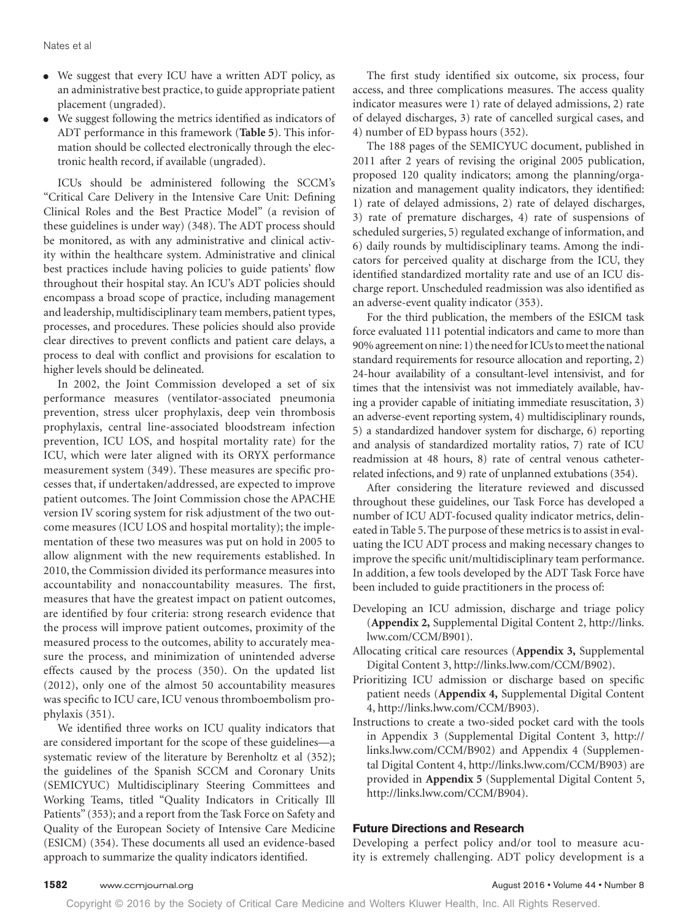- We suggest that every ICU have a written ADT policy, as an administrative best practice, to guide appropriate patient placement (ungraded).
- We suggest following the metrics identified as indicators of ADT performance in this framework (**Table 5**). This information should be collected electronically through the electronic health record, if available (ungraded).

ICUs should be administered following the SCCM's "Critical Care Delivery in the Intensive Care Unit: Defining Clinical Roles and the Best Practice Model" (a revision of these guidelines is under way) (348). The ADT process should be monitored, as with any administrative and clinical activity within the healthcare system. Administrative and clinical best practices include having policies to guide patients' flow throughout their hospital stay. An ICU's ADT policies should encompass a broad scope of practice, including management and leadership, multidisciplinary team members, patient types, processes, and procedures. These policies should also provide clear directives to prevent conflicts and patient care delays, a process to deal with conflict and provisions for escalation to higher levels should be delineated.

In 2002, the Joint Commission developed a set of six performance measures (ventilator-associated pneumonia prevention, stress ulcer prophylaxis, deep vein thrombosis prophylaxis, central line-associated bloodstream infection prevention, ICU LOS, and hospital mortality rate) for the ICU, which were later aligned with its ORYX performance measurement system (349). These measures are specific processes that, if undertaken/addressed, are expected to improve patient outcomes. The Joint Commission chose the APACHE version IV scoring system for risk adjustment of the two outcome measures (ICU LOS and hospital mortality); the implementation of these two measures was put on hold in 2005 to allow alignment with the new requirements established. In 2010, the Commission divided its performance measures into accountability and nonaccountability measures. The first, measures that have the greatest impact on patient outcomes, are identified by four criteria: strong research evidence that the process will improve patient outcomes, proximity of the measured process to the outcomes, ability to accurately measure the process, and minimization of unintended adverse effects caused by the process (350). On the updated list (2012), only one of the almost 50 accountability measures was specific to ICU care, ICU venous thromboembolism prophylaxis (351).

We identified three works on ICU quality indicators that are considered important for the scope of these guidelines—a systematic review of the literature by Berenholtz et al (352); the guidelines of the Spanish SCCM and Coronary Units (SEMICYUC) Multidisciplinary Steering Committees and Working Teams, titled "Quality Indicators in Critically Ill Patients" (353); and a report from the Task Force on Safety and Quality of the European Society of Intensive Care Medicine (ESICM) (354). These documents all used an evidence-based approach to summarize the quality indicators identified.

The first study identified six outcome, six process, four access, and three complications measures. The access quality indicator measures were 1) rate of delayed admissions, 2) rate of delayed discharges, 3) rate of cancelled surgical cases, and 4) number of ED bypass hours (352).

The 188 pages of the SEMICYUC document, published in 2011 after 2 years of revising the original 2005 publication, proposed 120 quality indicators; among the planning/organization and management quality indicators, they identified: 1) rate of delayed admissions, 2) rate of delayed discharges, 3) rate of premature discharges, 4) rate of suspensions of scheduled surgeries, 5) regulated exchange of information, and 6) daily rounds by multidisciplinary teams. Among the indicators for perceived quality at discharge from the ICU, they identified standardized mortality rate and use of an ICU discharge report. Unscheduled readmission was also identified as an adverse-event quality indicator (353).

For the third publication, the members of the ESICM task force evaluated 111 potential indicators and came to more than 90% agreement on nine: 1) the need for ICUs to meet the national standard requirements for resource allocation and reporting, 2) 24-hour availability of a consultant-level intensivist, and for times that the intensivist was not immediately available, having a provider capable of initiating immediate resuscitation, 3) an adverse-event reporting system, 4) multidisciplinary rounds, 5) a standardized handover system for discharge, 6) reporting and analysis of standardized mortality ratios, 7) rate of ICU readmission at 48 hours, 8) rate of central venous catheterrelated infections, and 9) rate of unplanned extubations (354).

After considering the literature reviewed and discussed throughout these guidelines, our Task Force has developed a number of ICU ADT-focused quality indicator metrics, delineated in Table 5. The purpose of these metrics is to assist in evaluating the ICU ADT process and making necessary changes to improve the specific unit/multidisciplinary team performance. In addition, a few tools developed by the ADT Task Force have been included to guide practitioners in the process of:

- Developing an ICU admission, discharge and triage policy (**Appendix 2,** Supplemental Digital Content 2, [http://links.](http://links.lww.com/CCM/B901) [lww.com/CCM/B901](http://links.lww.com/CCM/B901)).
- Allocating critical care resources (**Appendix 3,** Supplemental Digital Content 3, <http://links.lww.com/CCM/B902>).
- Prioritizing ICU admission or discharge based on specific patient needs (**Appendix 4,** Supplemental Digital Content 4,<http://links.lww.com/CCM/B903>).
- Instructions to create a two-sided pocket card with the tools in Appendix 3 (Supplemental Digital Content 3, [http://](http://links.lww.com/CCM/B902) [links.lww.com/CCM/B902\)](http://links.lww.com/CCM/B902) and Appendix 4 (Supplemental Digital Content 4, [http://links.lww.com/CCM/B903\)](http://links.lww.com/CCM/B903) are provided in **Appendix 5** (Supplemental Digital Content 5, <http://links.lww.com/CCM/B904>).

### **Future Directions and Research**

Developing a perfect policy and/or tool to measure acuity is extremely challenging. ADT policy development is a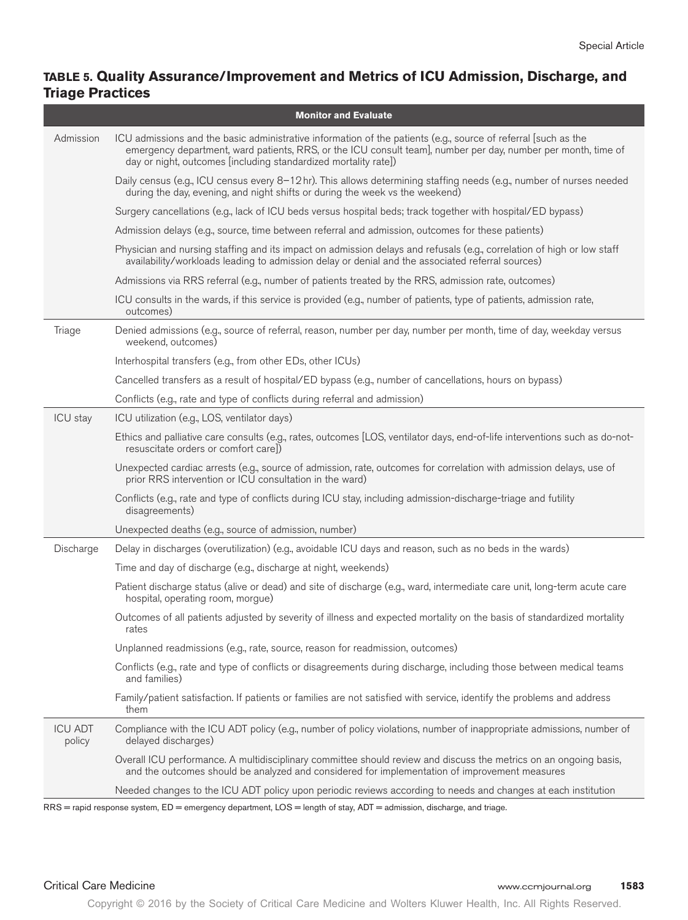# **Table 5. Quality Assurance/Improvement and Metrics of ICU Admission, Discharge, and Triage Practices**

|                          | <b>Monitor and Evaluate</b>                                                                                                                                                                                                                                                                        |
|--------------------------|----------------------------------------------------------------------------------------------------------------------------------------------------------------------------------------------------------------------------------------------------------------------------------------------------|
| Admission                | ICU admissions and the basic administrative information of the patients (e.g., source of referral [such as the<br>emergency department, ward patients, RRS, or the ICU consult team], number per day, number per month, time of<br>day or night, outcomes [including standardized mortality rate]) |
|                          | Daily census (e.g., ICU census every 8-12hr). This allows determining staffing needs (e.g., number of nurses needed<br>during the day, evening, and night shifts or during the week vs the weekend)                                                                                                |
|                          | Surgery cancellations (e.g., lack of ICU beds versus hospital beds; track together with hospital/ED bypass)                                                                                                                                                                                        |
|                          | Admission delays (e.g., source, time between referral and admission, outcomes for these patients)                                                                                                                                                                                                  |
|                          | Physician and nursing staffing and its impact on admission delays and refusals (e.g., correlation of high or low staff<br>availability/workloads leading to admission delay or denial and the associated referral sources)                                                                         |
|                          | Admissions via RRS referral (e.g., number of patients treated by the RRS, admission rate, outcomes)                                                                                                                                                                                                |
|                          | ICU consults in the wards, if this service is provided (e.g., number of patients, type of patients, admission rate,<br>outcomes)                                                                                                                                                                   |
| Triage                   | Denied admissions (e.g., source of referral, reason, number per day, number per month, time of day, weekday versus<br>weekend, outcomes)                                                                                                                                                           |
|                          | Interhospital transfers (e.g., from other EDs, other ICUs)                                                                                                                                                                                                                                         |
|                          | Cancelled transfers as a result of hospital/ED bypass (e.g., number of cancellations, hours on bypass)                                                                                                                                                                                             |
|                          | Conflicts (e.g., rate and type of conflicts during referral and admission)                                                                                                                                                                                                                         |
| ICU stay                 | ICU utilization (e.g., LOS, ventilator days)                                                                                                                                                                                                                                                       |
|                          | Ethics and palliative care consults (e.g., rates, outcomes [LOS, ventilator days, end-of-life interventions such as do-not-<br>resuscitate orders or comfort care])                                                                                                                                |
|                          | Unexpected cardiac arrests (e.g., source of admission, rate, outcomes for correlation with admission delays, use of<br>prior RRS intervention or ICU consultation in the ward)                                                                                                                     |
|                          | Conflicts (e.g., rate and type of conflicts during ICU stay, including admission-discharge-triage and futility<br>disagreements)                                                                                                                                                                   |
|                          | Unexpected deaths (e.g., source of admission, number)                                                                                                                                                                                                                                              |
| Discharge                | Delay in discharges (overutilization) (e.g., avoidable ICU days and reason, such as no beds in the wards)                                                                                                                                                                                          |
|                          | Time and day of discharge (e.g., discharge at night, weekends)                                                                                                                                                                                                                                     |
|                          | Patient discharge status (alive or dead) and site of discharge (e.g., ward, intermediate care unit, long-term acute care<br>hospital, operating room, morgue)                                                                                                                                      |
|                          | Outcomes of all patients adjusted by severity of illness and expected mortality on the basis of standardized mortality<br>rates                                                                                                                                                                    |
|                          | Unplanned readmissions (e.g., rate, source, reason for readmission, outcomes)                                                                                                                                                                                                                      |
|                          | Conflicts (e.g., rate and type of conflicts or disagreements during discharge, including those between medical teams<br>and families)                                                                                                                                                              |
|                          | Family/patient satisfaction. If patients or families are not satisfied with service, identify the problems and address<br>them                                                                                                                                                                     |
| <b>ICU ADT</b><br>policy | Compliance with the ICU ADT policy (e.g., number of policy violations, number of inappropriate admissions, number of<br>delayed discharges)                                                                                                                                                        |
|                          | Overall ICU performance. A multidisciplinary committee should review and discuss the metrics on an ongoing basis,<br>and the outcomes should be analyzed and considered for implementation of improvement measures                                                                                 |
|                          | Needed changes to the ICU ADT policy upon periodic reviews according to needs and changes at each institution                                                                                                                                                                                      |
|                          |                                                                                                                                                                                                                                                                                                    |

RRS = rapid response system, ED = emergency department, LOS = length of stay, ADT = admission, discharge, and triage.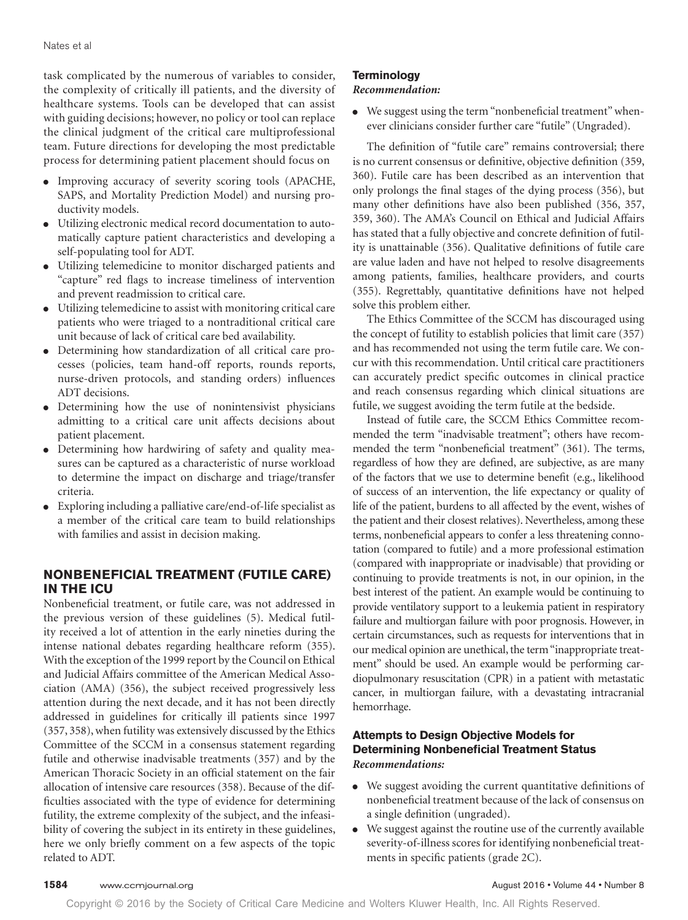task complicated by the numerous of variables to consider, the complexity of critically ill patients, and the diversity of healthcare systems. Tools can be developed that can assist with guiding decisions; however, no policy or tool can replace the clinical judgment of the critical care multiprofessional team. Future directions for developing the most predictable process for determining patient placement should focus on

- Improving accuracy of severity scoring tools (APACHE, SAPS, and Mortality Prediction Model) and nursing productivity models.
- Utilizing electronic medical record documentation to automatically capture patient characteristics and developing a self-populating tool for ADT.
- Utilizing telemedicine to monitor discharged patients and "capture" red flags to increase timeliness of intervention and prevent readmission to critical care.
- Utilizing telemedicine to assist with monitoring critical care patients who were triaged to a nontraditional critical care unit because of lack of critical care bed availability.
- Determining how standardization of all critical care processes (policies, team hand-off reports, rounds reports, nurse-driven protocols, and standing orders) influences ADT decisions.
- Determining how the use of nonintensivist physicians admitting to a critical care unit affects decisions about patient placement.
- Determining how hardwiring of safety and quality measures can be captured as a characteristic of nurse workload to determine the impact on discharge and triage/transfer criteria.
- Exploring including a palliative care/end-of-life specialist as a member of the critical care team to build relationships with families and assist in decision making.

# **NONBENEFICIAL TREATMENT (FUTILE CARE) IN THE ICU**

Nonbeneficial treatment, or futile care, was not addressed in the previous version of these guidelines (5). Medical futility received a lot of attention in the early nineties during the intense national debates regarding healthcare reform (355). With the exception of the 1999 report by the Council on Ethical and Judicial Affairs committee of the American Medical Association (AMA) (356), the subject received progressively less attention during the next decade, and it has not been directly addressed in guidelines for critically ill patients since 1997 (357, 358), when futility was extensively discussed by the Ethics Committee of the SCCM in a consensus statement regarding futile and otherwise inadvisable treatments (357) and by the American Thoracic Society in an official statement on the fair allocation of intensive care resources (358). Because of the difficulties associated with the type of evidence for determining futility, the extreme complexity of the subject, and the infeasibility of covering the subject in its entirety in these guidelines, here we only briefly comment on a few aspects of the topic related to ADT.

### **Terminology** *Recommendation:*

● We suggest using the term "nonbeneficial treatment" whenever clinicians consider further care "futile" (Ungraded).

The definition of "futile care" remains controversial; there is no current consensus or definitive, objective definition (359, 360). Futile care has been described as an intervention that only prolongs the final stages of the dying process (356), but many other definitions have also been published (356, 357, 359, 360). The AMA's Council on Ethical and Judicial Affairs has stated that a fully objective and concrete definition of futility is unattainable (356). Qualitative definitions of futile care are value laden and have not helped to resolve disagreements among patients, families, healthcare providers, and courts (355). Regrettably, quantitative definitions have not helped solve this problem either.

The Ethics Committee of the SCCM has discouraged using the concept of futility to establish policies that limit care (357) and has recommended not using the term futile care. We concur with this recommendation. Until critical care practitioners can accurately predict specific outcomes in clinical practice and reach consensus regarding which clinical situations are futile, we suggest avoiding the term futile at the bedside.

Instead of futile care, the SCCM Ethics Committee recommended the term "inadvisable treatment"; others have recommended the term "nonbeneficial treatment" (361). The terms, regardless of how they are defined, are subjective, as are many of the factors that we use to determine benefit (e.g., likelihood of success of an intervention, the life expectancy or quality of life of the patient, burdens to all affected by the event, wishes of the patient and their closest relatives). Nevertheless, among these terms, nonbeneficial appears to confer a less threatening connotation (compared to futile) and a more professional estimation (compared with inappropriate or inadvisable) that providing or continuing to provide treatments is not, in our opinion, in the best interest of the patient. An example would be continuing to provide ventilatory support to a leukemia patient in respiratory failure and multiorgan failure with poor prognosis. However, in certain circumstances, such as requests for interventions that in our medical opinion are unethical, the term "inappropriate treatment" should be used. An example would be performing cardiopulmonary resuscitation (CPR) in a patient with metastatic cancer, in multiorgan failure, with a devastating intracranial hemorrhage.

# **Attempts to Design Objective Models for Determining Nonbeneficial Treatment Status** *Recommendations:*

- We suggest avoiding the current quantitative definitions of nonbeneficial treatment because of the lack of consensus on a single definition (ungraded).
- We suggest against the routine use of the currently available severity-of-illness scores for identifying nonbeneficial treatments in specific patients (grade 2C).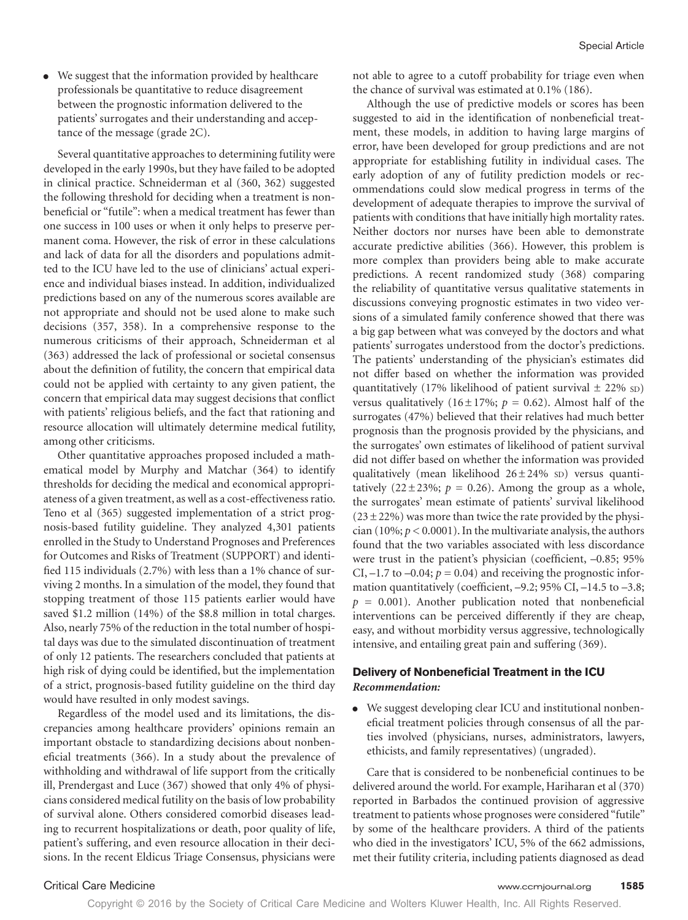● We suggest that the information provided by healthcare professionals be quantitative to reduce disagreement between the prognostic information delivered to the patients' surrogates and their understanding and acceptance of the message (grade 2C).

Several quantitative approaches to determining futility were developed in the early 1990s, but they have failed to be adopted in clinical practice. Schneiderman et al (360, 362) suggested the following threshold for deciding when a treatment is nonbeneficial or "futile": when a medical treatment has fewer than one success in 100 uses or when it only helps to preserve permanent coma. However, the risk of error in these calculations and lack of data for all the disorders and populations admitted to the ICU have led to the use of clinicians' actual experience and individual biases instead. In addition, individualized predictions based on any of the numerous scores available are not appropriate and should not be used alone to make such decisions (357, 358). In a comprehensive response to the numerous criticisms of their approach, Schneiderman et al (363) addressed the lack of professional or societal consensus about the definition of futility, the concern that empirical data could not be applied with certainty to any given patient, the concern that empirical data may suggest decisions that conflict with patients' religious beliefs, and the fact that rationing and resource allocation will ultimately determine medical futility, among other criticisms.

Other quantitative approaches proposed included a mathematical model by Murphy and Matchar (364) to identify thresholds for deciding the medical and economical appropriateness of a given treatment, as well as a cost-effectiveness ratio. Teno et al (365) suggested implementation of a strict prognosis-based futility guideline. They analyzed 4,301 patients enrolled in the Study to Understand Prognoses and Preferences for Outcomes and Risks of Treatment (SUPPORT) and identified 115 individuals (2.7%) with less than a 1% chance of surviving 2 months. In a simulation of the model, they found that stopping treatment of those 115 patients earlier would have saved \$1.2 million (14%) of the \$8.8 million in total charges. Also, nearly 75% of the reduction in the total number of hospital days was due to the simulated discontinuation of treatment of only 12 patients. The researchers concluded that patients at high risk of dying could be identified, but the implementation of a strict, prognosis-based futility guideline on the third day would have resulted in only modest savings.

Regardless of the model used and its limitations, the discrepancies among healthcare providers' opinions remain an important obstacle to standardizing decisions about nonbeneficial treatments (366). In a study about the prevalence of withholding and withdrawal of life support from the critically ill, Prendergast and Luce (367) showed that only 4% of physicians considered medical futility on the basis of low probability of survival alone. Others considered comorbid diseases leading to recurrent hospitalizations or death, poor quality of life, patient's suffering, and even resource allocation in their decisions. In the recent Eldicus Triage Consensus, physicians were

not able to agree to a cutoff probability for triage even when the chance of survival was estimated at 0.1% (186).

Although the use of predictive models or scores has been suggested to aid in the identification of nonbeneficial treatment, these models, in addition to having large margins of error, have been developed for group predictions and are not appropriate for establishing futility in individual cases. The early adoption of any of futility prediction models or recommendations could slow medical progress in terms of the development of adequate therapies to improve the survival of patients with conditions that have initially high mortality rates. Neither doctors nor nurses have been able to demonstrate accurate predictive abilities (366). However, this problem is more complex than providers being able to make accurate predictions. A recent randomized study (368) comparing the reliability of quantitative versus qualitative statements in discussions conveying prognostic estimates in two video versions of a simulated family conference showed that there was a big gap between what was conveyed by the doctors and what patients' surrogates understood from the doctor's predictions. The patients' understanding of the physician's estimates did not differ based on whether the information was provided quantitatively (17% likelihood of patient survival  $\pm$  22% sp) versus qualitatively (16 $\pm$ 17%;  $p = 0.62$ ). Almost half of the surrogates (47%) believed that their relatives had much better prognosis than the prognosis provided by the physicians, and the surrogates' own estimates of likelihood of patient survival did not differ based on whether the information was provided qualitatively (mean likelihood  $26 \pm 24\%$  sp) versus quantitatively ( $22 \pm 23\%$ ;  $p = 0.26$ ). Among the group as a whole, the surrogates' mean estimate of patients' survival likelihood  $(23\pm22\%)$  was more than twice the rate provided by the physician (10%;  $p < 0.0001$ ). In the multivariate analysis, the authors found that the two variables associated with less discordance were trust in the patient's physician (coefficient, –0.85; 95% CI,  $-1.7$  to  $-0.04$ ;  $p = 0.04$ ) and receiving the prognostic information quantitatively (coefficient, -9.2; 95% CI, -14.5 to -3.8;  $p = 0.001$ ). Another publication noted that nonbeneficial interventions can be perceived differently if they are cheap, easy, and without morbidity versus aggressive, technologically intensive, and entailing great pain and suffering (369).

## **Delivery of Nonbeneficial Treatment in the ICU** *Recommendation:*

● We suggest developing clear ICU and institutional nonbeneficial treatment policies through consensus of all the parties involved (physicians, nurses, administrators, lawyers, ethicists, and family representatives) (ungraded).

Care that is considered to be nonbeneficial continues to be delivered around the world. For example, Hariharan et al (370) reported in Barbados the continued provision of aggressive treatment to patients whose prognoses were considered "futile" by some of the healthcare providers. A third of the patients who died in the investigators' ICU, 5% of the 662 admissions, met their futility criteria, including patients diagnosed as dead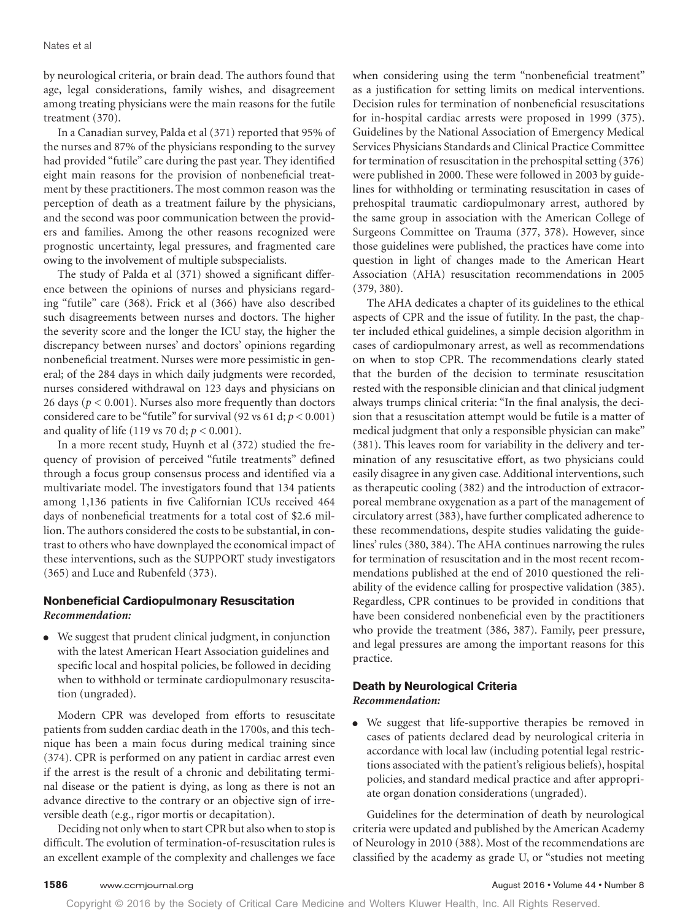by neurological criteria, or brain dead. The authors found that age, legal considerations, family wishes, and disagreement among treating physicians were the main reasons for the futile treatment (370).

In a Canadian survey, Palda et al (371) reported that 95% of the nurses and 87% of the physicians responding to the survey had provided "futile" care during the past year. They identified eight main reasons for the provision of nonbeneficial treatment by these practitioners. The most common reason was the perception of death as a treatment failure by the physicians, and the second was poor communication between the providers and families. Among the other reasons recognized were prognostic uncertainty, legal pressures, and fragmented care owing to the involvement of multiple subspecialists.

The study of Palda et al (371) showed a significant difference between the opinions of nurses and physicians regarding "futile" care (368). Frick et al (366) have also described such disagreements between nurses and doctors. The higher the severity score and the longer the ICU stay, the higher the discrepancy between nurses' and doctors' opinions regarding nonbeneficial treatment. Nurses were more pessimistic in general; of the 284 days in which daily judgments were recorded, nurses considered withdrawal on 123 days and physicians on 26 days ( $p < 0.001$ ). Nurses also more frequently than doctors considered care to be "futile" for survival  $(92 \text{ vs } 61 \text{ d}; p < 0.001)$ and quality of life (119 vs 70 d; *p* < 0.001).

In a more recent study, Huynh et al (372) studied the frequency of provision of perceived "futile treatments" defined through a focus group consensus process and identified via a multivariate model. The investigators found that 134 patients among 1,136 patients in five Californian ICUs received 464 days of nonbeneficial treatments for a total cost of \$2.6 million. The authors considered the costs to be substantial, in contrast to others who have downplayed the economical impact of these interventions, such as the SUPPORT study investigators (365) and Luce and Rubenfeld (373).

# **Nonbeneficial Cardiopulmonary Resuscitation** *Recommendation:*

● We suggest that prudent clinical judgment, in conjunction with the latest American Heart Association guidelines and specific local and hospital policies, be followed in deciding when to withhold or terminate cardiopulmonary resuscitation (ungraded).

Modern CPR was developed from efforts to resuscitate patients from sudden cardiac death in the 1700s, and this technique has been a main focus during medical training since (374). CPR is performed on any patient in cardiac arrest even if the arrest is the result of a chronic and debilitating terminal disease or the patient is dying, as long as there is not an advance directive to the contrary or an objective sign of irreversible death (e.g., rigor mortis or decapitation).

Deciding not only when to start CPR but also when to stop is difficult. The evolution of termination-of-resuscitation rules is an excellent example of the complexity and challenges we face

when considering using the term "nonbeneficial treatment" as a justification for setting limits on medical interventions. Decision rules for termination of nonbeneficial resuscitations for in-hospital cardiac arrests were proposed in 1999 (375). Guidelines by the National Association of Emergency Medical Services Physicians Standards and Clinical Practice Committee for termination of resuscitation in the prehospital setting (376) were published in 2000. These were followed in 2003 by guidelines for withholding or terminating resuscitation in cases of prehospital traumatic cardiopulmonary arrest, authored by the same group in association with the American College of Surgeons Committee on Trauma (377, 378). However, since those guidelines were published, the practices have come into question in light of changes made to the American Heart Association (AHA) resuscitation recommendations in 2005 (379, 380).

The AHA dedicates a chapter of its guidelines to the ethical aspects of CPR and the issue of futility. In the past, the chapter included ethical guidelines, a simple decision algorithm in cases of cardiopulmonary arrest, as well as recommendations on when to stop CPR. The recommendations clearly stated that the burden of the decision to terminate resuscitation rested with the responsible clinician and that clinical judgment always trumps clinical criteria: "In the final analysis, the decision that a resuscitation attempt would be futile is a matter of medical judgment that only a responsible physician can make" (381). This leaves room for variability in the delivery and termination of any resuscitative effort, as two physicians could easily disagree in any given case. Additional interventions, such as therapeutic cooling (382) and the introduction of extracorporeal membrane oxygenation as a part of the management of circulatory arrest (383), have further complicated adherence to these recommendations, despite studies validating the guidelines' rules (380, 384). The AHA continues narrowing the rules for termination of resuscitation and in the most recent recommendations published at the end of 2010 questioned the reliability of the evidence calling for prospective validation (385). Regardless, CPR continues to be provided in conditions that have been considered nonbeneficial even by the practitioners who provide the treatment (386, 387). Family, peer pressure, and legal pressures are among the important reasons for this practice.

# **Death by Neurological Criteria**

*Recommendation:*

• We suggest that life-supportive therapies be removed in cases of patients declared dead by neurological criteria in accordance with local law (including potential legal restrictions associated with the patient's religious beliefs), hospital policies, and standard medical practice and after appropriate organ donation considerations (ungraded).

Guidelines for the determination of death by neurological criteria were updated and published by the American Academy of Neurology in 2010 (388). Most of the recommendations are classified by the academy as grade U, or "studies not meeting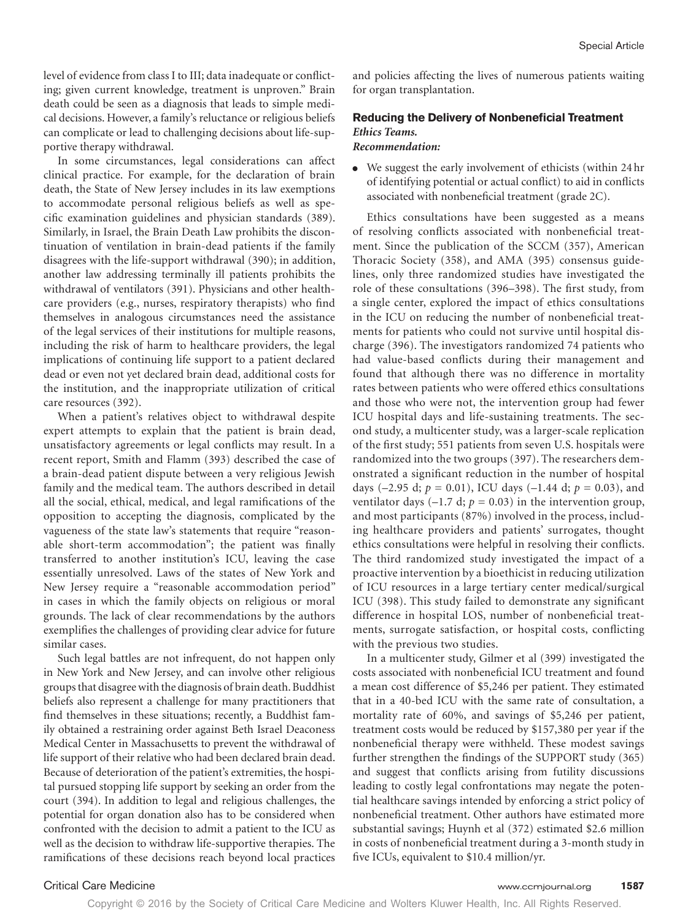level of evidence from class I to III; data inadequate or conflicting; given current knowledge, treatment is unproven." Brain death could be seen as a diagnosis that leads to simple medical decisions. However, a family's reluctance or religious beliefs can complicate or lead to challenging decisions about life-supportive therapy withdrawal.

In some circumstances, legal considerations can affect clinical practice. For example, for the declaration of brain death, the State of New Jersey includes in its law exemptions to accommodate personal religious beliefs as well as specific examination guidelines and physician standards (389). Similarly, in Israel, the Brain Death Law prohibits the discontinuation of ventilation in brain-dead patients if the family disagrees with the life-support withdrawal (390); in addition, another law addressing terminally ill patients prohibits the withdrawal of ventilators (391). Physicians and other healthcare providers (e.g., nurses, respiratory therapists) who find themselves in analogous circumstances need the assistance of the legal services of their institutions for multiple reasons, including the risk of harm to healthcare providers, the legal implications of continuing life support to a patient declared dead or even not yet declared brain dead, additional costs for the institution, and the inappropriate utilization of critical care resources (392).

When a patient's relatives object to withdrawal despite expert attempts to explain that the patient is brain dead, unsatisfactory agreements or legal conflicts may result. In a recent report, Smith and Flamm (393) described the case of a brain-dead patient dispute between a very religious Jewish family and the medical team. The authors described in detail all the social, ethical, medical, and legal ramifications of the opposition to accepting the diagnosis, complicated by the vagueness of the state law's statements that require "reasonable short-term accommodation"; the patient was finally transferred to another institution's ICU, leaving the case essentially unresolved. Laws of the states of New York and New Jersey require a "reasonable accommodation period" in cases in which the family objects on religious or moral grounds. The lack of clear recommendations by the authors exemplifies the challenges of providing clear advice for future similar cases.

Such legal battles are not infrequent, do not happen only in New York and New Jersey, and can involve other religious groups that disagree with the diagnosis of brain death. Buddhist beliefs also represent a challenge for many practitioners that find themselves in these situations; recently, a Buddhist family obtained a restraining order against Beth Israel Deaconess Medical Center in Massachusetts to prevent the withdrawal of life support of their relative who had been declared brain dead. Because of deterioration of the patient's extremities, the hospital pursued stopping life support by seeking an order from the court (394). In addition to legal and religious challenges, the potential for organ donation also has to be considered when confronted with the decision to admit a patient to the ICU as well as the decision to withdraw life-supportive therapies. The ramifications of these decisions reach beyond local practices

and policies affecting the lives of numerous patients waiting for organ transplantation.

### **Reducing the Delivery of Nonbeneficial Treatment** *Ethics Teams. Recommendation:*

• We suggest the early involvement of ethicists (within 24 hr of identifying potential or actual conflict) to aid in conflicts associated with nonbeneficial treatment (grade 2C).

Ethics consultations have been suggested as a means of resolving conflicts associated with nonbeneficial treatment. Since the publication of the SCCM (357), American Thoracic Society (358), and AMA (395) consensus guidelines, only three randomized studies have investigated the role of these consultations (396–398). The first study, from a single center, explored the impact of ethics consultations in the ICU on reducing the number of nonbeneficial treatments for patients who could not survive until hospital discharge (396). The investigators randomized 74 patients who had value-based conflicts during their management and found that although there was no difference in mortality rates between patients who were offered ethics consultations and those who were not, the intervention group had fewer ICU hospital days and life-sustaining treatments. The second study, a multicenter study, was a larger-scale replication of the first study; 551 patients from seven U.S. hospitals were randomized into the two groups (397). The researchers demonstrated a significant reduction in the number of hospital days (–2.95 d; *p* = 0.01), ICU days (–1.44 d; *p* = 0.03), and ventilator days  $(-1.7 \text{ d}; p = 0.03)$  in the intervention group, and most participants (87%) involved in the process, including healthcare providers and patients' surrogates, thought ethics consultations were helpful in resolving their conflicts. The third randomized study investigated the impact of a proactive intervention by a bioethicist in reducing utilization of ICU resources in a large tertiary center medical/surgical ICU (398). This study failed to demonstrate any significant difference in hospital LOS, number of nonbeneficial treatments, surrogate satisfaction, or hospital costs, conflicting with the previous two studies.

In a multicenter study, Gilmer et al (399) investigated the costs associated with nonbeneficial ICU treatment and found a mean cost difference of \$5,246 per patient. They estimated that in a 40-bed ICU with the same rate of consultation, a mortality rate of 60%, and savings of \$5,246 per patient, treatment costs would be reduced by \$157,380 per year if the nonbeneficial therapy were withheld. These modest savings further strengthen the findings of the SUPPORT study (365) and suggest that conflicts arising from futility discussions leading to costly legal confrontations may negate the potential healthcare savings intended by enforcing a strict policy of nonbeneficial treatment. Other authors have estimated more substantial savings; Huynh et al (372) estimated \$2.6 million in costs of nonbeneficial treatment during a 3-month study in five ICUs, equivalent to \$10.4 million/yr.

### Critical Care Medicine www.ccmjournal.org **1587**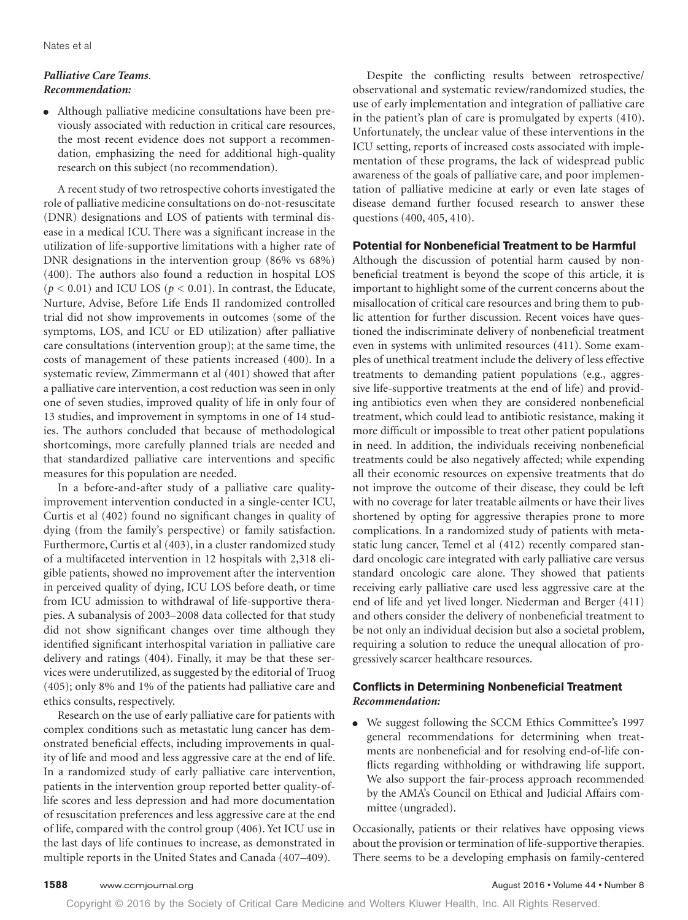# *Palliative Care Teams*. *Recommendation:*

Although palliative medicine consultations have been previously associated with reduction in critical care resources, the most recent evidence does not support a recommendation, emphasizing the need for additional high-quality research on this subject (no recommendation).

A recent study of two retrospective cohorts investigated the role of palliative medicine consultations on do-not-resuscitate (DNR) designations and LOS of patients with terminal disease in a medical ICU. There was a significant increase in the utilization of life-supportive limitations with a higher rate of DNR designations in the intervention group (86% vs 68%) (400). The authors also found a reduction in hospital LOS  $(p < 0.01)$  and ICU LOS  $(p < 0.01)$ . In contrast, the Educate, Nurture, Advise, Before Life Ends II randomized controlled trial did not show improvements in outcomes (some of the symptoms, LOS, and ICU or ED utilization) after palliative care consultations (intervention group); at the same time, the costs of management of these patients increased (400). In a systematic review, Zimmermann et al (401) showed that after a palliative care intervention, a cost reduction was seen in only one of seven studies, improved quality of life in only four of 13 studies, and improvement in symptoms in one of 14 studies. The authors concluded that because of methodological shortcomings, more carefully planned trials are needed and that standardized palliative care interventions and specific measures for this population are needed.

In a before-and-after study of a palliative care qualityimprovement intervention conducted in a single-center ICU, Curtis et al (402) found no significant changes in quality of dying (from the family's perspective) or family satisfaction. Furthermore, Curtis et al (403), in a cluster randomized study of a multifaceted intervention in 12 hospitals with 2,318 eligible patients, showed no improvement after the intervention in perceived quality of dying, ICU LOS before death, or time from ICU admission to withdrawal of life-supportive therapies. A subanalysis of 2003–2008 data collected for that study did not show significant changes over time although they identified significant interhospital variation in palliative care delivery and ratings (404). Finally, it may be that these services were underutilized, as suggested by the editorial of Truog (405); only 8% and 1% of the patients had palliative care and ethics consults, respectively.

Research on the use of early palliative care for patients with complex conditions such as metastatic lung cancer has demonstrated beneficial effects, including improvements in quality of life and mood and less aggressive care at the end of life. In a randomized study of early palliative care intervention, patients in the intervention group reported better quality-oflife scores and less depression and had more documentation of resuscitation preferences and less aggressive care at the end of life, compared with the control group (406). Yet ICU use in the last days of life continues to increase, as demonstrated in multiple reports in the United States and Canada (407–409).

Despite the conflicting results between retrospective/ observational and systematic review/randomized studies, the use of early implementation and integration of palliative care in the patient's plan of care is promulgated by experts (410). Unfortunately, the unclear value of these interventions in the ICU setting, reports of increased costs associated with implementation of these programs, the lack of widespread public awareness of the goals of palliative care, and poor implementation of palliative medicine at early or even late stages of disease demand further focused research to answer these questions (400, 405, 410).

## **Potential for Nonbeneficial Treatment to be Harmful**

Although the discussion of potential harm caused by nonbeneficial treatment is beyond the scope of this article, it is important to highlight some of the current concerns about the misallocation of critical care resources and bring them to public attention for further discussion. Recent voices have questioned the indiscriminate delivery of nonbeneficial treatment even in systems with unlimited resources (411). Some examples of unethical treatment include the delivery of less effective treatments to demanding patient populations (e.g., aggressive life-supportive treatments at the end of life) and providing antibiotics even when they are considered nonbeneficial treatment, which could lead to antibiotic resistance, making it more difficult or impossible to treat other patient populations in need. In addition, the individuals receiving nonbeneficial treatments could be also negatively affected; while expending all their economic resources on expensive treatments that do not improve the outcome of their disease, they could be left with no coverage for later treatable ailments or have their lives shortened by opting for aggressive therapies prone to more complications. In a randomized study of patients with metastatic lung cancer, Temel et al (412) recently compared standard oncologic care integrated with early palliative care versus standard oncologic care alone. They showed that patients receiving early palliative care used less aggressive care at the end of life and yet lived longer. Niederman and Berger (411) and others consider the delivery of nonbeneficial treatment to be not only an individual decision but also a societal problem, requiring a solution to reduce the unequal allocation of progressively scarcer healthcare resources.

# **Conflicts in Determining Nonbeneficial Treatment** *Recommendation:*

• We suggest following the SCCM Ethics Committee's 1997 general recommendations for determining when treatments are nonbeneficial and for resolving end-of-life conflicts regarding withholding or withdrawing life support. We also support the fair-process approach recommended by the AMA's Council on Ethical and Judicial Affairs committee (ungraded).

Occasionally, patients or their relatives have opposing views about the provision or termination of life-supportive therapies. There seems to be a developing emphasis on family-centered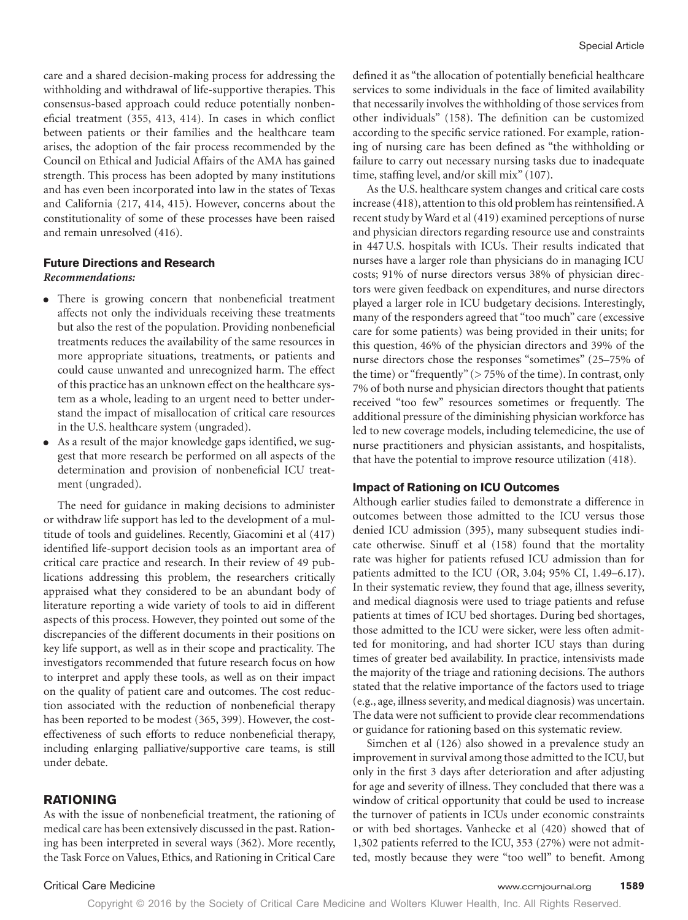care and a shared decision-making process for addressing the withholding and withdrawal of life-supportive therapies. This consensus-based approach could reduce potentially nonbeneficial treatment (355, 413, 414). In cases in which conflict between patients or their families and the healthcare team arises, the adoption of the fair process recommended by the Council on Ethical and Judicial Affairs of the AMA has gained strength. This process has been adopted by many institutions and has even been incorporated into law in the states of Texas and California (217, 414, 415). However, concerns about the constitutionality of some of these processes have been raised and remain unresolved (416).

### **Future Directions and Research**

### *Recommendations:*

- There is growing concern that nonbeneficial treatment affects not only the individuals receiving these treatments but also the rest of the population. Providing nonbeneficial treatments reduces the availability of the same resources in more appropriate situations, treatments, or patients and could cause unwanted and unrecognized harm. The effect of this practice has an unknown effect on the healthcare system as a whole, leading to an urgent need to better understand the impact of misallocation of critical care resources in the U.S. healthcare system (ungraded).
- As a result of the major knowledge gaps identified, we suggest that more research be performed on all aspects of the determination and provision of nonbeneficial ICU treatment (ungraded).

The need for guidance in making decisions to administer or withdraw life support has led to the development of a multitude of tools and guidelines. Recently, Giacomini et al (417) identified life-support decision tools as an important area of critical care practice and research. In their review of 49 publications addressing this problem, the researchers critically appraised what they considered to be an abundant body of literature reporting a wide variety of tools to aid in different aspects of this process. However, they pointed out some of the discrepancies of the different documents in their positions on key life support, as well as in their scope and practicality. The investigators recommended that future research focus on how to interpret and apply these tools, as well as on their impact on the quality of patient care and outcomes. The cost reduction associated with the reduction of nonbeneficial therapy has been reported to be modest (365, 399). However, the costeffectiveness of such efforts to reduce nonbeneficial therapy, including enlarging palliative/supportive care teams, is still under debate.

### **RATIONING**

As with the issue of nonbeneficial treatment, the rationing of medical care has been extensively discussed in the past. Rationing has been interpreted in several ways (362). More recently, the Task Force on Values, Ethics, and Rationing in Critical Care

defined it as "the allocation of potentially beneficial healthcare services to some individuals in the face of limited availability that necessarily involves the withholding of those services from other individuals" (158). The definition can be customized according to the specific service rationed. For example, rationing of nursing care has been defined as "the withholding or failure to carry out necessary nursing tasks due to inadequate time, staffing level, and/or skill mix" (107).

As the U.S. healthcare system changes and critical care costs increase (418), attention to this old problem has reintensified. A recent study by Ward et al (419) examined perceptions of nurse and physician directors regarding resource use and constraints in 447U.S. hospitals with ICUs. Their results indicated that nurses have a larger role than physicians do in managing ICU costs; 91% of nurse directors versus 38% of physician directors were given feedback on expenditures, and nurse directors played a larger role in ICU budgetary decisions. Interestingly, many of the responders agreed that "too much" care (excessive care for some patients) was being provided in their units; for this question, 46% of the physician directors and 39% of the nurse directors chose the responses "sometimes" (25–75% of the time) or "frequently" ( $> 75\%$  of the time). In contrast, only 7% of both nurse and physician directors thought that patients received "too few" resources sometimes or frequently. The additional pressure of the diminishing physician workforce has led to new coverage models, including telemedicine, the use of nurse practitioners and physician assistants, and hospitalists, that have the potential to improve resource utilization (418).

### **Impact of Rationing on ICU Outcomes**

Although earlier studies failed to demonstrate a difference in outcomes between those admitted to the ICU versus those denied ICU admission (395), many subsequent studies indicate otherwise. Sinuff et al (158) found that the mortality rate was higher for patients refused ICU admission than for patients admitted to the ICU (OR, 3.04; 95% CI, 1.49–6.17). In their systematic review, they found that age, illness severity, and medical diagnosis were used to triage patients and refuse patients at times of ICU bed shortages. During bed shortages, those admitted to the ICU were sicker, were less often admitted for monitoring, and had shorter ICU stays than during times of greater bed availability. In practice, intensivists made the majority of the triage and rationing decisions. The authors stated that the relative importance of the factors used to triage (e.g., age, illness severity, and medical diagnosis) was uncertain. The data were not sufficient to provide clear recommendations or guidance for rationing based on this systematic review.

Simchen et al (126) also showed in a prevalence study an improvement in survival among those admitted to the ICU, but only in the first 3 days after deterioration and after adjusting for age and severity of illness. They concluded that there was a window of critical opportunity that could be used to increase the turnover of patients in ICUs under economic constraints or with bed shortages. Vanhecke et al (420) showed that of 1,302 patients referred to the ICU, 353 (27%) were not admitted, mostly because they were "too well" to benefit. Among

### Critical Care Medicine www.ccmjournal.org **1589**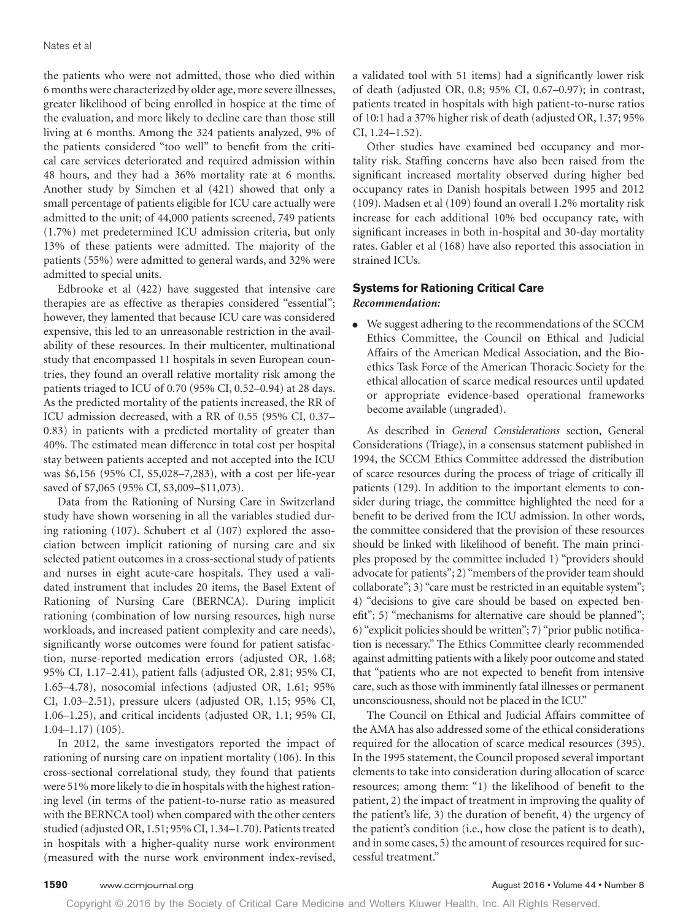the patients who were not admitted, those who died within 6 months were characterized by older age, more severe illnesses, greater likelihood of being enrolled in hospice at the time of the evaluation, and more likely to decline care than those still living at 6 months. Among the 324 patients analyzed, 9% of the patients considered "too well" to benefit from the critical care services deteriorated and required admission within 48 hours, and they had a 36% mortality rate at 6 months. Another study by Simchen et al (421) showed that only a small percentage of patients eligible for ICU care actually were admitted to the unit; of 44,000 patients screened, 749 patients (1.7%) met predetermined ICU admission criteria, but only 13% of these patients were admitted. The majority of the patients (55%) were admitted to general wards, and 32% were admitted to special units.

Edbrooke et al (422) have suggested that intensive care therapies are as effective as therapies considered "essential"; however, they lamented that because ICU care was considered expensive, this led to an unreasonable restriction in the availability of these resources. In their multicenter, multinational study that encompassed 11 hospitals in seven European countries, they found an overall relative mortality risk among the patients triaged to ICU of 0.70 (95% CI, 0.52–0.94) at 28 days. As the predicted mortality of the patients increased, the RR of ICU admission decreased, with a RR of 0.55 (95% CI, 0.37– 0.83) in patients with a predicted mortality of greater than 40%. The estimated mean difference in total cost per hospital stay between patients accepted and not accepted into the ICU was \$6,156 (95% CI, \$5,028–7,283), with a cost per life-year saved of \$7,065 (95% CI, \$3,009–\$11,073).

Data from the Rationing of Nursing Care in Switzerland study have shown worsening in all the variables studied during rationing (107). Schubert et al (107) explored the association between implicit rationing of nursing care and six selected patient outcomes in a cross-sectional study of patients and nurses in eight acute-care hospitals. They used a validated instrument that includes 20 items, the Basel Extent of Rationing of Nursing Care (BERNCA). During implicit rationing (combination of low nursing resources, high nurse workloads, and increased patient complexity and care needs), significantly worse outcomes were found for patient satisfaction, nurse-reported medication errors (adjusted OR, 1.68; 95% CI, 1.17–2.41), patient falls (adjusted OR, 2.81; 95% CI, 1.65–4.78), nosocomial infections (adjusted OR, 1.61; 95% CI, 1.03–2.51), pressure ulcers (adjusted OR, 1.15; 95% CI, 1.06–1.25), and critical incidents (adjusted OR, 1.1; 95% CI, 1.04–1.17) (105).

In 2012, the same investigators reported the impact of rationing of nursing care on inpatient mortality (106). In this cross-sectional correlational study, they found that patients were 51% more likely to die in hospitals with the highest rationing level (in terms of the patient-to-nurse ratio as measured with the BERNCA tool) when compared with the other centers studied (adjusted OR, 1.51; 95% CI, 1.34–1.70). Patients treated in hospitals with a higher-quality nurse work environment (measured with the nurse work environment index-revised,

a validated tool with 51 items) had a significantly lower risk of death (adjusted OR, 0.8; 95% CI, 0.67–0.97); in contrast, patients treated in hospitals with high patient-to-nurse ratios of 10:1 had a 37% higher risk of death (adjusted OR, 1.37; 95% CI, 1.24–1.52).

Other studies have examined bed occupancy and mortality risk. Staffing concerns have also been raised from the significant increased mortality observed during higher bed occupancy rates in Danish hospitals between 1995 and 2012 (109). Madsen et al (109) found an overall 1.2% mortality risk increase for each additional 10% bed occupancy rate, with significant increases in both in-hospital and 30-day mortality rates. Gabler et al (168) have also reported this association in strained ICUs.

### **Systems for Rationing Critical Care** *Recommendation:*

● We suggest adhering to the recommendations of the SCCM Ethics Committee, the Council on Ethical and Judicial Affairs of the American Medical Association, and the Bioethics Task Force of the American Thoracic Society for the ethical allocation of scarce medical resources until updated or appropriate evidence-based operational frameworks become available (ungraded).

As described in *General Considerations* section, General Considerations (Triage), in a consensus statement published in 1994, the SCCM Ethics Committee addressed the distribution of scarce resources during the process of triage of critically ill patients (129). In addition to the important elements to consider during triage, the committee highlighted the need for a benefit to be derived from the ICU admission. In other words, the committee considered that the provision of these resources should be linked with likelihood of benefit. The main principles proposed by the committee included 1) "providers should advocate for patients"; 2) "members of the provider team should collaborate"; 3) "care must be restricted in an equitable system"; 4) "decisions to give care should be based on expected benefit"; 5) "mechanisms for alternative care should be planned"; 6) "explicit policies should be written"; 7) "prior public notification is necessary." The Ethics Committee clearly recommended against admitting patients with a likely poor outcome and stated that "patients who are not expected to benefit from intensive care, such as those with imminently fatal illnesses or permanent unconsciousness, should not be placed in the ICU."

The Council on Ethical and Judicial Affairs committee of the AMA has also addressed some of the ethical considerations required for the allocation of scarce medical resources (395). In the 1995 statement, the Council proposed several important elements to take into consideration during allocation of scarce resources; among them: "1) the likelihood of benefit to the patient, 2) the impact of treatment in improving the quality of the patient's life, 3) the duration of benefit, 4) the urgency of the patient's condition (i.e., how close the patient is to death), and in some cases, 5) the amount of resources required for successful treatment."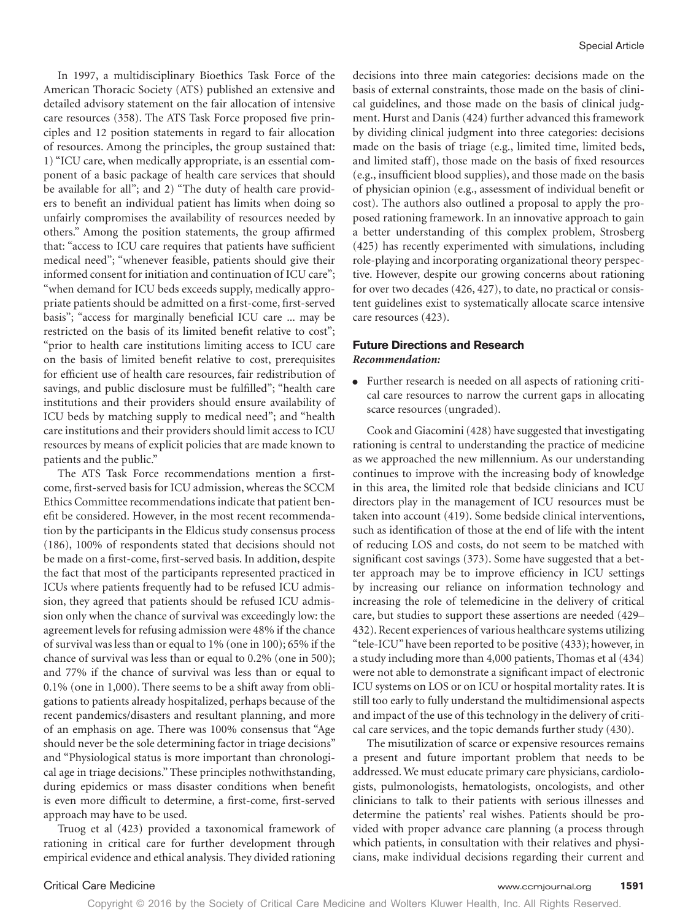In 1997, a multidisciplinary Bioethics Task Force of the American Thoracic Society (ATS) published an extensive and detailed advisory statement on the fair allocation of intensive care resources (358). The ATS Task Force proposed five principles and 12 position statements in regard to fair allocation of resources. Among the principles, the group sustained that: 1) "ICU care, when medically appropriate, is an essential component of a basic package of health care services that should be available for all"; and 2) "The duty of health care providers to benefit an individual patient has limits when doing so unfairly compromises the availability of resources needed by others." Among the position statements, the group affirmed that: "access to ICU care requires that patients have sufficient medical need"; "whenever feasible, patients should give their informed consent for initiation and continuation of ICU care"; "when demand for ICU beds exceeds supply, medically appropriate patients should be admitted on a first-come, first-served basis"; "access for marginally beneficial ICU care ... may be restricted on the basis of its limited benefit relative to cost"; "prior to health care institutions limiting access to ICU care on the basis of limited benefit relative to cost, prerequisites for efficient use of health care resources, fair redistribution of savings, and public disclosure must be fulfilled"; "health care institutions and their providers should ensure availability of ICU beds by matching supply to medical need"; and "health care institutions and their providers should limit access to ICU resources by means of explicit policies that are made known to patients and the public."

The ATS Task Force recommendations mention a firstcome, first-served basis for ICU admission, whereas the SCCM Ethics Committee recommendations indicate that patient benefit be considered. However, in the most recent recommendation by the participants in the Eldicus study consensus process (186), 100% of respondents stated that decisions should not be made on a first-come, first-served basis. In addition, despite the fact that most of the participants represented practiced in ICUs where patients frequently had to be refused ICU admission, they agreed that patients should be refused ICU admission only when the chance of survival was exceedingly low: the agreement levels for refusing admission were 48% if the chance of survival was less than or equal to 1% (one in 100); 65% if the chance of survival was less than or equal to 0.2% (one in 500); and 77% if the chance of survival was less than or equal to 0.1% (one in 1,000). There seems to be a shift away from obligations to patients already hospitalized, perhaps because of the recent pandemics/disasters and resultant planning, and more of an emphasis on age. There was 100% consensus that "Age should never be the sole determining factor in triage decisions" and "Physiological status is more important than chronological age in triage decisions." These principles nothwithstanding, during epidemics or mass disaster conditions when benefit is even more difficult to determine, a first-come, first-served approach may have to be used.

Truog et al (423) provided a taxonomical framework of rationing in critical care for further development through empirical evidence and ethical analysis. They divided rationing

decisions into three main categories: decisions made on the basis of external constraints, those made on the basis of clinical guidelines, and those made on the basis of clinical judgment. Hurst and Danis (424) further advanced this framework by dividing clinical judgment into three categories: decisions made on the basis of triage (e.g., limited time, limited beds, and limited staff), those made on the basis of fixed resources (e.g., insufficient blood supplies), and those made on the basis of physician opinion (e.g., assessment of individual benefit or cost). The authors also outlined a proposal to apply the proposed rationing framework. In an innovative approach to gain a better understanding of this complex problem, Strosberg (425) has recently experimented with simulations, including role-playing and incorporating organizational theory perspective. However, despite our growing concerns about rationing for over two decades (426, 427), to date, no practical or consistent guidelines exist to systematically allocate scarce intensive care resources (423).

### **Future Directions and Research** *Recommendation:*

● Further research is needed on all aspects of rationing critical care resources to narrow the current gaps in allocating scarce resources (ungraded).

Cook and Giacomini (428) have suggested that investigating rationing is central to understanding the practice of medicine as we approached the new millennium. As our understanding continues to improve with the increasing body of knowledge in this area, the limited role that bedside clinicians and ICU directors play in the management of ICU resources must be taken into account (419). Some bedside clinical interventions, such as identification of those at the end of life with the intent of reducing LOS and costs, do not seem to be matched with significant cost savings (373). Some have suggested that a better approach may be to improve efficiency in ICU settings by increasing our reliance on information technology and increasing the role of telemedicine in the delivery of critical care, but studies to support these assertions are needed (429– 432). Recent experiences of various healthcare systems utilizing "tele-ICU" have been reported to be positive (433); however, in a study including more than 4,000 patients, Thomas et al (434) were not able to demonstrate a significant impact of electronic ICU systems on LOS or on ICU or hospital mortality rates. It is still too early to fully understand the multidimensional aspects and impact of the use of this technology in the delivery of critical care services, and the topic demands further study (430).

The misutilization of scarce or expensive resources remains a present and future important problem that needs to be addressed. We must educate primary care physicians, cardiologists, pulmonologists, hematologists, oncologists, and other clinicians to talk to their patients with serious illnesses and determine the patients' real wishes. Patients should be provided with proper advance care planning (a process through which patients, in consultation with their relatives and physicians, make individual decisions regarding their current and

### Critical Care Medicine www.ccmjournal.org **1591**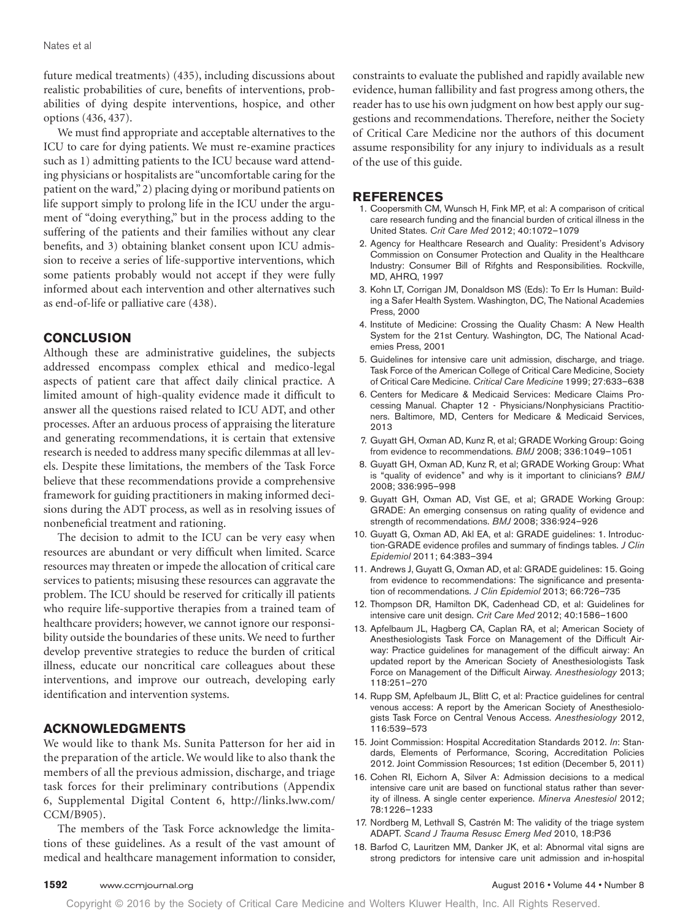future medical treatments) (435), including discussions about realistic probabilities of cure, benefits of interventions, probabilities of dying despite interventions, hospice, and other options (436, 437).

We must find appropriate and acceptable alternatives to the ICU to care for dying patients. We must re-examine practices such as 1) admitting patients to the ICU because ward attending physicians or hospitalists are "uncomfortable caring for the patient on the ward," 2) placing dying or moribund patients on life support simply to prolong life in the ICU under the argument of "doing everything," but in the process adding to the suffering of the patients and their families without any clear benefits, and 3) obtaining blanket consent upon ICU admission to receive a series of life-supportive interventions, which some patients probably would not accept if they were fully informed about each intervention and other alternatives such as end-of-life or palliative care (438).

# **CONCLUSION**

Although these are administrative guidelines, the subjects addressed encompass complex ethical and medico-legal aspects of patient care that affect daily clinical practice. A limited amount of high-quality evidence made it difficult to answer all the questions raised related to ICU ADT, and other processes. After an arduous process of appraising the literature and generating recommendations, it is certain that extensive research is needed to address many specific dilemmas at all levels. Despite these limitations, the members of the Task Force believe that these recommendations provide a comprehensive framework for guiding practitioners in making informed decisions during the ADT process, as well as in resolving issues of nonbeneficial treatment and rationing.

The decision to admit to the ICU can be very easy when resources are abundant or very difficult when limited. Scarce resources may threaten or impede the allocation of critical care services to patients; misusing these resources can aggravate the problem. The ICU should be reserved for critically ill patients who require life-supportive therapies from a trained team of healthcare providers; however, we cannot ignore our responsibility outside the boundaries of these units. We need to further develop preventive strategies to reduce the burden of critical illness, educate our noncritical care colleagues about these interventions, and improve our outreach, developing early identification and intervention systems.

# **ACKNOWLEDGMENTS**

We would like to thank Ms. Sunita Patterson for her aid in the preparation of the article. We would like to also thank the members of all the previous admission, discharge, and triage task forces for their preliminary contributions (Appendix 6, Supplemental Digital Content 6, [http://links.lww.com/](http://links.lww.com/CCM/B905) [CCM/B905\)](http://links.lww.com/CCM/B905).

The members of the Task Force acknowledge the limitations of these guidelines. As a result of the vast amount of medical and healthcare management information to consider, constraints to evaluate the published and rapidly available new evidence, human fallibility and fast progress among others, the reader has to use his own judgment on how best apply our suggestions and recommendations. Therefore, neither the Society of Critical Care Medicine nor the authors of this document assume responsibility for any injury to individuals as a result of the use of this guide.

### **REFERENCES**

- 1. Coopersmith CM, Wunsch H, Fink MP, et al: A comparison of critical care research funding and the financial burden of critical illness in the United States. *Crit Care Med* 2012; 40:1072–1079
- 2. Agency for Healthcare Research and Quality: President's Advisory Commission on Consumer Protection and Quality in the Healthcare Industry: Consumer Bill of Rifghts and Responsibilities. Rockville, MD, AHRQ, 1997
- 3. Kohn LT, Corrigan JM, Donaldson MS (Eds): To Err Is Human: Building a Safer Health System. Washington, DC, The National Academies Press, 2000
- 4. Institute of Medicine: Crossing the Quality Chasm: A New Health System for the 21st Century. Washington, DC, The National Academies Press, 2001
- 5. Guidelines for intensive care unit admission, discharge, and triage. Task Force of the American College of Critical Care Medicine, Society of Critical Care Medicine. *Critical Care Medicine* 1999; 27:633–638
- 6. Centers for Medicare & Medicaid Services: Medicare Claims Processing Manual. Chapter 12 - Physicians/Nonphysicians Practitioners. Baltimore, MD, Centers for Medicare & Medicaid Services, 2013
- 7. Guyatt GH, Oxman AD, Kunz R, et al; GRADE Working Group: Going from evidence to recommendations. *BMJ* 2008; 336:1049–1051
- 8. Guyatt GH, Oxman AD, Kunz R, et al; GRADE Working Group: What is "quality of evidence" and why is it important to clinicians? *BMJ* 2008; 336:995–998
- 9. Guyatt GH, Oxman AD, Vist GE, et al; GRADE Working Group: GRADE: An emerging consensus on rating quality of evidence and strength of recommendations. *BMJ* 2008; 336:924–926
- 10. Guyatt G, Oxman AD, Akl EA, et al: GRADE guidelines: 1. Introduction-GRADE evidence profiles and summary of findings tables. *J Clin Epidemiol* 2011; 64:383–394
- 11. Andrews J, Guyatt G, Oxman AD, et al: GRADE guidelines: 15. Going from evidence to recommendations: The significance and presentation of recommendations. *J Clin Epidemiol* 2013; 66:726–735
- 12. Thompson DR, Hamilton DK, Cadenhead CD, et al: Guidelines for intensive care unit design. *Crit Care Med* 2012; 40:1586–1600
- 13. Apfelbaum JL, Hagberg CA, Caplan RA, et al; American Society of Anesthesiologists Task Force on Management of the Difficult Airway: Practice guidelines for management of the difficult airway: An updated report by the American Society of Anesthesiologists Task Force on Management of the Difficult Airway. *Anesthesiology* 2013; 118:251–270
- 14. Rupp SM, Apfelbaum JL, Blitt C, et al: Practice guidelines for central venous access: A report by the American Society of Anesthesiologists Task Force on Central Venous Access. *Anesthesiology* 2012, 116:539–573
- 15. Joint Commission: Hospital Accreditation Standards 2012. *In*: Standards, Elements of Performance, Scoring, Accreditation Policies 2012. Joint Commission Resources; 1st edition (December 5, 2011)
- 16. Cohen RI, Eichorn A, Silver A: Admission decisions to a medical intensive care unit are based on functional status rather than severity of illness. A single center experience. *Minerva Anestesiol* 2012; 78:1226–1233
- 17. Nordberg M, Lethvall S, Castrén M: The validity of the triage system ADAPT. *Scand J Trauma Resusc Emerg Med* 2010, 18:P36
- 18. Barfod C, Lauritzen MM, Danker JK, et al: Abnormal vital signs are strong predictors for intensive care unit admission and in-hospital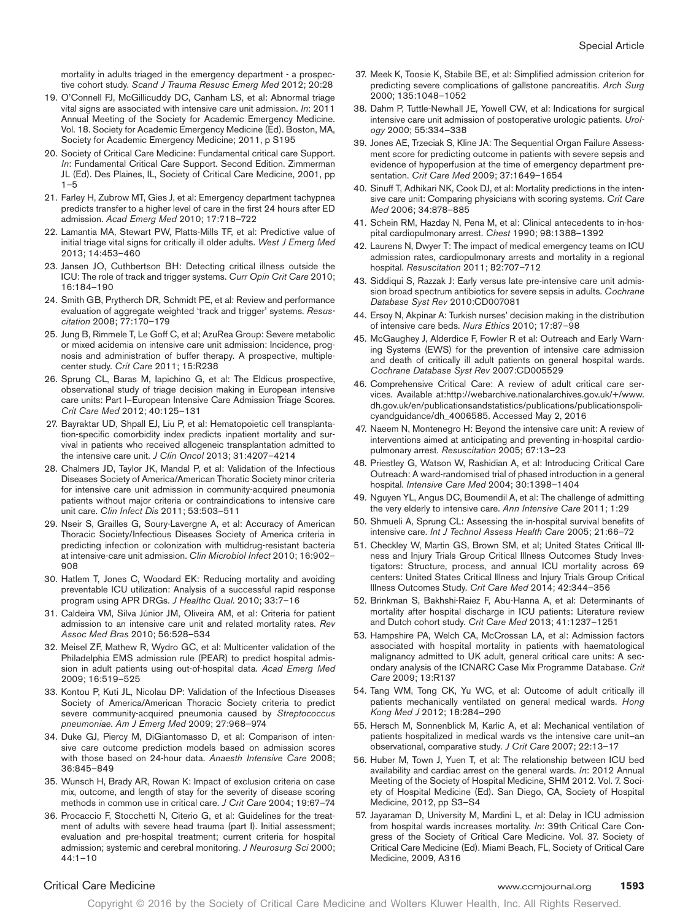mortality in adults triaged in the emergency department - a prospective cohort study. *Scand J Trauma Resusc Emerg Med* 2012; 20:28

- 19. O'Connell FJ, McGillicuddy DC, Canham LS, et al: Abnormal triage vital signs are associated with intensive care unit admission. *In*: 2011 Annual Meeting of the Society for Academic Emergency Medicine. Vol. 18. Society for Academic Emergency Medicine (Ed). Boston, MA, Society for Academic Emergency Medicine; 2011, p S195
- 20. Society of Critical Care Medicine: Fundamental critical care Support. *In*: Fundamental Critical Care Support. Second Edition. Zimmerman JL (Ed). Des Plaines, IL, Society of Critical Care Medicine, 2001, pp 1–5
- 21. Farley H, Zubrow MT, Gies J, et al: Emergency department tachypnea predicts transfer to a higher level of care in the first 24 hours after ED admission. *Acad Emerg Med* 2010; 17:718–722
- 22. Lamantia MA, Stewart PW, Platts-Mills TF, et al: Predictive value of initial triage vital signs for critically ill older adults. *West J Emerg Med* 2013; 14:453–460
- 23. Jansen JO, Cuthbertson BH: Detecting critical illness outside the ICU: The role of track and trigger systems. *Curr Opin Crit Care* 2010; 16:184–190
- 24. Smith GB, Prytherch DR, Schmidt PE, et al: Review and performance evaluation of aggregate weighted 'track and trigger' systems. *Resuscitation* 2008; 77:170–179
- 25. Jung B, Rimmele T, Le Goff C, et al; AzuRea Group: Severe metabolic or mixed acidemia on intensive care unit admission: Incidence, prognosis and administration of buffer therapy. A prospective, multiplecenter study. *Crit Care* 2011; 15:R238
- 26. Sprung CL, Baras M, Iapichino G, et al: The Eldicus prospective, observational study of triage decision making in European intensive care units: Part I–European Intensive Care Admission Triage Scores. *Crit Care Med* 2012; 40:125–131
- 27. Bayraktar UD, Shpall EJ, Liu P, et al: Hematopoietic cell transplantation-specific comorbidity index predicts inpatient mortality and survival in patients who received allogeneic transplantation admitted to the intensive care unit. *J Clin Oncol* 2013; 31:4207–4214
- 28. Chalmers JD, Taylor JK, Mandal P, et al: Validation of the Infectious Diseases Society of America/American Thoratic Society minor criteria for intensive care unit admission in community-acquired pneumonia patients without major criteria or contraindications to intensive care unit care. *Clin Infect Dis* 2011; 53:503–511
- 29. Nseir S, Grailles G, Soury-Lavergne A, et al: Accuracy of American Thoracic Society/Infectious Diseases Society of America criteria in predicting infection or colonization with multidrug-resistant bacteria at intensive-care unit admission. *Clin Microbiol Infect* 2010; 16:902– 908
- 30. Hatlem T, Jones C, Woodard EK: Reducing mortality and avoiding preventable ICU utilization: Analysis of a successful rapid response program using APR DRGs. *J Healthc Qual*. 2010; 33:7–16
- 31. Caldeira VM, Silva Júnior JM, Oliveira AM, et al: Criteria for patient admission to an intensive care unit and related mortality rates. *Rev Assoc Med Bras* 2010; 56:528–534
- 32. Meisel ZF, Mathew R, Wydro GC, et al: Multicenter validation of the Philadelphia EMS admission rule (PEAR) to predict hospital admission in adult patients using out-of-hospital data. *Acad Emerg Med* 2009; 16:519–525
- 33. Kontou P, Kuti JL, Nicolau DP: Validation of the Infectious Diseases Society of America/American Thoracic Society criteria to predict severe community-acquired pneumonia caused by *Streptococcus pneumoniae*. *Am J Emerg Med* 2009; 27:968–974
- 34. Duke GJ, Piercy M, DiGiantomasso D, et al: Comparison of intensive care outcome prediction models based on admission scores with those based on 24-hour data. *Anaesth Intensive Care* 2008; 36:845–849
- 35. Wunsch H, Brady AR, Rowan K: Impact of exclusion criteria on case mix, outcome, and length of stay for the severity of disease scoring methods in common use in critical care. *J Crit Care* 2004; 19:67–74
- 36. Procaccio F, Stocchetti N, Citerio G, et al: Guidelines for the treatment of adults with severe head trauma (part I). Initial assessment; evaluation and pre-hospital treatment; current criteria for hospital admission; systemic and cerebral monitoring. *J Neurosurg Sci* 2000; 44:1–10
- 37. Meek K, Toosie K, Stabile BE, et al: Simplified admission criterion for predicting severe complications of gallstone pancreatitis. *Arch Surg* 2000; 135:1048–1052
- 38. Dahm P, Tuttle-Newhall JE, Yowell CW, et al: Indications for surgical intensive care unit admission of postoperative urologic patients. *Urology* 2000; 55:334–338
- 39. Jones AE, Trzeciak S, Kline JA: The Sequential Organ Failure Assessment score for predicting outcome in patients with severe sepsis and evidence of hypoperfusion at the time of emergency department presentation. *Crit Care Med* 2009; 37:1649–1654
- 40. Sinuff T, Adhikari NK, Cook DJ, et al: Mortality predictions in the intensive care unit: Comparing physicians with scoring systems. *Crit Care Med* 2006; 34:878–885
- 41. Schein RM, Hazday N, Pena M, et al: Clinical antecedents to in-hospital cardiopulmonary arrest. *Chest* 1990; 98:1388–1392
- 42. Laurens N, Dwyer T: The impact of medical emergency teams on ICU admission rates, cardiopulmonary arrests and mortality in a regional hospital. *Resuscitation* 2011; 82:707–712
- 43. Siddiqui S, Razzak J: Early versus late pre-intensive care unit admission broad spectrum antibiotics for severe sepsis in adults. *Cochrane Database Syst Rev* 2010:CD007081
- 44. Ersoy N, Akpinar A: Turkish nurses' decision making in the distribution of intensive care beds. *Nurs Ethics* 2010; 17:87–98
- 45. McGaughey J, Alderdice F, Fowler R et al: Outreach and Early Warning Systems (EWS) for the prevention of intensive care admission and death of critically ill adult patients on general hospital wards. *Cochrane Database Syst Rev* 2007:CD005529
- 46. Comprehensive Critical Care: A review of adult critical care services. Available at[:http://webarchive.nationalarchives.gov.uk/+/www.](http://webarchive.nationalarchives.gov.uk/+/www.dh.gov.uk/en/publicationsandstatistics/publications/publicationspolicyandguidance/dh_4006585.AccessedMay2,2016) [dh.gov.uk/en/publicationsandstatistics/publications/publicationspoli](http://webarchive.nationalarchives.gov.uk/+/www.dh.gov.uk/en/publicationsandstatistics/publications/publicationspolicyandguidance/dh_4006585.AccessedMay2,2016)[cyandguidance/dh\\_4006585. Accessed May 2, 2016](http://webarchive.nationalarchives.gov.uk/+/www.dh.gov.uk/en/publicationsandstatistics/publications/publicationspolicyandguidance/dh_4006585.AccessedMay2,2016)
- 47. Naeem N, Montenegro H: Beyond the intensive care unit: A review of interventions aimed at anticipating and preventing in-hospital cardiopulmonary arrest. *Resuscitation* 2005; 67:13–23
- 48. Priestley G, Watson W, Rashidian A, et al: Introducing Critical Care Outreach: A ward-randomised trial of phased introduction in a general hospital. *Intensive Care Med* 2004; 30:1398–1404
- 49. Nguyen YL, Angus DC, Boumendil A, et al: The challenge of admitting the very elderly to intensive care. *Ann Intensive Care* 2011; 1:29
- 50. Shmueli A, Sprung CL: Assessing the in-hospital survival benefits of intensive care. *Int J Technol Assess Health Care* 2005; 21:66–72
- 51. Checkley W, Martin GS, Brown SM, et al; United States Critical Illness and Injury Trials Group Critical Illness Outcomes Study Investigators: Structure, process, and annual ICU mortality across 69 centers: United States Critical Illness and Injury Trials Group Critical Illness Outcomes Study. *Crit Care Med* 2014; 42:344–356
- 52. Brinkman S, Bakhshi-Raiez F, Abu-Hanna A, et al: Determinants of mortality after hospital discharge in ICU patients: Literature review and Dutch cohort study. *Crit Care Med* 2013; 41:1237–1251
- 53. Hampshire PA, Welch CA, McCrossan LA, et al: Admission factors associated with hospital mortality in patients with haematological malignancy admitted to UK adult, general critical care units: A secondary analysis of the ICNARC Case Mix Programme Database. *Crit Care* 2009; 13:R137
- 54. Tang WM, Tong CK, Yu WC, et al: Outcome of adult critically ill patients mechanically ventilated on general medical wards. *Hong Kong Med J* 2012; 18:284–290
- 55. Hersch M, Sonnenblick M, Karlic A, et al: Mechanical ventilation of patients hospitalized in medical wards vs the intensive care unit–an observational, comparative study. *J Crit Care* 2007; 22:13–17
- 56. Huber M, Town J, Yuen T, et al: The relationship between ICU bed availability and cardiac arrest on the general wards. *In*: 2012 Annual Meeting of the Society of Hospital Medicine, SHM 2012. Vol. 7. Society of Hospital Medicine (Ed). San Diego, CA, Society of Hospital Medicine, 2012, pp S3–S4
- 57. Jayaraman D, University M, Mardini L, et al: Delay in ICU admission from hospital wards increases mortality. *In*: 39th Critical Care Congress of the Society of Critical Care Medicine. Vol. 37. Society of Critical Care Medicine (Ed). Miami Beach, FL, Society of Critical Care Medicine, 2009, A316

### Critical Care Medicine www.ccmjournal.org **1593**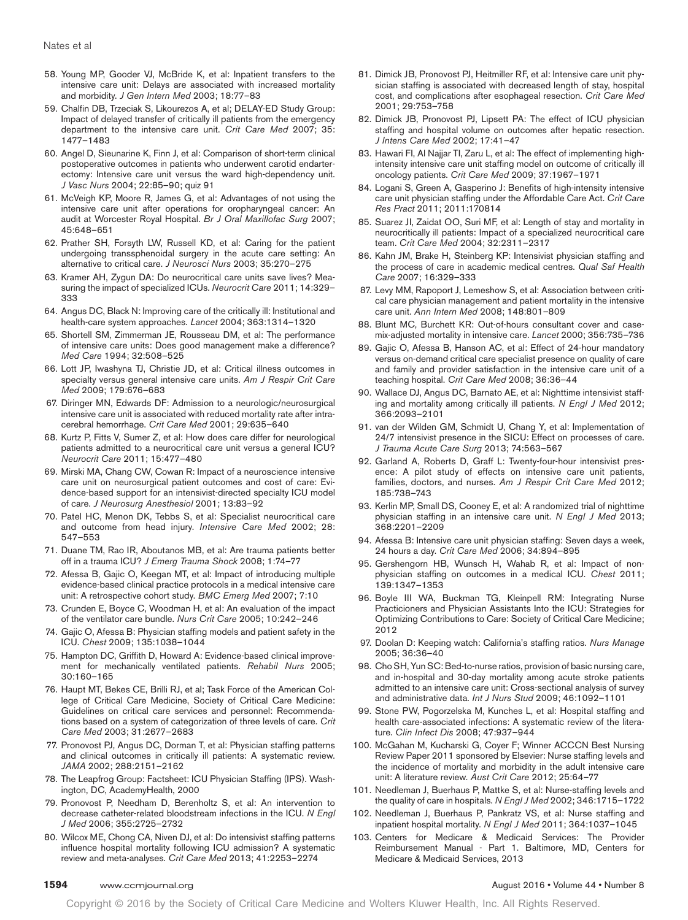- 58. Young MP, Gooder VJ, McBride K, et al: Inpatient transfers to the intensive care unit: Delays are associated with increased mortality and morbidity. *J Gen Intern Med* 2003; 18:77–83
- 59. Chalfin DB, Trzeciak S, Likourezos A, et al; DELAY-ED Study Group: Impact of delayed transfer of critically ill patients from the emergency department to the intensive care unit. *Crit Care Med* 2007; 35: 1477–1483
- 60. Angel D, Sieunarine K, Finn J, et al: Comparison of short-term clinical postoperative outcomes in patients who underwent carotid endarterectomy: Intensive care unit versus the ward high-dependency unit. *J Vasc Nurs* 2004; 22:85–90; quiz 91
- 61. McVeigh KP, Moore R, James G, et al: Advantages of not using the intensive care unit after operations for oropharyngeal cancer: An audit at Worcester Royal Hospital. *Br J Oral Maxillofac Surg* 2007; 45:648–651
- 62. Prather SH, Forsyth LW, Russell KD, et al: Caring for the patient undergoing transsphenoidal surgery in the acute care setting: An alternative to critical care. *J Neurosci Nurs* 2003; 35:270–275
- 63. Kramer AH, Zygun DA: Do neurocritical care units save lives? Measuring the impact of specialized ICUs. *Neurocrit Care* 2011; 14:329– 333
- 64. Angus DC, Black N: Improving care of the critically ill: Institutional and health-care system approaches. *Lancet* 2004; 363:1314–1320
- 65. Shortell SM, Zimmerman JE, Rousseau DM, et al: The performance of intensive care units: Does good management make a difference? *Med Care* 1994; 32:508–525
- 66. Lott JP, Iwashyna TJ, Christie JD, et al: Critical illness outcomes in specialty versus general intensive care units. *Am J Respir Crit Care Med* 2009; 179:676–683
- 67. Diringer MN, Edwards DF: Admission to a neurologic/neurosurgical intensive care unit is associated with reduced mortality rate after intracerebral hemorrhage. *Crit Care Med* 2001; 29:635–640
- 68. Kurtz P, Fitts V, Sumer Z, et al: How does care differ for neurological patients admitted to a neurocritical care unit versus a general ICU? *Neurocrit Care* 2011; 15:477–480
- 69. Mirski MA, Chang CW, Cowan R: Impact of a neuroscience intensive care unit on neurosurgical patient outcomes and cost of care: Evidence-based support for an intensivist-directed specialty ICU model of care. *J Neurosurg Anesthesiol* 2001; 13:83–92
- 70. Patel HC, Menon DK, Tebbs S, et al: Specialist neurocritical care and outcome from head injury. *Intensive Care Med* 2002; 28: 547–553
- 71. Duane TM, Rao IR, Aboutanos MB, et al: Are trauma patients better off in a trauma ICU? *J Emerg Trauma Shock* 2008; 1:74–77
- 72. Afessa B, Gajic O, Keegan MT, et al: Impact of introducing multiple evidence-based clinical practice protocols in a medical intensive care unit: A retrospective cohort study. *BMC Emerg Med* 2007; 7:10
- 73. Crunden E, Boyce C, Woodman H, et al: An evaluation of the impact of the ventilator care bundle. *Nurs Crit Care* 2005; 10:242–246
- 74. Gajic O, Afessa B: Physician staffing models and patient safety in the ICU. *Chest* 2009; 135:1038–1044
- 75. Hampton DC, Griffith D, Howard A: Evidence-based clinical improvement for mechanically ventilated patients. *Rehabil Nurs* 2005; 30:160–165
- 76. Haupt MT, Bekes CE, Brilli RJ, et al; Task Force of the American College of Critical Care Medicine, Society of Critical Care Medicine: Guidelines on critical care services and personnel: Recommendations based on a system of categorization of three levels of care. *Crit Care Med* 2003; 31:2677–2683
- 77. Pronovost PJ, Angus DC, Dorman T, et al: Physician staffing patterns and clinical outcomes in critically ill patients: A systematic review. *JAMA* 2002; 288:2151–2162
- 78. The Leapfrog Group: Factsheet: ICU Physician Staffing (IPS). Washington, DC, AcademyHealth, 2000
- 79. Pronovost P, Needham D, Berenholtz S, et al: An intervention to decrease catheter-related bloodstream infections in the ICU. *N Engl J Med* 2006; 355:2725–2732
- 80. Wilcox ME, Chong CA, Niven DJ, et al: Do intensivist staffing patterns influence hospital mortality following ICU admission? A systematic review and meta-analyses. *Crit Care Med* 2013; 41:2253–2274
- 81. Dimick JB, Pronovost PJ, Heitmiller RF, et al: Intensive care unit physician staffing is associated with decreased length of stay, hospital cost, and complications after esophageal resection. *Crit Care Med* 2001; 29:753–758
- 82. Dimick JB, Pronovost PJ, Lipsett PA: The effect of ICU physician staffing and hospital volume on outcomes after hepatic resection. *J Intens Care Med* 2002; 17:41–47
- 83. Hawari FI, Al Najjar TI, Zaru L, et al: The effect of implementing highintensity intensive care unit staffing model on outcome of critically ill oncology patients. *Crit Care Med* 2009; 37:1967–1971
- 84. Logani S, Green A, Gasperino J: Benefits of high-intensity intensive care unit physician staffing under the Affordable Care Act. *Crit Care Res Pract* 2011; 2011:170814
- 85. Suarez JI, Zaidat OO, Suri MF, et al: Length of stay and mortality in neurocritically ill patients: Impact of a specialized neurocritical care team. *Crit Care Med* 2004; 32:2311–2317
- 86. Kahn JM, Brake H, Steinberg KP: Intensivist physician staffing and the process of care in academic medical centres. *Qual Saf Health Care* 2007; 16:329–333
- 87. Levy MM, Rapoport J, Lemeshow S, et al: Association between critical care physician management and patient mortality in the intensive care unit. *Ann Intern Med* 2008; 148:801–809
- 88. Blunt MC, Burchett KR: Out-of-hours consultant cover and casemix-adjusted mortality in intensive care. *Lancet* 2000; 356:735–736
- 89. Gajic O, Afessa B, Hanson AC, et al: Effect of 24-hour mandatory versus on-demand critical care specialist presence on quality of care and family and provider satisfaction in the intensive care unit of a teaching hospital. *Crit Care Med* 2008; 36:36–44
- 90. Wallace DJ, Angus DC, Barnato AE, et al: Nighttime intensivist staffing and mortality among critically ill patients. *N Engl J Med* 2012; 366:2093–2101
- 91. van der Wilden GM, Schmidt U, Chang Y, et al: Implementation of 24/7 intensivist presence in the SICU: Effect on processes of care. *J Trauma Acute Care Surg* 2013; 74:563–567
- 92. Garland A, Roberts D, Graff L: Twenty-four-hour intensivist presence: A pilot study of effects on intensive care unit patients, families, doctors, and nurses. *Am J Respir Crit Care Med* 2012; 185:738–743
- 93. Kerlin MP, Small DS, Cooney E, et al: A randomized trial of nighttime physician staffing in an intensive care unit. *N Engl J Med* 2013; 368:2201–2209
- 94. Afessa B: Intensive care unit physician staffing: Seven days a week, 24 hours a day. *Crit Care Med* 2006; 34:894–895
- 95. Gershengorn HB, Wunsch H, Wahab R, et al: Impact of nonphysician staffing on outcomes in a medical ICU. *Chest* 2011; 139:1347–1353
- 96. Boyle III WA, Buckman TG, Kleinpell RM: Integrating Nurse Practicioners and Physician Assistants Into the ICU: Strategies for Optimizing Contributions to Care: Society of Critical Care Medicine; 2012
- 97. Doolan D: Keeping watch: California's staffing ratios. *Nurs Manage* 2005; 36:36–40
- 98. Cho SH, Yun SC: Bed-to-nurse ratios, provision of basic nursing care, and in-hospital and 30-day mortality among acute stroke patients admitted to an intensive care unit: Cross-sectional analysis of survey and administrative data. *Int J Nurs Stud* 2009; 46:1092–1101
- 99. Stone PW, Pogorzelska M, Kunches L, et al: Hospital staffing and health care-associated infections: A systematic review of the literature. *Clin Infect Dis* 2008; 47:937–944
- 100. McGahan M, Kucharski G, Coyer F; Winner ACCCN Best Nursing Review Paper 2011 sponsored by Elsevier: Nurse staffing levels and the incidence of mortality and morbidity in the adult intensive care unit: A literature review. *Aust Crit Care* 2012; 25:64–77
- 101. Needleman J, Buerhaus P, Mattke S, et al: Nurse-staffing levels and the quality of care in hospitals. *N Engl J Med* 2002; 346:1715–1722
- 102. Needleman J, Buerhaus P, Pankratz VS, et al: Nurse staffing and inpatient hospital mortality. *N Engl J Med* 2011; 364:1037–1045
- 103. Centers for Medicare & Medicaid Services: The Provider Reimbursement Manual - Part 1. Baltimore, MD, Centers for Medicare & Medicaid Services, 2013

### **1594** www.ccmjournal.org **August 2016 • Volume 44 • Number 8 August 2016 • Volume 44 • Number 8**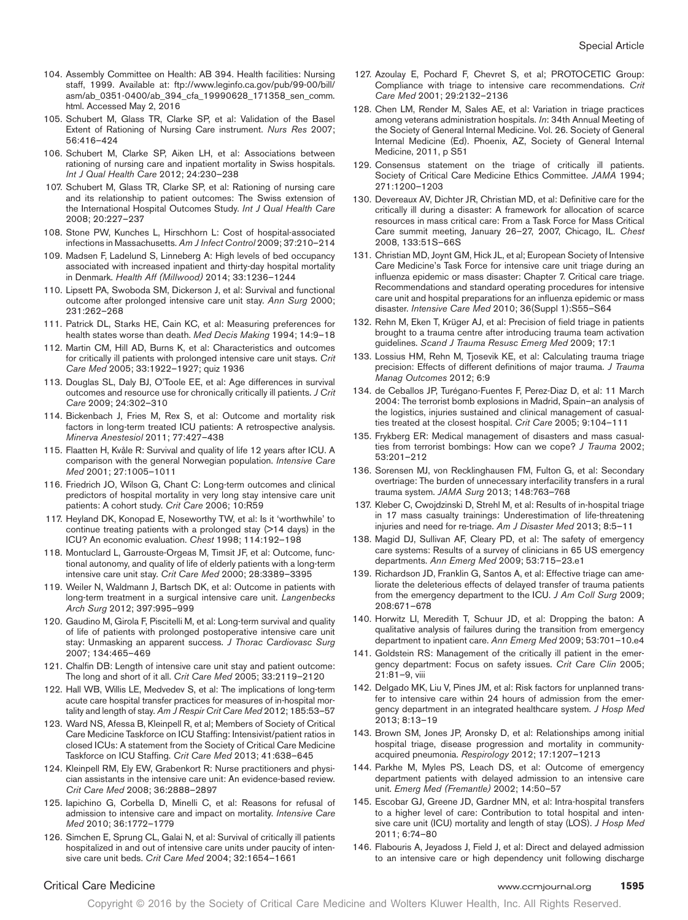- 104. Assembly Committee on Health: AB 394. Health facilities: Nursing staff, 1999. Available at: [ftp://www.leginfo.ca.gov/pub/99-00/bill/](http://ftp://www.leginfo.ca.gov/pub/99-00/bill/asm/ab_0351-0400/ab_394_cfa_19990628_171358_sen_comm.html) [asm/ab\\_0351-0400/ab\\_394\\_cfa\\_19990628\\_171358\\_sen\\_comm.](http://ftp://www.leginfo.ca.gov/pub/99-00/bill/asm/ab_0351-0400/ab_394_cfa_19990628_171358_sen_comm.html) [html.](http://ftp://www.leginfo.ca.gov/pub/99-00/bill/asm/ab_0351-0400/ab_394_cfa_19990628_171358_sen_comm.html) Accessed May 2, 2016
- 105. Schubert M, Glass TR, Clarke SP, et al: Validation of the Basel Extent of Rationing of Nursing Care instrument. *Nurs Res* 2007; 56:416–424
- 106. Schubert M, Clarke SP, Aiken LH, et al: Associations between rationing of nursing care and inpatient mortality in Swiss hospitals. *Int J Qual Health Care* 2012; 24:230–238
- 107. Schubert M, Glass TR, Clarke SP, et al: Rationing of nursing care and its relationship to patient outcomes: The Swiss extension of the International Hospital Outcomes Study. *Int J Qual Health Care* 2008; 20:227–237
- 108. Stone PW, Kunches L, Hirschhorn L: Cost of hospital-associated infections in Massachusetts. *Am J Infect Control* 2009; 37:210–214
- 109. Madsen F, Ladelund S, Linneberg A: High levels of bed occupancy associated with increased inpatient and thirty-day hospital mortality in Denmark. *Health Aff (Millwood)* 2014; 33:1236–1244
- 110. Lipsett PA, Swoboda SM, Dickerson J, et al: Survival and functional outcome after prolonged intensive care unit stay. *Ann Surg* 2000; 231:262–268
- 111. Patrick DL, Starks HE, Cain KC, et al: Measuring preferences for health states worse than death. *Med Decis Making* 1994; 14:9–18
- 112. Martin CM, Hill AD, Burns K, et al: Characteristics and outcomes for critically ill patients with prolonged intensive care unit stays. *Crit Care Med* 2005; 33:1922–1927; quiz 1936
- 113. Douglas SL, Daly BJ, O'Toole EE, et al: Age differences in survival outcomes and resource use for chronically critically ill patients. *J Crit Care* 2009; 24:302–310
- 114. Bickenbach J, Fries M, Rex S, et al: Outcome and mortality risk factors in long-term treated ICU patients: A retrospective analysis. *Minerva Anestesiol* 2011; 77:427–438
- 115. Flaatten H, Kvåle R: Survival and quality of life 12 years after ICU. A comparison with the general Norwegian population. *Intensive Care Med* 2001; 27:1005–1011
- 116. Friedrich JO, Wilson G, Chant C: Long-term outcomes and clinical predictors of hospital mortality in very long stay intensive care unit patients: A cohort study. *Crit Care* 2006; 10:R59
- 117. Heyland DK, Konopad E, Noseworthy TW, et al: Is it 'worthwhile' to continue treating patients with a prolonged stay (>14 days) in the ICU? An economic evaluation. *Chest* 1998; 114:192–198
- 118. Montuclard L, Garrouste-Orgeas M, Timsit JF, et al: Outcome, functional autonomy, and quality of life of elderly patients with a long-term intensive care unit stay. *Crit Care Med* 2000; 28:3389–3395
- 119. Weiler N, Waldmann J, Bartsch DK, et al: Outcome in patients with long-term treatment in a surgical intensive care unit. *Langenbecks Arch Surg* 2012; 397:995–999
- 120. Gaudino M, Girola F, Piscitelli M, et al: Long-term survival and quality of life of patients with prolonged postoperative intensive care unit stay: Unmasking an apparent success. *J Thorac Cardiovasc Surg* 2007; 134:465–469
- 121. Chalfin DB: Length of intensive care unit stay and patient outcome: The long and short of it all. *Crit Care Med* 2005; 33:2119–2120
- 122. Hall WB, Willis LE, Medvedev S, et al: The implications of long-term acute care hospital transfer practices for measures of in-hospital mortality and length of stay. *Am J Respir Crit Care Med* 2012; 185:53–57
- 123. Ward NS, Afessa B, Kleinpell R, et al; Members of Society of Critical Care Medicine Taskforce on ICU Staffing: Intensivist/patient ratios in closed ICUs: A statement from the Society of Critical Care Medicine Taskforce on ICU Staffing. *Crit Care Med* 2013; 41:638–645
- 124. Kleinpell RM, Ely EW, Grabenkort R: Nurse practitioners and physician assistants in the intensive care unit: An evidence-based review. *Crit Care Med* 2008; 36:2888–2897
- 125. Iapichino G, Corbella D, Minelli C, et al: Reasons for refusal of admission to intensive care and impact on mortality. *Intensive Care Med* 2010; 36:1772–1779
- 126. Simchen E, Sprung CL, Galai N, et al: Survival of critically ill patients hospitalized in and out of intensive care units under paucity of intensive care unit beds. *Crit Care Med* 2004; 32:1654–1661
- 127. Azoulay E, Pochard F, Chevret S, et al; PROTOCETIC Group: Compliance with triage to intensive care recommendations. *Crit Care Med* 2001; 29:2132–2136
- 128. Chen LM, Render M, Sales AE, et al: Variation in triage practices among veterans administration hospitals. *In*: 34th Annual Meeting of the Society of General Internal Medicine. Vol. 26. Society of General Internal Medicine (Ed). Phoenix, AZ, Society of General Internal Medicine, 2011, p S51
- 129. Consensus statement on the triage of critically ill patients. Society of Critical Care Medicine Ethics Committee. *JAMA* 1994; 271:1200–1203
- 130. Devereaux AV, Dichter JR, Christian MD, et al: Definitive care for the critically ill during a disaster: A framework for allocation of scarce resources in mass critical care: From a Task Force for Mass Critical Care summit meeting, January 26–27, 2007, Chicago, IL. *Chest* 2008, 133:51S–66S
- 131. Christian MD, Joynt GM, Hick JL, et al; European Society of Intensive Care Medicine's Task Force for intensive care unit triage during an influenza epidemic or mass disaster: Chapter 7. Critical care triage. Recommendations and standard operating procedures for intensive care unit and hospital preparations for an influenza epidemic or mass disaster. *Intensive Care Med* 2010; 36(Suppl 1):S55–S64
- 132. Rehn M, Eken T, Krüger AJ, et al: Precision of field triage in patients brought to a trauma centre after introducing trauma team activation guidelines. *Scand J Trauma Resusc Emerg Med* 2009; 17:1
- 133. Lossius HM, Rehn M, Tjosevik KE, et al: Calculating trauma triage precision: Effects of different definitions of major trauma. *J Trauma Manag Outcomes* 2012; 6:9
- 134. de Ceballos JP, Turégano-Fuentes F, Perez-Diaz D, et al: 11 March 2004: The terrorist bomb explosions in Madrid, Spain–an analysis of the logistics, injuries sustained and clinical management of casualties treated at the closest hospital. *Crit Care* 2005; 9:104–111
- 135. Frykberg ER: Medical management of disasters and mass casualties from terrorist bombings: How can we cope? *J Trauma* 2002; 53:201–212
- 136. Sorensen MJ, von Recklinghausen FM, Fulton G, et al: Secondary overtriage: The burden of unnecessary interfacility transfers in a rural trauma system. *JAMA Surg* 2013; 148:763–768
- 137. Kleber C, Cwojdzinski D, Strehl M, et al: Results of in-hospital triage in 17 mass casualty trainings: Underestimation of life-threatening injuries and need for re-triage. *Am J Disaster Med* 2013; 8:5–11
- 138. Magid DJ, Sullivan AF, Cleary PD, et al: The safety of emergency care systems: Results of a survey of clinicians in 65 US emergency departments. *Ann Emerg Med* 2009; 53:715–23.e1
- 139. Richardson JD, Franklin G, Santos A, et al: Effective triage can ameliorate the deleterious effects of delayed transfer of trauma patients from the emergency department to the ICU. *J Am Coll Surg* 2009; 208:671–678
- 140. Horwitz LI, Meredith T, Schuur JD, et al: Dropping the baton: A qualitative analysis of failures during the transition from emergency department to inpatient care. *Ann Emerg Med* 2009; 53:701–10.e4
- 141. Goldstein RS: Management of the critically ill patient in the emergency department: Focus on safety issues. *Crit Care Clin* 2005; 21:81–9, viii
- 142. Delgado MK, Liu V, Pines JM, et al: Risk factors for unplanned transfer to intensive care within 24 hours of admission from the emergency department in an integrated healthcare system. *J Hosp Med* 2013; 8:13–19
- 143. Brown SM, Jones JP, Aronsky D, et al: Relationships among initial hospital triage, disease progression and mortality in communityacquired pneumonia. *Respirology* 2012; 17:1207–1213
- 144. Parkhe M, Myles PS, Leach DS, et al: Outcome of emergency department patients with delayed admission to an intensive care unit. *Emerg Med (Fremantle)* 2002; 14:50–57
- 145. Escobar GJ, Greene JD, Gardner MN, et al: Intra-hospital transfers to a higher level of care: Contribution to total hospital and intensive care unit (ICU) mortality and length of stay (LOS). *J Hosp Med* 2011; 6:74–80
- 146. Flabouris A, Jeyadoss J, Field J, et al: Direct and delayed admission to an intensive care or high dependency unit following discharge

### Critical Care Medicine www.ccmjournal.org **1595**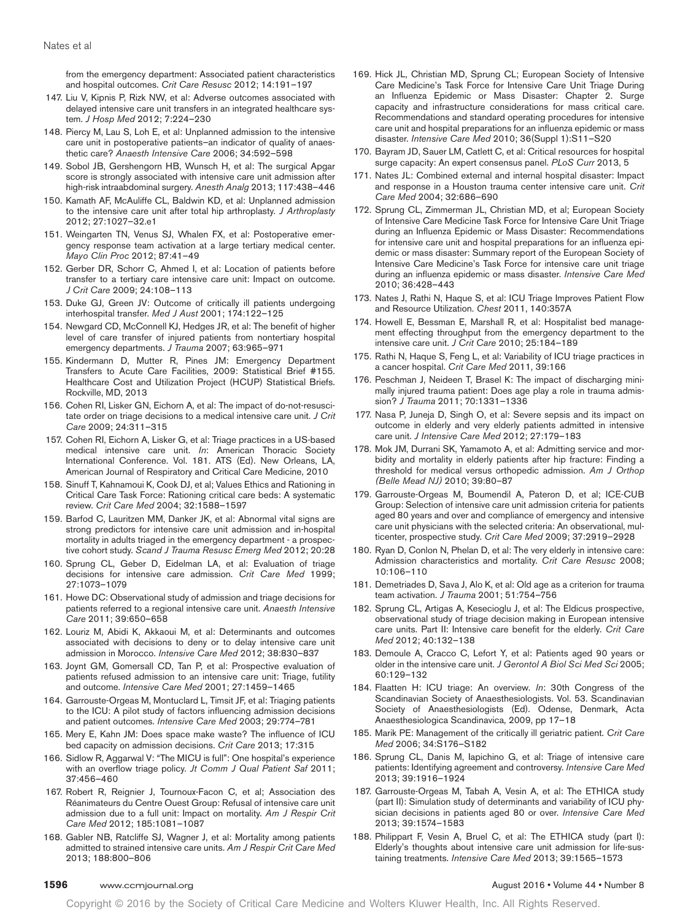from the emergency department: Associated patient characteristics and hospital outcomes. *Crit Care Resusc* 2012; 14:191–197

- 147. Liu V, Kipnis P, Rizk NW, et al: Adverse outcomes associated with delayed intensive care unit transfers in an integrated healthcare system. *J Hosp Med* 2012; 7:224–230
- 148. Piercy M, Lau S, Loh E, et al: Unplanned admission to the intensive care unit in postoperative patients–an indicator of quality of anaesthetic care? *Anaesth Intensive Care* 2006; 34:592–598
- 149. Sobol JB, Gershengorn HB, Wunsch H, et al: The surgical Apgar score is strongly associated with intensive care unit admission after high-risk intraabdominal surgery. *Anesth Analg* 2013; 117:438–446
- 150. Kamath AF, McAuliffe CL, Baldwin KD, et al: Unplanned admission to the intensive care unit after total hip arthroplasty. *J Arthroplasty* 2012; 27:1027–32.e1
- 151. Weingarten TN, Venus SJ, Whalen FX, et al: Postoperative emergency response team activation at a large tertiary medical center. *Mayo Clin Proc* 2012; 87:41–49
- 152. Gerber DR, Schorr C, Ahmed I, et al: Location of patients before transfer to a tertiary care intensive care unit: Impact on outcome. *J Crit Care* 2009; 24:108–113
- 153. Duke GJ, Green JV: Outcome of critically ill patients undergoing interhospital transfer. *Med J Aust* 2001; 174:122–125
- 154. Newgard CD, McConnell KJ, Hedges JR, et al: The benefit of higher level of care transfer of injured patients from nontertiary hospital emergency departments. *J Trauma* 2007; 63:965–971
- 155. Kindermann D, Mutter R, Pines JM: Emergency Department Transfers to Acute Care Facilities, 2009: Statistical Brief #155. Healthcare Cost and Utilization Project (HCUP) Statistical Briefs. Rockville, MD, 2013
- 156. Cohen RI, Lisker GN, Eichorn A, et al: The impact of do-not-resuscitate order on triage decisions to a medical intensive care unit. *J Crit Care* 2009; 24:311–315
- 157. Cohen RI, Eichorn A, Lisker G, et al: Triage practices in a US-based medical intensive care unit. *In*: American Thoracic Society International Conference. Vol. 181. ATS (Ed). New Orleans, LA, American Journal of Respiratory and Critical Care Medicine, 2010
- 158. Sinuff T, Kahnamoui K, Cook DJ, et al; Values Ethics and Rationing in Critical Care Task Force: Rationing critical care beds: A systematic review. *Crit Care Med* 2004; 32:1588–1597
- 159. Barfod C, Lauritzen MM, Danker JK, et al: Abnormal vital signs are strong predictors for intensive care unit admission and in-hospital mortality in adults triaged in the emergency department - a prospective cohort study. *Scand J Trauma Resusc Emerg Med* 2012; 20:28
- 160. Sprung CL, Geber D, Eidelman LA, et al: Evaluation of triage decisions for intensive care admission. *Crit Care Med* 1999; 27:1073–1079
- 161. Howe DC: Observational study of admission and triage decisions for patients referred to a regional intensive care unit. *Anaesth Intensive Care* 2011; 39:650–658
- 162. Louriz M, Abidi K, Akkaoui M, et al: Determinants and outcomes associated with decisions to deny or to delay intensive care unit admission in Morocco. *Intensive Care Med* 2012; 38:830–837
- 163. Joynt GM, Gomersall CD, Tan P, et al: Prospective evaluation of patients refused admission to an intensive care unit: Triage, futility and outcome. *Intensive Care Med* 2001; 27:1459–1465
- 164. Garrouste-Orgeas M, Montuclard L, Timsit JF, et al: Triaging patients to the ICU: A pilot study of factors influencing admission decisions and patient outcomes. *Intensive Care Med* 2003; 29:774–781
- 165. Mery E, Kahn JM: Does space make waste? The influence of ICU bed capacity on admission decisions. *Crit Care* 2013; 17:315
- 166. Sidlow R, Aggarwal V: "The MICU is full": One hospital's experience with an overflow triage policy. *Jt Comm J Qual Patient Saf* 2011; 37:456–460
- 167. Robert R, Reignier J, Tournoux-Facon C, et al; Association des Réanimateurs du Centre Ouest Group: Refusal of intensive care unit admission due to a full unit: Impact on mortality. *Am J Respir Crit Care Med* 2012; 185:1081–1087
- 168. Gabler NB, Ratcliffe SJ, Wagner J, et al: Mortality among patients admitted to strained intensive care units. *Am J Respir Crit Care Med* 2013; 188:800–806
- 169. Hick JL, Christian MD, Sprung CL; European Society of Intensive Care Medicine's Task Force for Intensive Care Unit Triage During an Influenza Epidemic or Mass Disaster: Chapter 2. Surge capacity and infrastructure considerations for mass critical care. Recommendations and standard operating procedures for intensive care unit and hospital preparations for an influenza epidemic or mass disaster. *Intensive Care Med* 2010; 36(Suppl 1):S11–S20
- 170. Bayram JD, Sauer LM, Catlett C, et al: Critical resources for hospital surge capacity: An expert consensus panel. *PLoS Curr* 2013, 5
- 171. Nates JL: Combined external and internal hospital disaster: Impact and response in a Houston trauma center intensive care unit. *Crit Care Med* 2004; 32:686–690
- 172. Sprung CL, Zimmerman JL, Christian MD, et al; European Society of Intensive Care Medicine Task Force for Intensive Care Unit Triage during an Influenza Epidemic or Mass Disaster: Recommendations for intensive care unit and hospital preparations for an influenza epidemic or mass disaster: Summary report of the European Society of Intensive Care Medicine's Task Force for intensive care unit triage during an influenza epidemic or mass disaster. *Intensive Care Med* 2010; 36:428–443
- 173. Nates J, Rathi N, Haque S, et al: ICU Triage Improves Patient Flow and Resource Utilization. *Chest* 2011, 140:357A
- 174. Howell E, Bessman E, Marshall R, et al: Hospitalist bed management effecting throughput from the emergency department to the intensive care unit. *J Crit Care* 2010; 25:184–189
- 175. Rathi N, Haque S, Feng L, et al: Variability of ICU triage practices in a cancer hospital. *Crit Care Med* 2011, 39:166
- 176. Peschman J, Neideen T, Brasel K: The impact of discharging minimally injured trauma patient: Does age play a role in trauma admission? *J Trauma* 2011; 70:1331–1336
- 177. Nasa P, Juneja D, Singh O, et al: Severe sepsis and its impact on outcome in elderly and very elderly patients admitted in intensive care unit. *J Intensive Care Med* 2012; 27:179–183
- 178. Mok JM, Durrani SK, Yamamoto A, et al: Admitting service and morbidity and mortality in elderly patients after hip fracture: Finding a threshold for medical versus orthopedic admission. *Am J Orthop (Belle Mead NJ)* 2010; 39:80–87
- 179. Garrouste-Orgeas M, Boumendil A, Pateron D, et al; ICE-CUB Group: Selection of intensive care unit admission criteria for patients aged 80 years and over and compliance of emergency and intensive care unit physicians with the selected criteria: An observational, multicenter, prospective study. *Crit Care Med* 2009; 37:2919–2928
- 180. Ryan D, Conlon N, Phelan D, et al: The very elderly in intensive care: Admission characteristics and mortality. *Crit Care Resusc* 2008; 10:106–110
- 181. Demetriades D, Sava J, Alo K, et al: Old age as a criterion for trauma team activation. *J Trauma* 2001; 51:754–756
- 182. Sprung CL, Artigas A, Kesecioglu J, et al: The Eldicus prospective, observational study of triage decision making in European intensive care units. Part II: Intensive care benefit for the elderly. *Crit Care Med* 2012; 40:132–138
- 183. Demoule A, Cracco C, Lefort Y, et al: Patients aged 90 years or older in the intensive care unit. *J Gerontol A Biol Sci Med Sci* 2005; 60:129–132
- 184. Flaatten H: ICU triage: An overview. *In*: 30th Congress of the Scandinavian Society of Anaesthesiologists. Vol. 53. Scandinavian Society of Anaesthesiologists (Ed). Odense, Denmark, Acta Anaesthesiologica Scandinavica, 2009, pp 17–18
- 185. Marik PE: Management of the critically ill geriatric patient. *Crit Care Med* 2006; 34:S176–S182
- 186. Sprung CL, Danis M, Iapichino G, et al: Triage of intensive care patients: Identifying agreement and controversy. *Intensive Care Med* 2013; 39:1916–1924
- 187. Garrouste-Orgeas M, Tabah A, Vesin A, et al: The ETHICA study (part II): Simulation study of determinants and variability of ICU physician decisions in patients aged 80 or over. *Intensive Care Med* 2013; 39:1574–1583
- 188. Philippart F, Vesin A, Bruel C, et al: The ETHICA study (part I): Elderly's thoughts about intensive care unit admission for life-sustaining treatments. *Intensive Care Med* 2013; 39:1565–1573

### **1596** www.ccmjournal.org **August 2016** www.ccmjournal.org August 2016 • Volume 44 • Number 8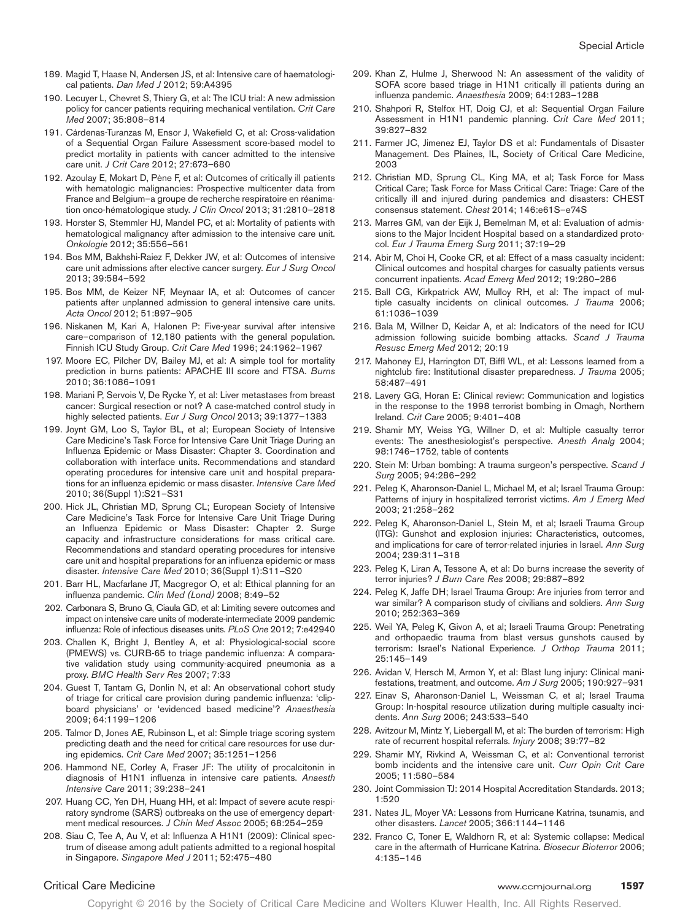- 189. Magid T, Haase N, Andersen JS, et al: Intensive care of haematological patients. *Dan Med J* 2012; 59:A4395
- 190. Lecuyer L, Chevret S, Thiery G, et al: The ICU trial: A new admission policy for cancer patients requiring mechanical ventilation. *Crit Care Med* 2007; 35:808–814
- 191. Cárdenas-Turanzas M, Ensor J, Wakefield C, et al: Cross-validation of a Sequential Organ Failure Assessment score-based model to predict mortality in patients with cancer admitted to the intensive care unit. *J Crit Care* 2012; 27:673–680
- 192. Azoulay E, Mokart D, Pène F, et al: Outcomes of critically ill patients with hematologic malignancies: Prospective multicenter data from France and Belgium–a groupe de recherche respiratoire en réanimation onco-hématologique study. *J Clin Oncol* 2013; 31:2810–2818
- 193. Horster S, Stemmler HJ, Mandel PC, et al: Mortality of patients with hematological malignancy after admission to the intensive care unit. *Onkologie* 2012; 35:556–561
- 194. Bos MM, Bakhshi-Raiez F, Dekker JW, et al: Outcomes of intensive care unit admissions after elective cancer surgery. *Eur J Surg Oncol* 2013; 39:584–592
- 195. Bos MM, de Keizer NF, Meynaar IA, et al: Outcomes of cancer patients after unplanned admission to general intensive care units. *Acta Oncol* 2012; 51:897–905
- 196. Niskanen M, Kari A, Halonen P: Five-year survival after intensive care–comparison of 12,180 patients with the general population. Finnish ICU Study Group. *Crit Care Med* 1996; 24:1962–1967
- 197. Moore EC, Pilcher DV, Bailey MJ, et al: A simple tool for mortality prediction in burns patients: APACHE III score and FTSA. *Burns* 2010; 36:1086–1091
- 198. Mariani P, Servois V, De Rycke Y, et al: Liver metastases from breast cancer: Surgical resection or not? A case-matched control study in highly selected patients. *Eur J Surg Oncol* 2013; 39:1377–1383
- 199. Joynt GM, Loo S, Taylor BL, et al; European Society of Intensive Care Medicine's Task Force for Intensive Care Unit Triage During an Influenza Epidemic or Mass Disaster: Chapter 3. Coordination and collaboration with interface units. Recommendations and standard operating procedures for intensive care unit and hospital preparations for an influenza epidemic or mass disaster. *Intensive Care Med* 2010; 36(Suppl 1):S21–S31
- 200. Hick JL, Christian MD, Sprung CL; European Society of Intensive Care Medicine's Task Force for Intensive Care Unit Triage During an Influenza Epidemic or Mass Disaster: Chapter 2. Surge capacity and infrastructure considerations for mass critical care. Recommendations and standard operating procedures for intensive care unit and hospital preparations for an influenza epidemic or mass disaster. *Intensive Care Med* 2010; 36(Suppl 1):S11–S20
- 201. Barr HL, Macfarlane JT, Macgregor O, et al: Ethical planning for an influenza pandemic. *Clin Med (Lond)* 2008; 8:49–52
- 202. Carbonara S, Bruno G, Ciaula GD, et al: Limiting severe outcomes and impact on intensive care units of moderate-intermediate 2009 pandemic influenza: Role of infectious diseases units. *PLoS One* 2012; 7:e42940
- 203. Challen K, Bright J, Bentley A, et al: Physiological-social score (PMEWS) vs. CURB-65 to triage pandemic influenza: A comparative validation study using community-acquired pneumonia as a proxy. *BMC Health Serv Res* 2007; 7:33
- 204. Guest T, Tantam G, Donlin N, et al: An observational cohort study of triage for critical care provision during pandemic influenza: 'clipboard physicians' or 'evidenced based medicine'? *Anaesthesia* 2009; 64:1199–1206
- 205. Talmor D, Jones AE, Rubinson L, et al: Simple triage scoring system predicting death and the need for critical care resources for use during epidemics. *Crit Care Med* 2007; 35:1251–1256
- 206. Hammond NE, Corley A, Fraser JF: The utility of procalcitonin in diagnosis of H1N1 influenza in intensive care patients. *Anaesth Intensive Care* 2011; 39:238–241
- 207. Huang CC, Yen DH, Huang HH, et al: Impact of severe acute respiratory syndrome (SARS) outbreaks on the use of emergency department medical resources. *J Chin Med Assoc* 2005; 68:254–259
- 208. Siau C, Tee A, Au V, et al: Influenza A H1N1 (2009): Clinical spectrum of disease among adult patients admitted to a regional hospital in Singapore. *Singapore Med J* 2011; 52:475–480
- 209. Khan Z, Hulme J, Sherwood N: An assessment of the validity of SOFA score based triage in H1N1 critically ill patients during an influenza pandemic. *Anaesthesia* 2009; 64:1283–1288
- 210. Shahpori R, Stelfox HT, Doig CJ, et al: Sequential Organ Failure Assessment in H1N1 pandemic planning. *Crit Care Med* 2011; 39:827–832
- 211. Farmer JC, Jimenez EJ, Taylor DS et al: Fundamentals of Disaster Management. Des Plaines, IL, Society of Critical Care Medicine, 2003
- 212. Christian MD, Sprung CL, King MA, et al; Task Force for Mass Critical Care; Task Force for Mass Critical Care: Triage: Care of the critically ill and injured during pandemics and disasters: CHEST consensus statement. *Chest* 2014; 146:e61S–e74S
- 213. Marres GM, van der Eijk J, Bemelman M, et al: Evaluation of admissions to the Major Incident Hospital based on a standardized protocol. *Eur J Trauma Emerg Surg* 2011; 37:19–29
- 214. Abir M, Choi H, Cooke CR, et al: Effect of a mass casualty incident: Clinical outcomes and hospital charges for casualty patients versus concurrent inpatients. *Acad Emerg Med* 2012; 19:280–286
- 215. Ball CG, Kirkpatrick AW, Mulloy RH, et al: The impact of multiple casualty incidents on clinical outcomes. *J Trauma* 2006; 61:1036–1039
- 216. Bala M, Willner D, Keidar A, et al: Indicators of the need for ICU admission following suicide bombing attacks. *Scand J Trauma Resusc Emerg Med* 2012; 20:19
- 217. Mahoney EJ, Harrington DT, Biffl WL, et al: Lessons learned from a nightclub fire: Institutional disaster preparedness. *J Trauma* 2005; 58:487–491
- 218. Lavery GG, Horan E: Clinical review: Communication and logistics in the response to the 1998 terrorist bombing in Omagh, Northern Ireland. *Crit Care* 2005; 9:401–408
- 219. Shamir MY, Weiss YG, Willner D, et al: Multiple casualty terror events: The anesthesiologist's perspective. *Anesth Analg* 2004; 98:1746–1752, table of contents
- 220. Stein M: Urban bombing: A trauma surgeon's perspective. *Scand J Surg* 2005; 94:286–292
- 221. Peleg K, Aharonson-Daniel L, Michael M, et al; Israel Trauma Group: Patterns of injury in hospitalized terrorist victims. *Am J Emerg Med* 2003; 21:258–262
- 222. Peleg K, Aharonson-Daniel L, Stein M, et al; Israeli Trauma Group (ITG): Gunshot and explosion injuries: Characteristics, outcomes, and implications for care of terror-related injuries in Israel. *Ann Surg* 2004; 239:311–318
- 223. Peleg K, Liran A, Tessone A, et al: Do burns increase the severity of terror injuries? *J Burn Care Res* 2008; 29:887–892
- 224. Peleg K, Jaffe DH; Israel Trauma Group: Are injuries from terror and war similar? A comparison study of civilians and soldiers. *Ann Surg* 2010; 252:363–369
- 225. Weil YA, Peleg K, Givon A, et al; Israeli Trauma Group: Penetrating and orthopaedic trauma from blast versus gunshots caused by terrorism: Israel's National Experience. *J Orthop Trauma* 2011; 25:145–149
- 226. Avidan V, Hersch M, Armon Y, et al: Blast lung injury: Clinical manifestations, treatment, and outcome. *Am J Surg* 2005; 190:927–931
- 227. Einav S, Aharonson-Daniel L, Weissman C, et al; Israel Trauma Group: In-hospital resource utilization during multiple casualty incidents. *Ann Surg* 2006; 243:533–540
- 228. Avitzour M, Mintz Y, Liebergall M, et al: The burden of terrorism: High rate of recurrent hospital referrals. *Injury* 2008; 39:77–82
- 229. Shamir MY, Rivkind A, Weissman C, et al: Conventional terrorist bomb incidents and the intensive care unit. *Curr Opin Crit Care* 2005; 11:580–584
- 230. Joint Commission TJ: 2014 Hospital Accreditation Standards. 2013; 1:520
- 231. Nates JL, Moyer VA: Lessons from Hurricane Katrina, tsunamis, and other disasters. *Lancet* 2005; 366:1144–1146
- 232. Franco C, Toner E, Waldhorn R, et al: Systemic collapse: Medical care in the aftermath of Hurricane Katrina. *Biosecur Bioterror* 2006; 4:135–146

### Critical Care Medicine www.ccmjournal.org **1597**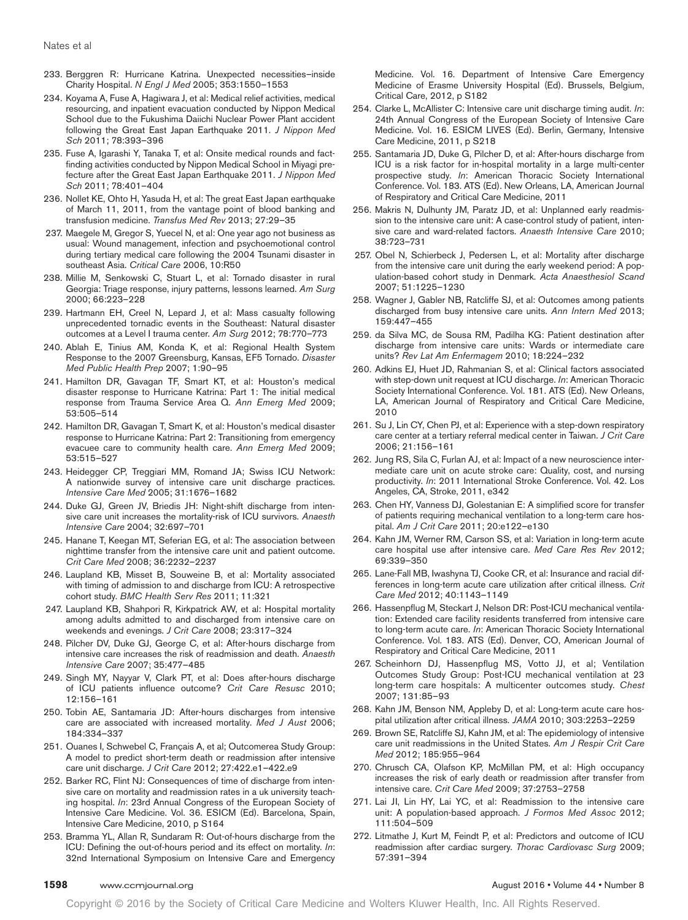- 233. Berggren R: Hurricane Katrina. Unexpected necessities–inside Charity Hospital. *N Engl J Med* 2005; 353:1550–1553
- 234. Koyama A, Fuse A, Hagiwara J, et al: Medical relief activities, medical resourcing, and inpatient evacuation conducted by Nippon Medical School due to the Fukushima Daiichi Nuclear Power Plant accident following the Great East Japan Earthquake 2011. *J Nippon Med Sch* 2011; 78:393–396
- 235. Fuse A, Igarashi Y, Tanaka T, et al: Onsite medical rounds and factfinding activities conducted by Nippon Medical School in Miyagi prefecture after the Great East Japan Earthquake 2011. *J Nippon Med Sch* 2011; 78:401–404
- 236. Nollet KE, Ohto H, Yasuda H, et al: The great East Japan earthquake of March 11, 2011, from the vantage point of blood banking and transfusion medicine. *Transfus Med Rev* 2013; 27:29–35
- 237. Maegele M, Gregor S, Yuecel N, et al: One year ago not business as usual: Wound management, infection and psychoemotional control during tertiary medical care following the 2004 Tsunami disaster in southeast Asia. *Critical Care* 2006, 10:R50
- 238. Millie M, Senkowski C, Stuart L, et al: Tornado disaster in rural Georgia: Triage response, injury patterns, lessons learned. *Am Surg* 2000; 66:223–228
- 239. Hartmann EH, Creel N, Lepard J, et al: Mass casualty following unprecedented tornadic events in the Southeast: Natural disaster outcomes at a Level I trauma center. *Am Surg* 2012; 78:770–773
- 240. Ablah E, Tinius AM, Konda K, et al: Regional Health System Response to the 2007 Greensburg, Kansas, EF5 Tornado. *Disaster Med Public Health Prep* 2007; 1:90–95
- 241. Hamilton DR, Gavagan TF, Smart KT, et al: Houston's medical disaster response to Hurricane Katrina: Part 1: The initial medical response from Trauma Service Area Q. *Ann Emerg Med* 2009; 53:505–514
- 242. Hamilton DR, Gavagan T, Smart K, et al: Houston's medical disaster response to Hurricane Katrina: Part 2: Transitioning from emergency evacuee care to community health care. *Ann Emerg Med* 2009; 53:515–527
- 243. Heidegger CP, Treggiari MM, Romand JA; Swiss ICU Network: A nationwide survey of intensive care unit discharge practices. *Intensive Care Med* 2005; 31:1676–1682
- 244. Duke GJ, Green JV, Briedis JH: Night-shift discharge from intensive care unit increases the mortality-risk of ICU survivors. *Anaesth Intensive Care* 2004; 32:697–701
- 245. Hanane T, Keegan MT, Seferian EG, et al: The association between nighttime transfer from the intensive care unit and patient outcome. *Crit Care Med* 2008; 36:2232–2237
- 246. Laupland KB, Misset B, Souweine B, et al: Mortality associated with timing of admission to and discharge from ICU: A retrospective cohort study. *BMC Health Serv Res* 2011; 11:321
- 247. Laupland KB, Shahpori R, Kirkpatrick AW, et al: Hospital mortality among adults admitted to and discharged from intensive care on weekends and evenings. *J Crit Care* 2008; 23:317–324
- 248. Pilcher DV, Duke GJ, George C, et al: After-hours discharge from intensive care increases the risk of readmission and death. *Anaesth Intensive Care* 2007; 35:477–485
- 249. Singh MY, Nayyar V, Clark PT, et al: Does after-hours discharge of ICU patients influence outcome? *Crit Care Resusc* 2010; 12:156–161
- 250. Tobin AE, Santamaria JD: After-hours discharges from intensive care are associated with increased mortality. *Med J Aust* 2006; 184:334–337
- 251. Ouanes I, Schwebel C, Français A, et al; Outcomerea Study Group: A model to predict short-term death or readmission after intensive care unit discharge. *J Crit Care* 2012; 27:422.e1–422.e9
- 252. Barker RC, Flint NJ: Consequences of time of discharge from intensive care on mortality and readmission rates in a uk university teaching hospital. *In*: 23rd Annual Congress of the European Society of Intensive Care Medicine. Vol. 36. ESICM (Ed). Barcelona, Spain, Intensive Care Medicine, 2010, p S164
- 253. Bramma YL, Allan R, Sundaram R: Out-of-hours discharge from the ICU: Defining the out-of-hours period and its effect on mortality. *In*: 32nd International Symposium on Intensive Care and Emergency

Medicine. Vol. 16. Department of Intensive Care Emergency Medicine of Erasme University Hospital (Ed). Brussels, Belgium, Critical Care, 2012, p S182

- 254. Clarke L, McAllister C: Intensive care unit discharge timing audit. *In*: 24th Annual Congress of the European Society of Intensive Care Medicine. Vol. 16. ESICM LIVES (Ed). Berlin, Germany, Intensive Care Medicine, 2011, p S218
- 255. Santamaria JD, Duke G, Pilcher D, et al: After-hours discharge from ICU is a risk factor for in-hospital mortality in a large multi-center prospective study. *In*: American Thoracic Society International Conference. Vol. 183. ATS (Ed). New Orleans, LA, American Journal of Respiratory and Critical Care Medicine, 2011
- 256. Makris N, Dulhunty JM, Paratz JD, et al: Unplanned early readmission to the intensive care unit: A case-control study of patient, intensive care and ward-related factors. *Anaesth Intensive Care* 2010; 38:723–731
- 257. Obel N, Schierbeck J, Pedersen L, et al: Mortality after discharge from the intensive care unit during the early weekend period: A population-based cohort study in Denmark. *Acta Anaesthesiol Scand* 2007; 51:1225–1230
- 258. Wagner J, Gabler NB, Ratcliffe SJ, et al: Outcomes among patients discharged from busy intensive care units. *Ann Intern Med* 2013; 159:447–455
- 259. da Silva MC, de Sousa RM, Padilha KG: Patient destination after discharge from intensive care units: Wards or intermediate care units? *Rev Lat Am Enfermagem* 2010; 18:224–232
- 260. Adkins EJ, Huet JD, Rahmanian S, et al: Clinical factors associated with step-down unit request at ICU discharge. *In*: American Thoracic Society International Conference. Vol. 181. ATS (Ed). New Orleans, LA, American Journal of Respiratory and Critical Care Medicine, 2010
- 261. Su J, Lin CY, Chen PJ, et al: Experience with a step-down respiratory care center at a tertiary referral medical center in Taiwan. *J Crit Care* 2006; 21:156–161
- 262. Jung RS, Sila C, Furlan AJ, et al: Impact of a new neuroscience intermediate care unit on acute stroke care: Quality, cost, and nursing productivity. *In*: 2011 International Stroke Conference. Vol. 42. Los Angeles, CA, Stroke, 2011, e342
- 263. Chen HY, Vanness DJ, Golestanian E: A simplified score for transfer of patients requiring mechanical ventilation to a long-term care hospital. *Am J Crit Care* 2011; 20:e122–e130
- 264. Kahn JM, Werner RM, Carson SS, et al: Variation in long-term acute care hospital use after intensive care. *Med Care Res Rev* 2012; 69:339–350
- 265. Lane-Fall MB, Iwashyna TJ, Cooke CR, et al: Insurance and racial differences in long-term acute care utilization after critical illness. *Crit Care Med* 2012; 40:1143–1149
- 266. Hassenpflug M, Steckart J, Nelson DR: Post-ICU mechanical ventilation: Extended care facility residents transferred from intensive care to long-term acute care. *In*: American Thoracic Society International Conference. Vol. 183. ATS (Ed). Denver, CO, American Journal of Respiratory and Critical Care Medicine, 2011
- 267. Scheinhorn DJ, Hassenpflug MS, Votto JJ, et al; Ventilation Outcomes Study Group: Post-ICU mechanical ventilation at 23 long-term care hospitals: A multicenter outcomes study. *Chest* 2007; 131:85–93
- 268. Kahn JM, Benson NM, Appleby D, et al: Long-term acute care hospital utilization after critical illness. *JAMA* 2010; 303:2253–2259
- 269. Brown SE, Ratcliffe SJ, Kahn JM, et al: The epidemiology of intensive care unit readmissions in the United States. *Am J Respir Crit Care Med* 2012; 185:955–964
- 270. Chrusch CA, Olafson KP, McMillan PM, et al: High occupancy increases the risk of early death or readmission after transfer from intensive care. *Crit Care Med* 2009; 37:2753–2758
- 271. Lai JI, Lin HY, Lai YC, et al: Readmission to the intensive care unit: A population-based approach. *J Formos Med Assoc* 2012; 111:504–509
- 272. Litmathe J, Kurt M, Feindt P, et al: Predictors and outcome of ICU readmission after cardiac surgery. *Thorac Cardiovasc Surg* 2009; 57:391–394

### **1598** www.ccmjournal.org **August 2016** • Volume 44 • Number 8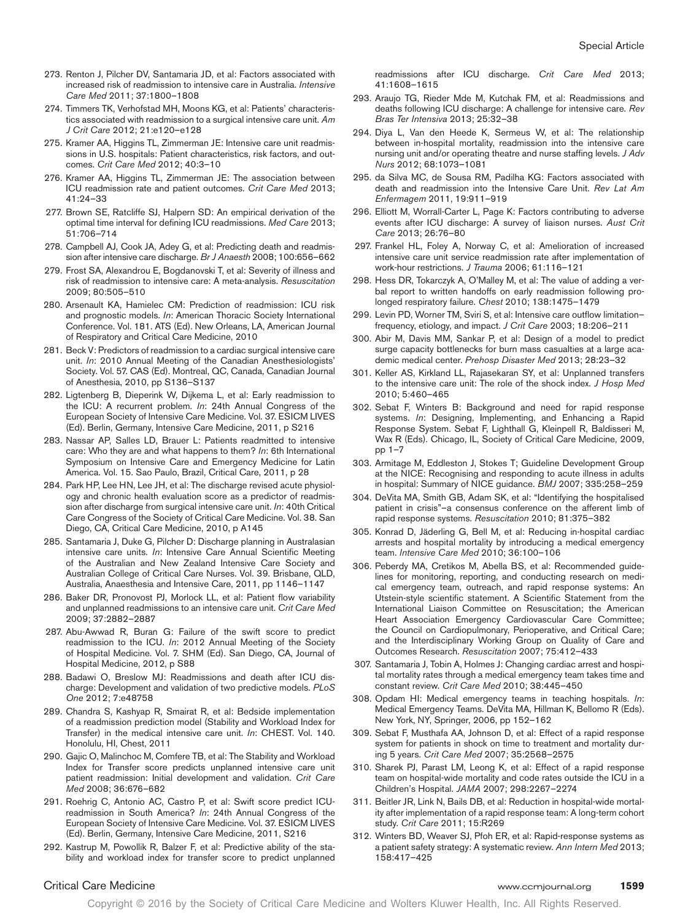- 273. Renton J, Pilcher DV, Santamaria JD, et al: Factors associated with increased risk of readmission to intensive care in Australia. *Intensive Care Med* 2011; 37:1800–1808
- 274. Timmers TK, Verhofstad MH, Moons KG, et al: Patients' characteristics associated with readmission to a surgical intensive care unit. *Am J Crit Care* 2012; 21:e120–e128
- 275. Kramer AA, Higgins TL, Zimmerman JE: Intensive care unit readmissions in U.S. hospitals: Patient characteristics, risk factors, and outcomes. *Crit Care Med* 2012; 40:3–10
- 276. Kramer AA, Higgins TL, Zimmerman JE: The association between ICU readmission rate and patient outcomes. *Crit Care Med* 2013; 41:24–33
- 277. Brown SE, Ratcliffe SJ, Halpern SD: An empirical derivation of the optimal time interval for defining ICU readmissions. *Med Care* 2013; 51:706–714
- 278. Campbell AJ, Cook JA, Adey G, et al: Predicting death and readmission after intensive care discharge. *Br J Anaesth* 2008; 100:656–662
- 279. Frost SA, Alexandrou E, Bogdanovski T, et al: Severity of illness and risk of readmission to intensive care: A meta-analysis. *Resuscitation* 2009; 80:505–510
- 280. Arsenault KA, Hamielec CM: Prediction of readmission: ICU risk and prognostic models. *In*: American Thoracic Society International Conference. Vol. 181. ATS (Ed). New Orleans, LA, American Journal of Respiratory and Critical Care Medicine, 2010
- 281. Beck V: Predictors of readmission to a cardiac surgical intensive care unit. *In*: 2010 Annual Meeting of the Canadian Anesthesiologists' Society. Vol. 57. CAS (Ed). Montreal, QC, Canada, Canadian Journal of Anesthesia, 2010, pp S136–S137
- 282. Ligtenberg B, Dieperink W, Dijkema L, et al: Early readmission to the ICU: A recurrent problem. *In*: 24th Annual Congress of the European Society of Intensive Care Medicine. Vol. 37. ESICM LIVES (Ed). Berlin, Germany, Intensive Care Medicine, 2011, p S216
- 283. Nassar AP, Salles LD, Brauer L: Patients readmitted to intensive care: Who they are and what happens to them? *In*: 6th International Symposium on Intensive Care and Emergency Medicine for Latin America. Vol. 15. Sao Paulo, Brazil, Critical Care, 2011, p 28
- 284. Park HP, Lee HN, Lee JH, et al: The discharge revised acute physiology and chronic health evaluation score as a predictor of readmission after discharge from surgical intensive care unit. *In*: 40th Critical Care Congress of the Society of Critical Care Medicine. Vol. 38. San Diego, CA, Critical Care Medicine, 2010, p A145
- 285. Santamaria J, Duke G, Pilcher D: Discharge planning in Australasian intensive care units. *In*: Intensive Care Annual Scientific Meeting of the Australian and New Zealand Intensive Care Society and Australian College of Critical Care Nurses. Vol. 39. Brisbane, QLD, Australia, Anaesthesia and Intensive Care, 2011, pp 1146–1147
- 286. Baker DR, Pronovost PJ, Morlock LL, et al: Patient flow variability and unplanned readmissions to an intensive care unit. *Crit Care Med* 2009; 37:2882–2887
- 287. Abu-Awwad R, Buran G: Failure of the swift score to predict readmission to the ICU. *In*: 2012 Annual Meeting of the Society of Hospital Medicine. Vol. 7. SHM (Ed). San Diego, CA, Journal of Hospital Medicine, 2012, p S88
- 288. Badawi O, Breslow MJ: Readmissions and death after ICU discharge: Development and validation of two predictive models. *PLoS One* 2012; 7:e48758
- 289. Chandra S, Kashyap R, Smairat R, et al: Bedside implementation of a readmission prediction model (Stability and Workload Index for Transfer) in the medical intensive care unit. *In*: CHEST. Vol. 140. Honolulu, HI, Chest, 2011
- 290. Gajic O, Malinchoc M, Comfere TB, et al: The Stability and Workload Index for Transfer score predicts unplanned intensive care unit patient readmission: Initial development and validation. *Crit Care Med* 2008; 36:676–682
- 291. Roehrig C, Antonio AC, Castro P, et al: Swift score predict ICUreadmission in South America? *In*: 24th Annual Congress of the European Society of Intensive Care Medicine. Vol. 37. ESICM LIVES (Ed). Berlin, Germany, Intensive Care Medicine, 2011, S216
- 292. Kastrup M, Powollik R, Balzer F, et al: Predictive ability of the stability and workload index for transfer score to predict unplanned

readmissions after ICU discharge. *Crit Care Med* 2013; 41:1608–1615

- 293. Araujo TG, Rieder Mde M, Kutchak FM, et al: Readmissions and deaths following ICU discharge: A challenge for intensive care. *Rev Bras Ter Intensiva* 2013; 25:32–38
- 294. Diya L, Van den Heede K, Sermeus W, et al: The relationship between in-hospital mortality, readmission into the intensive care nursing unit and/or operating theatre and nurse staffing levels. *J Adv Nurs* 2012; 68:1073–1081
- 295. da Silva MC, de Sousa RM, Padilha KG: Factors associated with death and readmission into the Intensive Care Unit. *Rev Lat Am Enfermagem* 2011, 19:911–919
- 296. Elliott M, Worrall-Carter L, Page K: Factors contributing to adverse events after ICU discharge: A survey of liaison nurses. *Aust Crit Care* 2013; 26:76–80
- 297. Frankel HL, Foley A, Norway C, et al: Amelioration of increased intensive care unit service readmission rate after implementation of work-hour restrictions. *J Trauma* 2006; 61:116–121
- 298. Hess DR, Tokarczyk A, O'Malley M, et al: The value of adding a verbal report to written handoffs on early readmission following prolonged respiratory failure. *Chest* 2010; 138:1475–1479
- 299. Levin PD, Worner TM, Sviri S, et al: Intensive care outflow limitation– frequency, etiology, and impact. *J Crit Care* 2003; 18:206–211
- 300. Abir M, Davis MM, Sankar P, et al: Design of a model to predict surge capacity bottlenecks for burn mass casualties at a large academic medical center. *Prehosp Disaster Med* 2013; 28:23–32
- 301. Keller AS, Kirkland LL, Rajasekaran SY, et al: Unplanned transfers to the intensive care unit: The role of the shock index. *J Hosp Med* 2010; 5:460–465
- 302. Sebat F, Winters B: Background and need for rapid response systems. *In*: Designing, Implementing, and Enhancing a Rapid Response System. Sebat F, Lighthall G, Kleinpell R, Baldisseri M, Wax R (Eds). Chicago, IL, Society of Critical Care Medicine, 2009, pp 1–7
- 303. Armitage M, Eddleston J, Stokes T; Guideline Development Group at the NICE: Recognising and responding to acute illness in adults in hospital: Summary of NICE guidance. *BMJ* 2007; 335:258–259
- 304. DeVita MA, Smith GB, Adam SK, et al: "Identifying the hospitalised patient in crisis"–a consensus conference on the afferent limb of rapid response systems. *Resuscitation* 2010; 81:375–382
- 305. Konrad D, Jäderling G, Bell M, et al: Reducing in-hospital cardiac arrests and hospital mortality by introducing a medical emergency team. *Intensive Care Med* 2010; 36:100–106
- 306. Peberdy MA, Cretikos M, Abella BS, et al: Recommended guidelines for monitoring, reporting, and conducting research on medical emergency team, outreach, and rapid response systems: An Utstein-style scientific statement. A Scientific Statement from the International Liaison Committee on Resuscitation; the American Heart Association Emergency Cardiovascular Care Committee; the Council on Cardiopulmonary, Perioperative, and Critical Care; and the Interdisciplinary Working Group on Quality of Care and Outcomes Research. *Resuscitation* 2007; 75:412–433
- 307. Santamaria J, Tobin A, Holmes J: Changing cardiac arrest and hospital mortality rates through a medical emergency team takes time and constant review. *Crit Care Med* 2010; 38:445–450
- 308. Opdam HI: Medical emergency teams in teaching hospitals. *In*: Medical Emergency Teams. DeVita MA, Hillman K, Bellomo R (Eds). New York, NY, Springer, 2006, pp 152–162
- 309. Sebat F, Musthafa AA, Johnson D, et al: Effect of a rapid response system for patients in shock on time to treatment and mortality during 5 years. *Crit Care Med* 2007; 35:2568–2575
- 310. Sharek PJ, Parast LM, Leong K, et al: Effect of a rapid response team on hospital-wide mortality and code rates outside the ICU in a Children's Hospital. *JAMA* 2007; 298:2267–2274
- 311. Beitler JR, Link N, Bails DB, et al: Reduction in hospital-wide mortality after implementation of a rapid response team: A long-term cohort study. *Crit Care* 2011; 15:R269
- 312. Winters BD, Weaver SJ, Pfoh ER, et al: Rapid-response systems as a patient safety strategy: A systematic review. *Ann Intern Med* 2013; 158:417–425

### Critical Care Medicine www.ccmjournal.org **1599**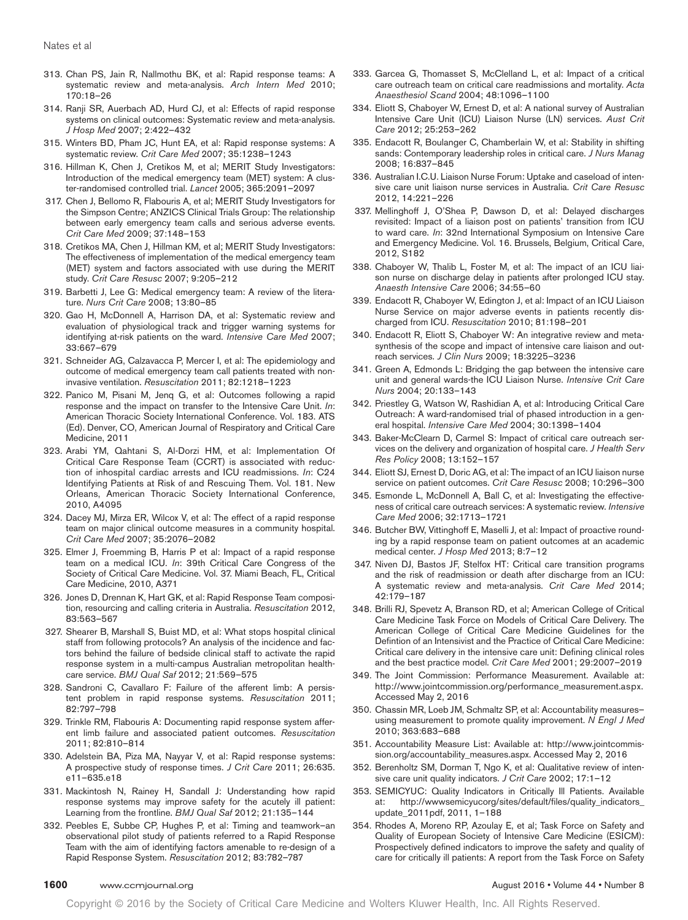- 313. Chan PS, Jain R, Nallmothu BK, et al: Rapid response teams: A systematic review and meta-analysis. *Arch Intern Med* 2010; 170:18–26
- 314. Ranji SR, Auerbach AD, Hurd CJ, et al: Effects of rapid response systems on clinical outcomes: Systematic review and meta-analysis. *J Hosp Med* 2007; 2:422–432
- 315. Winters BD, Pham JC, Hunt EA, et al: Rapid response systems: A systematic review. *Crit Care Med* 2007; 35:1238–1243
- 316. Hillman K, Chen J, Cretikos M, et al; MERIT Study Investigators: Introduction of the medical emergency team (MET) system: A cluster-randomised controlled trial. *Lancet* 2005; 365:2091–2097
- 317. Chen J, Bellomo R, Flabouris A, et al; MERIT Study Investigators for the Simpson Centre; ANZICS Clinical Trials Group: The relationship between early emergency team calls and serious adverse events. *Crit Care Med* 2009; 37:148–153
- 318. Cretikos MA, Chen J, Hillman KM, et al; MERIT Study Investigators: The effectiveness of implementation of the medical emergency team (MET) system and factors associated with use during the MERIT study. *Crit Care Resusc* 2007; 9:205–212
- 319. Barbetti J, Lee G: Medical emergency team: A review of the literature. *Nurs Crit Care* 2008; 13:80–85
- 320. Gao H, McDonnell A, Harrison DA, et al: Systematic review and evaluation of physiological track and trigger warning systems for identifying at-risk patients on the ward. *Intensive Care Med* 2007; 33:667–679
- 321. Schneider AG, Calzavacca P, Mercer I, et al: The epidemiology and outcome of medical emergency team call patients treated with noninvasive ventilation. *Resuscitation* 2011; 82:1218–1223
- 322. Panico M, Pisani M, Jenq G, et al: Outcomes following a rapid response and the impact on transfer to the Intensive Care Unit. *In*: American Thoracic Society International Conference. Vol. 183. ATS (Ed). Denver, CO, American Journal of Respiratory and Critical Care Medicine, 2011
- 323. Arabi YM, Qahtani S, Al-Dorzi HM, et al: Implementation Of Critical Care Response Team (CCRT) is associated with reduction of inhospital cardiac arrests and ICU readmissions. *In*: C24 Identifying Patients at Risk of and Rescuing Them. Vol. 181. New Orleans, American Thoracic Society International Conference, 2010, A4095
- 324. Dacey MJ, Mirza ER, Wilcox V, et al: The effect of a rapid response team on major clinical outcome measures in a community hospital. *Crit Care Med* 2007; 35:2076–2082
- 325. Elmer J, Froemming B, Harris P et al: Impact of a rapid response team on a medical ICU. *In*: 39th Critical Care Congress of the Society of Critical Care Medicine. Vol. 37. Miami Beach, FL, Critical Care Medicine, 2010, A371
- 326. Jones D, Drennan K, Hart GK, et al: Rapid Response Team composition, resourcing and calling criteria in Australia. *Resuscitation* 2012, 83:563–567
- 327. Shearer B, Marshall S, Buist MD, et al: What stops hospital clinical staff from following protocols? An analysis of the incidence and factors behind the failure of bedside clinical staff to activate the rapid response system in a multi-campus Australian metropolitan healthcare service. *BMJ Qual Saf* 2012; 21:569–575
- 328. Sandroni C, Cavallaro F: Failure of the afferent limb: A persistent problem in rapid response systems. *Resuscitation* 2011; 82:797–798
- 329. Trinkle RM, Flabouris A: Documenting rapid response system afferent limb failure and associated patient outcomes. *Resuscitation* 2011; 82:810–814
- 330. Adelstein BA, Piza MA, Nayyar V, et al: Rapid response systems: A prospective study of response times. *J Crit Care* 2011; 26:635. e11–635.e18
- 331. Mackintosh N, Rainey H, Sandall J: Understanding how rapid response systems may improve safety for the acutely ill patient: Learning from the frontline. *BMJ Qual Saf* 2012; 21:135–144
- 332. Peebles E, Subbe CP, Hughes P, et al: Timing and teamwork–an observational pilot study of patients referred to a Rapid Response Team with the aim of identifying factors amenable to re-design of a Rapid Response System. *Resuscitation* 2012; 83:782–787
- 333. Garcea G, Thomasset S, McClelland L, et al: Impact of a critical care outreach team on critical care readmissions and mortality. *Acta Anaesthesiol Scand* 2004; 48:1096–1100
- 334. Eliott S, Chaboyer W, Ernest D, et al: A national survey of Australian Intensive Care Unit (ICU) Liaison Nurse (LN) services. *Aust Crit Care* 2012; 25:253–262
- 335. Endacott R, Boulanger C, Chamberlain W, et al: Stability in shifting sands: Contemporary leadership roles in critical care. *J Nurs Manag* 2008; 16:837–845
- 336. Australian I.C.U. Liaison Nurse Forum: Uptake and caseload of intensive care unit liaison nurse services in Australia. *Crit Care Resusc* 2012, 14:221–226
- 337. Mellinghoff J, O'Shea P, Dawson D, et al: Delayed discharges revisited: Impact of a liaison post on patients' transition from ICU to ward care. *In*: 32nd International Symposium on Intensive Care and Emergency Medicine. Vol. 16. Brussels, Belgium, Critical Care, 2012, S182
- 338. Chaboyer W, Thalib L, Foster M, et al: The impact of an ICU liaison nurse on discharge delay in patients after prolonged ICU stay. *Anaesth Intensive Care* 2006; 34:55–60
- 339. Endacott R, Chaboyer W, Edington J, et al: Impact of an ICU Liaison Nurse Service on major adverse events in patients recently discharged from ICU. *Resuscitation* 2010; 81:198–201
- 340. Endacott R, Eliott S, Chaboyer W: An integrative review and metasynthesis of the scope and impact of intensive care liaison and outreach services. *J Clin Nurs* 2009; 18:3225–3236
- 341. Green A, Edmonds L: Bridging the gap between the intensive care unit and general wards-the ICU Liaison Nurse. *Intensive Crit Care Nurs* 2004; 20:133–143
- 342. Priestley G, Watson W, Rashidian A, et al: Introducing Critical Care Outreach: A ward-randomised trial of phased introduction in a general hospital. *Intensive Care Med* 2004; 30:1398–1404
- 343. Baker-McClearn D, Carmel S: Impact of critical care outreach services on the delivery and organization of hospital care. *J Health Serv Res Policy* 2008; 13:152–157
- 344. Eliott SJ, Ernest D, Doric AG, et al: The impact of an ICU liaison nurse service on patient outcomes. *Crit Care Resusc* 2008; 10:296–300
- 345. Esmonde L, McDonnell A, Ball C, et al: Investigating the effectiveness of critical care outreach services: A systematic review. *Intensive Care Med* 2006; 32:1713–1721
- 346. Butcher BW, Vittinghoff E, Maselli J, et al: Impact of proactive rounding by a rapid response team on patient outcomes at an academic medical center. *J Hosp Med* 2013; 8:7–12
- 347. Niven DJ, Bastos JF, Stelfox HT: Critical care transition programs and the risk of readmission or death after discharge from an ICU: A systematic review and meta-analysis. *Crit Care Med* 2014; 42:179–187
- 348. Brilli RJ, Spevetz A, Branson RD, et al; American College of Critical Care Medicine Task Force on Models of Critical Care Delivery. The American College of Critical Care Medicine Guidelines for the Defintion of an Intensivist and the Practice of Critical Care Medicine: Critical care delivery in the intensive care unit: Defining clinical roles and the best practice model. *Crit Care Med* 2001; 29:2007–2019
- 349. The Joint Commission: Performance Measurement. Available at: [http://www.jointcommission.org/performance\\_measurement.aspx](http://www.jointcommission.org/performance_measurement.aspx). Accessed May 2, 2016
- 350. Chassin MR, Loeb JM, Schmaltz SP, et al: Accountability measures– using measurement to promote quality improvement. *N Engl J Med* 2010; 363:683–688
- 351. Accountability Measure List: Available at: [http://www.jointcommis](http://www.jointcommission.org/accountability_measures.aspx)[sion.org/accountability\\_measures.aspx.](http://www.jointcommission.org/accountability_measures.aspx) Accessed May 2, 2016
- 352. Berenholtz SM, Dorman T, Ngo K, et al: Qualitative review of intensive care unit quality indicators. *J Crit Care* 2002; 17:1–12
- 353. SEMICYUC: Quality Indicators in Critically Ill Patients. Available [http://wwwsemicyucorg/sites/default/files/quality\\_indicators\\_](http://wwwsemicyucorg/sites/default/files/quality_indicators_update_2011pdf) [update\\_2011pdf](http://wwwsemicyucorg/sites/default/files/quality_indicators_update_2011pdf), 2011, 1–188
- 354. Rhodes A, Moreno RP, Azoulay E, et al; Task Force on Safety and Quality of European Society of Intensive Care Medicine (ESICM): Prospectively defined indicators to improve the safety and quality of care for critically ill patients: A report from the Task Force on Safety

### **1600** www.ccmjournal.org **August 2016** • Volume 44 • Number 8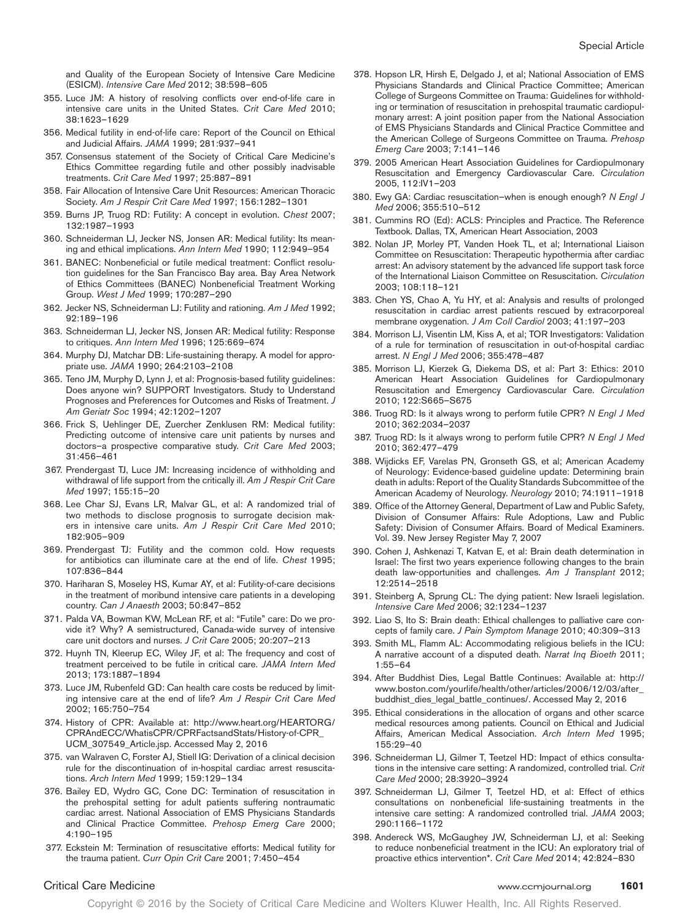and Quality of the European Society of Intensive Care Medicine (ESICM). *Intensive Care Med* 2012; 38:598–605

- 355. Luce JM: A history of resolving conflicts over end-of-life care in intensive care units in the United States. *Crit Care Med* 2010; 38:1623–1629
- 356. Medical futility in end-of-life care: Report of the Council on Ethical and Judicial Affairs. *JAMA* 1999; 281:937–941
- 357. Consensus statement of the Society of Critical Care Medicine's Ethics Committee regarding futile and other possibly inadvisable treatments. *Crit Care Med* 1997; 25:887–891
- 358. Fair Allocation of Intensive Care Unit Resources: American Thoracic Society. *Am J Respir Crit Care Med* 1997; 156:1282–1301
- 359. Burns JP, Truog RD: Futility: A concept in evolution. *Chest* 2007; 132:1987–1993
- 360. Schneiderman LJ, Jecker NS, Jonsen AR: Medical futility: Its meaning and ethical implications. *Ann Intern Med* 1990; 112:949–954
- 361. BANEC: Nonbeneficial or futile medical treatment: Conflict resolution guidelines for the San Francisco Bay area. Bay Area Network of Ethics Committees (BANEC) Nonbeneficial Treatment Working Group. *West J Med* 1999; 170:287–290
- 362. Jecker NS, Schneiderman LJ: Futility and rationing. *Am J Med* 1992; 92:189–196
- 363. Schneiderman LJ, Jecker NS, Jonsen AR: Medical futility: Response to critiques. *Ann Intern Med* 1996; 125:669–674
- 364. Murphy DJ, Matchar DB: Life-sustaining therapy. A model for appropriate use. *JAMA* 1990; 264:2103–2108
- 365. Teno JM, Murphy D, Lynn J, et al: Prognosis-based futility guidelines: Does anyone win? SUPPORT Investigators. Study to Understand Prognoses and Preferences for Outcomes and Risks of Treatment. *J Am Geriatr Soc* 1994; 42:1202–1207
- 366. Frick S, Uehlinger DE, Zuercher Zenklusen RM: Medical futility: Predicting outcome of intensive care unit patients by nurses and doctors–a prospective comparative study. *Crit Care Med* 2003; 31:456–461
- 367. Prendergast TJ, Luce JM: Increasing incidence of withholding and withdrawal of life support from the critically ill. *Am J Respir Crit Care Med* 1997; 155:15–20
- 368. Lee Char SJ, Evans LR, Malvar GL, et al: A randomized trial of two methods to disclose prognosis to surrogate decision makers in intensive care units. *Am J Respir Crit Care Med* 2010; 182:905–909
- 369. Prendergast TJ: Futility and the common cold. How requests for antibiotics can illuminate care at the end of life. *Chest* 1995; 107:836–844
- 370. Hariharan S, Moseley HS, Kumar AY, et al: Futility-of-care decisions in the treatment of moribund intensive care patients in a developing country. *Can J Anaesth* 2003; 50:847–852
- 371. Palda VA, Bowman KW, McLean RF, et al: "Futile" care: Do we provide it? Why? A semistructured, Canada-wide survey of intensive care unit doctors and nurses. *J Crit Care* 2005; 20:207–213
- 372. Huynh TN, Kleerup EC, Wiley JF, et al: The frequency and cost of treatment perceived to be futile in critical care. *JAMA Intern Med* 2013; 173:1887–1894
- 373. Luce JM, Rubenfeld GD: Can health care costs be reduced by limiting intensive care at the end of life? *Am J Respir Crit Care Med* 2002; 165:750–754
- 374. History of CPR: Available at: [http://www.heart.org/HEARTORG/](http://www.heart.org/HEARTORG/CPRAndECC/WhatisCPR/CPRFactsandStats/History-of-CPR_UCM_307549_Article.jsp.AccessedMay2,2016) [CPRAndECC/WhatisCPR/CPRFactsandStats/History-of-CPR\\_](http://www.heart.org/HEARTORG/CPRAndECC/WhatisCPR/CPRFactsandStats/History-of-CPR_UCM_307549_Article.jsp.AccessedMay2,2016) [UCM\\_307549\\_Article.jsp. Accessed May 2, 2016](http://www.heart.org/HEARTORG/CPRAndECC/WhatisCPR/CPRFactsandStats/History-of-CPR_UCM_307549_Article.jsp.AccessedMay2,2016)
- 375. van Walraven C, Forster AJ, Stiell IG: Derivation of a clinical decision rule for the discontinuation of in-hospital cardiac arrest resuscitations. *Arch Intern Med* 1999; 159:129–134
- 376. Bailey ED, Wydro GC, Cone DC: Termination of resuscitation in the prehospital setting for adult patients suffering nontraumatic cardiac arrest. National Association of EMS Physicians Standards and Clinical Practice Committee. *Prehosp Emerg Care* 2000; 4:190–195
- 377. Eckstein M: Termination of resuscitative efforts: Medical futility for the trauma patient. *Curr Opin Crit Care* 2001; 7:450–454
- 378. Hopson LR, Hirsh E, Delgado J, et al; National Association of EMS Physicians Standards and Clinical Practice Committee; American College of Surgeons Committee on Trauma: Guidelines for withholding or termination of resuscitation in prehospital traumatic cardiopulmonary arrest: A joint position paper from the National Association of EMS Physicians Standards and Clinical Practice Committee and the American College of Surgeons Committee on Trauma. *Prehosp Emerg Care* 2003; 7:141–146
- 379. 2005 American Heart Association Guidelines for Cardiopulmonary Resuscitation and Emergency Cardiovascular Care. *Circulation* 2005, 112:IV1–203
- 380. Ewy GA: Cardiac resuscitation–when is enough enough? *N Engl J Med* 2006; 355:510–512
- 381. Cummins RO (Ed): ACLS: Principles and Practice. The Reference Textbook. Dallas, TX, American Heart Association, 2003
- 382. Nolan JP, Morley PT, Vanden Hoek TL, et al; International Liaison Committee on Resuscitation: Therapeutic hypothermia after cardiac arrest: An advisory statement by the advanced life support task force of the International Liaison Committee on Resuscitation. *Circulation* 2003; 108:118–121
- 383. Chen YS, Chao A, Yu HY, et al: Analysis and results of prolonged resuscitation in cardiac arrest patients rescued by extracorporeal membrane oxygenation. *J Am Coll Cardiol* 2003; 41:197–203
- 384. Morrison LJ, Visentin LM, Kiss A, et al; TOR Investigators: Validation of a rule for termination of resuscitation in out-of-hospital cardiac arrest. *N Engl J Med* 2006; 355:478–487
- 385. Morrison LJ, Kierzek G, Diekema DS, et al: Part 3: Ethics: 2010 American Heart Association Guidelines for Cardiopulmonary Resuscitation and Emergency Cardiovascular Care. *Circulation* 2010; 122:S665–S675
- 386. Truog RD: Is it always wrong to perform futile CPR? *N Engl J Med* 2010; 362:2034–2037
- 387. Truog RD: Is it always wrong to perform futile CPR? *N Engl J Med* 2010; 362:477–479
- 388. Wijdicks EF, Varelas PN, Gronseth GS, et al; American Academy of Neurology: Evidence-based guideline update: Determining brain death in adults: Report of the Quality Standards Subcommittee of the American Academy of Neurology. *Neurology* 2010; 74:1911–1918
- 389. Office of the Attorney General, Department of Law and Public Safety, Division of Consumer Affairs: Rule Adoptions, Law and Public Safety: Division of Consumer Affairs. Board of Medical Examiners. Vol. 39. New Jersey Register May 7, 2007
- 390. Cohen J, Ashkenazi T, Katvan E, et al: Brain death determination in Israel: The first two years experience following changes to the brain death law-opportunities and challenges. *Am J Transplant* 2012; 12:2514–2518
- 391. Steinberg A, Sprung CL: The dying patient: New Israeli legislation. *Intensive Care Med* 2006; 32:1234–1237
- 392. Liao S, Ito S: Brain death: Ethical challenges to palliative care concepts of family care. *J Pain Symptom Manage* 2010; 40:309–313
- 393. Smith ML, Flamm AL: Accommodating religious beliefs in the ICU: A narrative account of a disputed death. *Narrat Inq Bioeth* 2011; 1:55–64
- 394. After Buddhist Dies, Legal Battle Continues: [Available at: http://](http://Availableat:http://www.boston.com/yourlife/health/other/articles/2006/12/03/after_buddhist_dies_legal_battle_continues/) [www.boston.com/yourlife/health/other/articles/2006/12/03/after\\_](http://Availableat:http://www.boston.com/yourlife/health/other/articles/2006/12/03/after_buddhist_dies_legal_battle_continues/) [buddhist\\_dies\\_legal\\_battle\\_continues/](http://Availableat:http://www.boston.com/yourlife/health/other/articles/2006/12/03/after_buddhist_dies_legal_battle_continues/). Accessed May 2, 2016
- 395. Ethical considerations in the allocation of organs and other scarce medical resources among patients. Council on Ethical and Judicial Affairs, American Medical Association. *Arch Intern Med* 1995; 155:29–40
- 396. Schneiderman LJ, Gilmer T, Teetzel HD: Impact of ethics consultations in the intensive care setting: A randomized, controlled trial. *Crit Care Med* 2000; 28:3920–3924
- 397. Schneiderman LJ, Gilmer T, Teetzel HD, et al: Effect of ethics consultations on nonbeneficial life-sustaining treatments in the intensive care setting: A randomized controlled trial. *JAMA* 2003; 290:1166–1172
- 398. Andereck WS, McGaughey JW, Schneiderman LJ, et al: Seeking to reduce nonbeneficial treatment in the ICU: An exploratory trial of proactive ethics intervention\*. *Crit Care Med* 2014; 42:824–830

### Critical Care Medicine www.ccmjournal.org **1601**